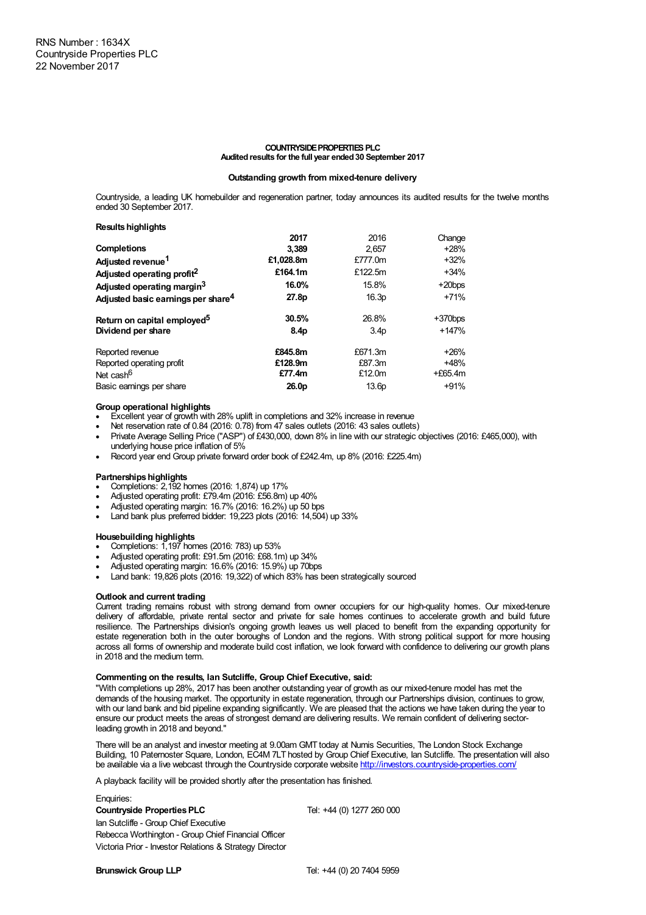## **COUNTRYSIDE PROPERTIES PLC Auditedresults for the full year ended30 September 2017**

## **Outstanding growth from mixed-tenure delivery**

Countryside, a leading UK homebuilder and regeneration partner, today announces its audited results for the twelve months ended 30 September 2017.

**Results highlights** 

| 2017             | 2016             | Change    |
|------------------|------------------|-----------|
| 3.389            | 2.657            | $+28%$    |
| £1,028.8m        | £777.0m          | $+32%$    |
| £164.1m          | £122.5m          | $+34%$    |
| 16.0%            | 15.8%            | $+20$ bps |
| 27.8p            | 16.3p            | $+71%$    |
| 30.5%            | 26.8%            | $+370bps$ |
| 8.4 <sub>D</sub> | 3.4 <sub>D</sub> | $+147%$   |
| £845.8m          | £671.3m          | $+26%$    |
| £128.9m          | £87.3m           | $+48%$    |
| £77.4m           | £12.0m           | $+£65.4m$ |
| 26.0p            | 13.6p            | $+91%$    |
|                  |                  |           |

## **Group operational highlights**

- Excellent year of growth with 28% uplift in completions and 32% increase in revenue
- · Net reservation rate of 0.84 (2016: 0.78) from 47 sales outlets (2016: 43 sales outlets)
- · Private Average Selling Price ("ASP") of £430,000, down 8% in line with our strategic objectives (2016: £465,000), with underlying house price inflation of 5%
- · Record year end Group private forward order book of £242.4m, up 8% (2016: £225.4m)

## **Partnerships highlights**

- · Completions: 2,192 homes (2016: 1,874) up 17%
- · Adjusted operating profit: £79.4m (2016: £56.8m) up 40%
- · Adjusted operating margin: 16.7% (2016: 16.2%) up 50 bps
- · Land bank plus preferred bidder: 19,223 plots (2016: 14,504) up 33%

## **Housebuilding highlights**

- · Completions: 1,197 homes (2016: 783) up 53%
- · Adjusted operating profit: £91.5m (2016: £68.1m) up 34%
- · Adjusted operating margin: 16.6% (2016: 15.9%) up 70bps
- Land bank: 19,826 plots (2016: 19,322) of which 83% has been strategically sourced

## **Outlook and current trading**

Current trading remains robust with strong demand from owner occupiers for our high-quality homes. Our mixed-tenure delivery of affordable, private rental sector and private for sale homes continues to accelerate growth and build future resilience. The Partnerships division's ongoing growth leaves us well placed to benefit from the expanding opportunity for estate regeneration both in the outer boroughs of London and the regions. With strong political support for more housing across all forms of ownership and moderate build cost inflation, we look forward with confidence to delivering our growth plans in 2018 and the medium term.

## **Commenting on the results, Ian Sutcliffe, Group Chief Executive, said:**

"With completions up 28%, 2017 has been another outstanding year of growth as our mixed-tenure model has met the demands of the housing market. The opportunity in estate regeneration, through our Partnerships division, continues to grow, with our land bank and bid pipeline expanding significantly. We are pleased that the actions we have taken during the year to ensure our product meets the areas of strongest demand are delivering results. We remain confident of delivering sectorleading growth in 2018 and beyond."

There will be an analyst and investor meeting at 9.00am GMT today at Numis Securities, The London Stock Exchange Building, 10 Paternoster Square, London, EC4M 7LT hosted by Group Chief Executive, Ian Sutcliffe. The presentation will also be available via a live webcast through the Countryside corporate website <http://investors.countryside-properties.com/>

A playback facility will be provided shortly after the presentation has finished.

## Enquiries:

**Countryside Properties PLC** Tel: +44 (0) 1277 260 000

Ian Sutcliffe - Group Chief Executive Rebecca Worthington - Group Chief Financial Officer Victoria Prior - Investor Relations & Strategy Director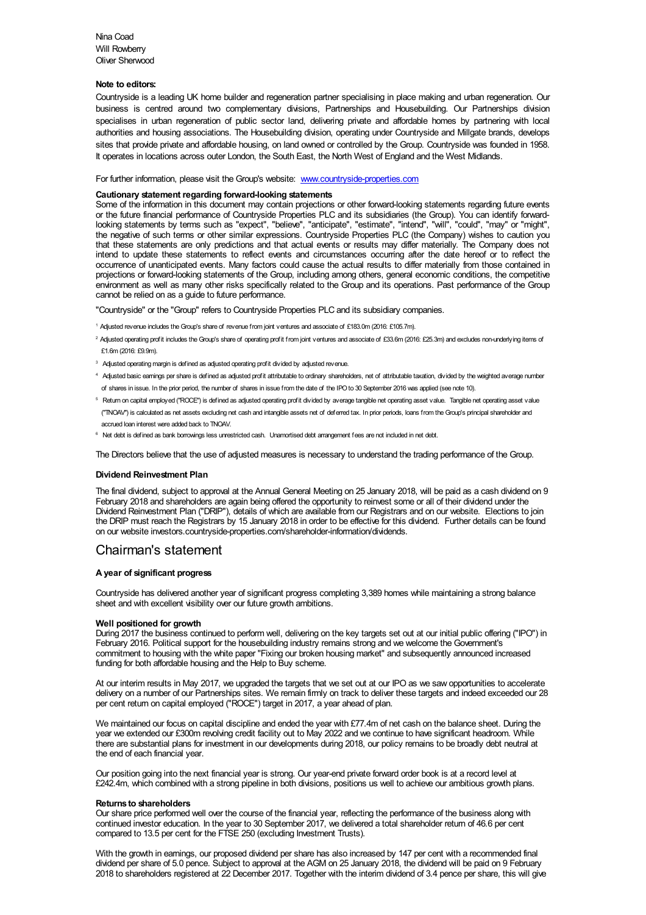Nina Coad Will Rowberry Oliver Sherwood

## **Note to editors:**

Countryside is a leading UK home builder and regeneration partner specialising in place making and urban regeneration. Our business is centred around two complementary divisions, Partnerships and Housebuilding. Our Partnerships division specialises in urban regeneration of public sector land, delivering private and affordable homes by partnering with local authorities and housing associations. The Housebuilding division, operating under Countryside and Millgate brands, develops sites that provide private and affordable housing, on land owned or controlled by the Group. Countryside was founded in 1958. It operates in locations across outer London, the South East, the North West of England and the West Midlands.

For further information, please visit the Group's website: [www.countryside-properties.com](http://www.countryside-properties.com)

## **Cautionary statement regarding forward-looking statements**

Some of the information in this document may contain projections or other forward-looking statements regarding future events or the future financial performance of Countryside Properties PLC and its subsidiaries (the Group). You can identify forwardlooking statements by terms such as "expect", "believe", "anticipate", "estimate", "intend", "will", "could", "may" or "might", the negative of such terms or other similar expressions. Countryside Properties PLC (the Company) wishes to caution you that these statements are only predictions and that actual events or results may differ materially. The Company does not intend to update these statements to reflect events and circumstances occurring after the date hereof or to reflect the occurrence of unanticipated events. Many factors could cause the actual results to differ materially from those contained in projections or forward-looking statements of the Group, including among others, general economic conditions, the competitive environment as well as many other risks specifically related to the Group and its operations. Past performance of the Group cannot be relied on as a guide to future performance.

"Countryside" or the "Group" refers to Countryside Properties PLC and its subsidiary companies.

- <sup>1</sup> Adjusted revenue includes theGroup's share of revenue from joint ventures and associate of £183.0m (2016: £105.7m).
- <sup>2</sup> Adjusted operating profit includes the Group's share of operating profit from joint ventures and associate of £33.6m (2016: £25.3m) and excludes non-underlying items of £1.6m (2016: £9.9m).
- <sup>3</sup> Adjusted operating margin is defined as adjusted operating profit divided by adjusted revenue.
- <sup>4</sup> Adjusted basic earnings per share is defined as adjusted profit attributable to ordinary shareholders, net of attributable taxation, divided by the weighted average number of shares in issue. In the prior period, the number of shares in issue from the date of the IPOto 30 September 2016 was applied (see note 10).
- <sup>5</sup> Return on capital employed ("ROCE") is defined as adjusted operating profit divided by average tangible net operating asset value. Tangible net operating asset value ("TNOAV") is calculated as net assets excluding net cash and intangible assets net of deferred tax. In prior periods, loans from theGroup's principal shareholder and accrued loan interest were added back to TNOAV.
- <sup>6</sup> Net debt is defined as bank borrowings less unrestricted cash. Unamortised debt arrangement fees are not included in net debt.

The Directors believe that the use of adjusted measures is necessary to understand the trading performance of the Group.

## **Dividend Reinvestment Plan**

The final dividend, subject to approval at the Annual General Meeting on 25 January 2018, will be paid as a cash dividend on 9 February 2018 and shareholders are again being offered the opportunity to reinvest some or all of their dividend under the Dividend Reinvestment Plan ("DRIP"), details of which are available from our Registrars and on our website. Elections to join the DRIP must reach the Registrars by 15 January 2018 in order to be effective for this dividend. Further details can be found on our website investors.countryside-properties.com/shareholder-information/dividends.

## Chairman's statement

## **A year of significant progress**

Countryside has delivered another year of significant progress completing 3,389 homes while maintaining a strong balance sheet and with excellent visibility over our future growth ambitions.

## **Well positioned for growth**

During 2017 the business continued to perform well, delivering on the key targets set out at our initial public offering ("IPO") in February 2016. Political support for the housebuilding industry remains strong and we welcome the Government's commitment to housing with the white paper "Fixing our broken housing market" and subsequently announced increased funding for both affordable housing and the Help to Buy scheme.

At our interim results in May 2017, we upgraded the targets that we set out at our IPO as we saw opportunities to accelerate delivery on a number of our Partnerships sites. We remain firmly on track to deliver these targets and indeed exceeded our 28 per cent return on capital employed ("ROCE") target in 2017, a year ahead of plan.

We maintained our focus on capital discipline and ended the year with £77.4m of net cash on the balance sheet. During the year we extended our £300m revolving credit facility out to May 2022 and we continue to have significant headroom. While there are substantial plans for investment in our developments during 2018, our policy remains to be broadly debt neutral at the end of each financial year.

Our position going into the next financial year is strong. Our year-end private forward order book is at a record level at £242.4m, which combined with a strong pipeline in both divisions, positions us well to achieve our ambitious growth plans.

#### **Returns to shareholders**

Our share price performed well over the course of the financial year, reflecting the performance of the business along with continued investor education. In the year to 30 September 2017, we delivered a total shareholder return of 46.6 per cent compared to 13.5 per cent for the FTSE 250 (excluding Investment Trusts).

With the growth in earnings, our proposed dividend per share has also increased by 147 per cent with a recommended final dividend per share of 5.0 pence. Subject to approval at the AGM on 25 January 2018, the dividend will be paid on 9 February 2018 to shareholders registered at 22 December 2017. Together with the interim dividend of 3.4 pence per share, this will give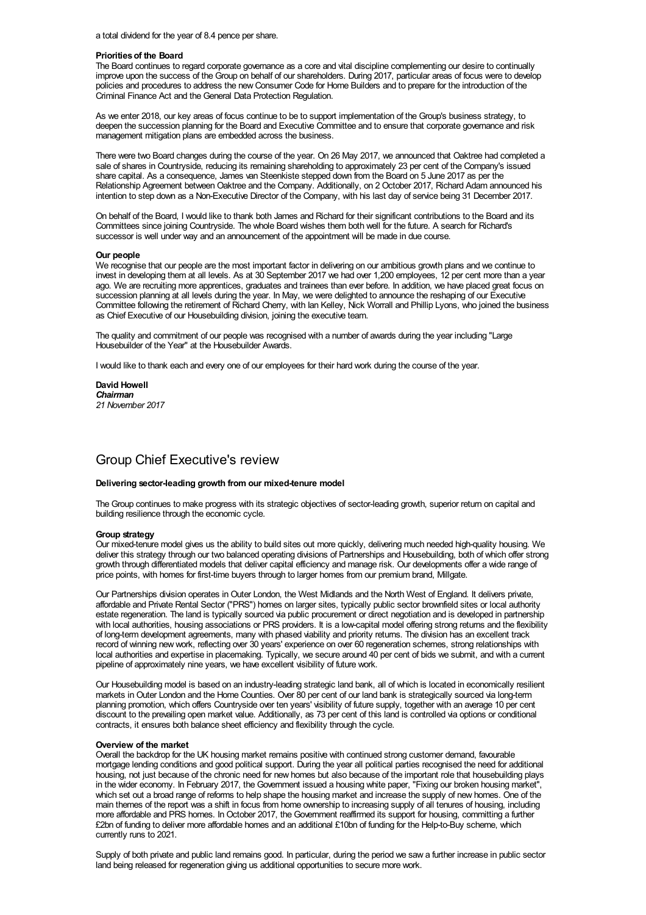a total dividend for the year of 8.4 pence per share.

## **Prioritiesof the Board**

The Board continues to regard corporate governance as a core and vital discipline complementing our desire to continually improve upon the success of the Group on behalf of our shareholders. During 2017, particular areas of focus were to develop policies and procedures to address the new Consumer Code for Home Builders and to prepare for the introduction of the Criminal Finance Act and the General Data Protection Regulation.

As we enter 2018, our key areas of focus continue to be to support implementation of the Group's business strategy, to deepen the succession planning for the Board and Executive Committee and to ensure that corporate governance and risk management mitigation plans are embedded across the business.

There were two Board changes during the course of the year. On 26 May 2017, we announced that Oaktree had completed a sale of shares in Countryside, reducing its remaining shareholding to approximately 23 per cent of the Company's issued share capital. As a consequence, James van Steenkiste stepped down from the Board on 5 June 2017 as per the Relationship Agreement between Oaktree and the Company. Additionally, on 2 October 2017, Richard Adam announced his intention to step down as a Non-Executive Director of the Company, with his last day of service being 31 December 2017.

On behalf of the Board, I would like to thank both James and Richard for their significant contributions to the Board and its Committees since joining Countryside. The whole Board wishes them both well for the future. A search for Richard's successor is well under way and an announcement of the appointment will be made in due course.

## **Our people**

We recognise that our people are the most important factor in delivering on our ambitious growth plans and we continue to invest in developing them at all levels. As at 30 September 2017 we had over 1,200 employees, 12 per cent more than a year ago. We are recruiting more apprentices, graduates and trainees than ever before. In addition, we have placed great focus on succession planning at all levels during the year. In May, we were delighted to announce the reshaping of our Executive Committee following the retirement of Richard Cherry, with Ian Kelley, Nick Worrall and Phillip Lyons, who joined the business as Chief Executive of our Housebuilding division, joining the executive team.

The quality and commitment of our people was recognised with a number of awards during the year including "Large Housebuilder of the Year" at the Housebuilder Awards.

I would like to thank each and every one of our employees for their hard work during the course of the year.

**David Howell** *Chairman 21 November 2017*

## Group Chief Executive's review

## **Delivering sector-leading growth from our mixed-tenure model**

The Group continues to make progress with its strategic objectives of sector-leading growth, superior return on capital and building resilience through the economic cycle.

#### **Group strategy**

Our mixed-tenure model gives us the ability to build sites out more quickly, delivering much needed high-quality housing. We deliver this strategy through our two balanced operating divisions of Partnerships and Housebuilding, both of which offer strong growth through differentiated models that deliver capital efficiency and manage risk. Our developments offer a wide range of price points, with homes for first-time buyers through to larger homes from our premium brand, Millgate.

Our Partnerships division operates in Outer London, the West Midlands and the North West of England. It delivers private, affordable and Private Rental Sector ("PRS") homes on larger sites, typically public sector brownfield sites or local authority estate regeneration. The land is typically sourced via public procurement or direct negotiation and is developed in partnership with local authorities, housing associations or PRS providers. It is a low-capital model offering strong returns and the flexibility of long-term development agreements, many with phased viability and priority returns. The division has an excellent track record of winning new work, reflecting over 30 years' experience on over 60 regeneration schemes, strong relationships with local authorities and expertise in placemaking. Typically, we secure around 40 per cent of bids we submit, and with a current pipeline of approximately nine years, we have excellent visibility of future work.

Our Housebuilding model is based on an industry-leading strategic land bank, all of which is located in economically resilient markets in Outer London and the Home Counties. Over 80 per cent of our land bank is strategically sourced via long-term planning promotion, which offers Countryside over ten years' visibility of future supply, together with an average 10 per cent discount to the prevailing open market value. Additionally, as 73 per cent of this land is controlled via options or conditional contracts, it ensures both balance sheet efficiency and flexibility through the cycle.

## **Overview of the market**

Overall the backdrop for the UK housing market remains positive with continued strong customer demand, favourable mortgage lending conditions and good political support. During the year all political parties recognised the need for additional housing, not just because of the chronic need for new homes but also because of the important role that housebuilding plays in the wider economy. In February 2017, the Government issued a housing white paper, "Fixing our broken housing market", which set out a broad range of reforms to help shape the housing market and increase the supply of new homes. One of the main themes of the report was a shift in focus from home ownership to increasing supply of all tenures of housing, including more affordable and PRS homes. In October 2017, the Government reaffirmed its support for housing, committing a further £2bn of funding to deliver more affordable homes and an additional £10bn of funding for the Help-to-Buy scheme, which currently runs to 2021.

Supply of both private and public land remains good. In particular, during the period we saw a further increase in public sector land being released for regeneration giving us additional opportunities to secure more work.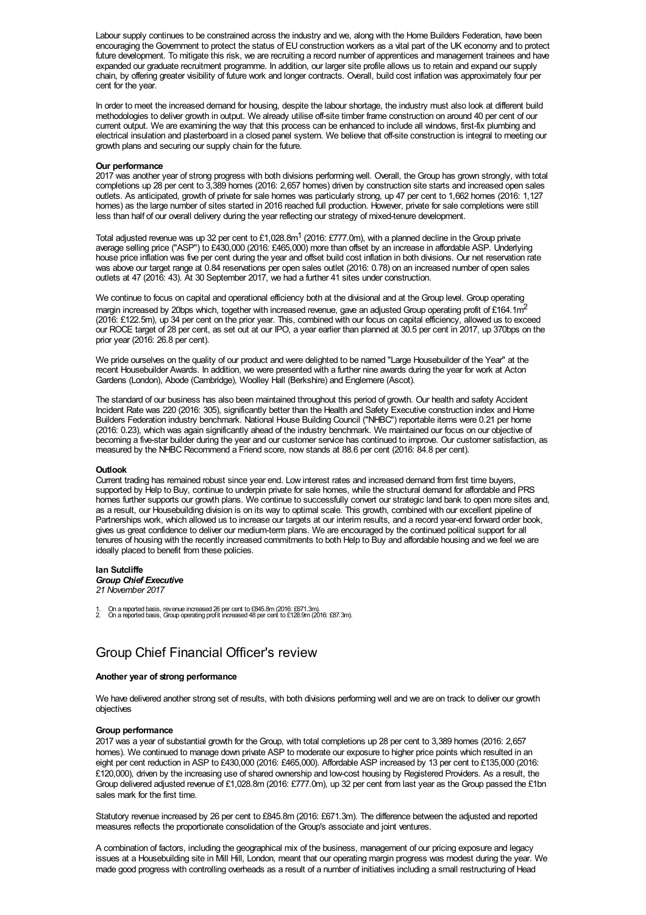Labour supply continues to be constrained across the industry and we, along with the Home Builders Federation, have been encouraging the Government to protect the status of EU construction workers as a vital part of the UK economy and to protect future development. To mitigate this risk, we are recruiting a record number of apprentices and management trainees and have expanded our graduate recruitment programme. In addition, our larger site profile allows us to retain and expand our supply chain, by offering greater visibility of future work and longer contracts. Overall, build cost inflation was approximately four per cent for the year.

In order to meet the increased demand for housing, despite the labour shortage, the industry must also look at different build methodologies to deliver growth in output. We already utilise off-site timber frame construction on around 40 per cent of our current output. We are examining the way that this process can be enhanced to include all windows, first-fix plumbing and electrical insulation and plasterboard in a closed panel system. We believe that off-site construction is integral to meeting our growth plans and securing our supply chain for the future.

### **Our performance**

2017 was another year of strong progress with both divisions performing well. Overall, the Group has grown strongly, with total completions up 28 per cent to 3,389 homes (2016: 2,657 homes) driven by construction site starts and increased open sales outlets. As anticipated, growth of private for sale homes was particularly strong, up 47 per cent to 1,662 homes (2016: 1,127 homes) as the large number of sites started in 2016 reached full production. However, private for sale completions were still less than half of our overall delivery during the year reflecting our strategy of mixed-tenure development.

Total adjusted revenue was up 32 per cent to £1,028.8m<sup>1</sup> (2016: £777.0m), with a planned decline in the Group private average selling price ("ASP") to £430,000 (2016: £465,000) more than offset by an increase in affordable ASP. Underlying house price inflation was five per cent during the year and offset build cost inflation in both divisions. Our net reservation rate was above our target range at 0.84 reservations per open sales outlet (2016: 0.78) on an increased number of open sales outlets at 47 (2016: 43). At 30 September 2017, we had a further 41 sites under construction.

We continue to focus on capital and operational efficiency both at the divisional and at the Group level. Group operating margin increased by 20bps which, together with increased revenue, gave an adjusted Group operating profit of £164.1m<sup>2</sup> (2016: £122.5m), up 34 per cent on the prior year. This, combined with our focus on capital efficiency, allowed us to exceed our ROCE target of 28 per cent, as set out at our IPO, a year earlier than planned at 30.5 per cent in 2017, up 370bps on the prior year (2016: 26.8 per cent).

We pride ourselves on the quality of our product and were delighted to be named "Large Housebuilder of the Year" at the recent Housebuilder Awards. In addition, we were presented with a further nine awards during the year for work at Acton Gardens (London), Abode (Cambridge), Woolley Hall (Berkshire) and Englemere (Ascot).

The standard of our business has also been maintained throughout this period of growth. Our health and safety Accident Incident Rate was 220 (2016: 305), significantly better than the Health and Safety Executive construction index and Home Builders Federation industry benchmark. National House Building Council ("NHBC") reportable items were 0.21 per home (2016: 0.23), which was again significantly ahead of the industry benchmark. We maintained our focus on our objective of becoming a five-star builder during the year and our customer service has continued to improve. Our customer satisfaction, as measured by the NHBC Recommend a Friend score, now stands at 88.6 per cent (2016: 84.8 per cent).

## **Outlook**

Current trading has remained robust since year end. Low interest rates and increased demand from first time buyers, supported by Help to Buy, continue to underpin private for sale homes, while the structural demand for affordable and PRS homes further supports our growth plans. We continue to successfully convert our strategic land bank to open more sites and, as a result, our Housebuilding division is on its way to optimal scale. This growth, combined with our excellent pipeline of Partnerships work, which allowed us to increase our targets at our interim results, and a record year-end forward order book, gives us great confidence to deliver our medium-term plans. We are encouraged by the continued political support for all tenures of housing with the recently increased commitments to both Help to Buy and affordable housing and we feel we are ideally placed to benefit from these policies.

#### **Ian Sutcliffe** *Group Chief Executive*

*21 November 2017*

1. On a reported basis, revenue increased 26 per cent to £845.8m (2016: £671.3m). 2. On a reported basis, Group operating profit increased 48 per cent to £128.9m (2016: £87.3m).

## Group Chief Financial Officer's review

## **Another year of strong performance**

We have delivered another strong set of results, with both divisions performing well and we are on track to deliver our growth objectives

## **Group performance**

2017 was a year of substantial growth for the Group, with total completions up 28 per cent to 3,389 homes (2016: 2,657 homes). We continued to manage down private ASP to moderate our exposure to higher price points which resulted in an eight per cent reduction in ASP to £430,000 (2016: £465,000). Affordable ASP increased by 13 per cent to £135,000 (2016: £120,000), driven by the increasing use of shared ownership and low-cost housing by Registered Providers. As a result, the Group delivered adjusted revenue of £1,028.8m (2016: £777.0m), up 32 per cent from last year as the Group passed the £1bn sales mark for the first time.

Statutory revenue increased by 26 per cent to £845.8m (2016: £671.3m). The difference between the adjusted and reported measures reflects the proportionate consolidation of the Group's associate and joint ventures.

A combination of factors, including the geographical mix of the business, management of our pricing exposure and legacy issues at a Housebuilding site in Mill Hill, London, meant that our operating margin progress was modest during the year. We made good progress with controlling overheads as a result of a number of initiatives including a small restructuring of Head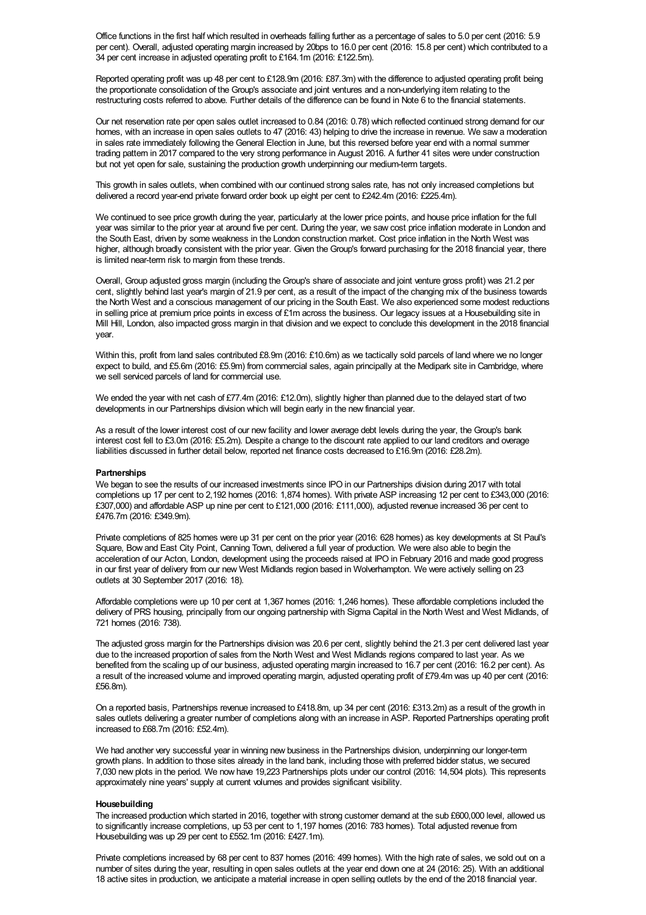Office functions in the first half which resulted in overheads falling further as a percentage of sales to 5.0 per cent (2016: 5.9 per cent). Overall, adjusted operating margin increased by 20bps to 16.0 per cent (2016: 15.8 per cent) which contributed to a 34 per cent increase in adjusted operating profit to £164.1m (2016: £122.5m).

Reported operating profit was up 48 per cent to £128.9m (2016: £87.3m) with the difference to adjusted operating profit being the proportionate consolidation of the Group's associate and joint ventures and a non-underlying item relating to the restructuring costs referred to above. Further details of the difference can be found in Note 6 to the financial statements.

Our net reservation rate per open sales outlet increased to 0.84 (2016: 0.78) which reflected continued strong demand for our homes, with an increase in open sales outlets to 47 (2016: 43) helping to drive the increase in revenue. We saw a moderation in sales rate immediately following the General Election in June, but this reversed before year end with a normal summer trading pattern in 2017 compared to the very strong performance in August 2016. A further 41 sites were under construction but not yet open for sale, sustaining the production growth underpinning our medium-term targets.

This growth in sales outlets, when combined with our continued strong sales rate, has not only increased completions but delivered a record year-end private forward order book up eight per cent to £242.4m (2016: £225.4m).

We continued to see price growth during the year, particularly at the lower price points, and house price inflation for the full year was similar to the prior year at around five per cent. During the year, we saw cost price inflation moderate in London and the South East, driven by some weakness in the London construction market. Cost price inflation in the North West was higher, although broadly consistent with the prior year. Given the Group's forward purchasing for the 2018 financial year, there is limited near-term risk to margin from these trends.

Overall, Group adjusted gross margin (including the Group's share of associate and joint venture gross profit) was 21.2 per cent, slightly behind last year's margin of 21.9 per cent, as a result of the impact of the changing mix of the business towards the North West and a conscious management of our pricing in the South East. We also experienced some modest reductions in selling price at premium price points in excess of £1m across the business. Our legacy issues at a Housebuilding site in Mill Hill, London, also impacted gross margin in that division and we expect to conclude this development in the 2018 financial year.

Within this, profit from land sales contributed £8.9m (2016: £10.6m) as we tactically sold parcels of land where we no longer expect to build, and £5.6m (2016: £5.9m) from commercial sales, again principally at the Medipark site in Cambridge, where we sell serviced parcels of land for commercial use.

We ended the year with net cash of £77.4m (2016: £12.0m), slightly higher than planned due to the delayed start of two developments in our Partnerships division which will begin early in the new financial year.

As a result of the lower interest cost of our new facility and lower average debt levels during the year, the Group's bank interest cost fell to £3.0m (2016: £5.2m). Despite a change to the discount rate applied to our land creditors and overage liabilities discussed in further detail below, reported net finance costs decreased to £16.9m (2016: £28.2m).

## **Partnerships**

We began to see the results of our increased investments since IPO in our Partnerships division during 2017 with total completions up 17 per cent to 2,192 homes (2016: 1,874 homes). With private ASP increasing 12 per cent to £343,000 (2016: £307,000) and affordable ASP up nine per cent to £121,000 (2016: £111,000), adjusted revenue increased 36 per cent to £476.7m (2016: £349.9m).

Private completions of 825 homes were up 31 per cent on the prior year (2016: 628 homes) as key developments at St Paul's Square, Bow and East City Point, Canning Town, delivered a full year of production. We were also able to begin the acceleration of our Acton, London, development using the proceeds raised at IPO in February 2016 and made good progress in our first year of delivery from our new West Midlands region based in Wolverhampton. We were actively selling on 23 outlets at 30 September 2017 (2016: 18).

Affordable completions were up 10 per cent at 1,367 homes (2016: 1,246 homes). These affordable completions included the delivery of PRS housing, principally from our ongoing partnership with Sigma Capital in the North West and West Midlands, of 721 homes (2016: 738).

The adjusted gross margin for the Partnerships division was 20.6 per cent, slightly behind the 21.3 per cent delivered last year due to the increased proportion of sales from the North West and West Midlands regions compared to last year. As we benefited from the scaling up of our business, adjusted operating margin increased to 16.7 per cent (2016: 16.2 per cent). As a result of the increased volume and improved operating margin, adjusted operating profit of £79.4m was up 40 per cent (2016: £56.8m).

On a reported basis, Partnerships revenue increased to £418.8m, up 34 per cent (2016: £313.2m) as a result of the growth in sales outlets delivering a greater number of completions along with an increase in ASP. Reported Partnerships operating profit increased to £68.7m (2016: £52.4m).

We had another very successful year in winning new business in the Partnerships division, underpinning our longer-term growth plans. In addition to those sites already in the land bank, including those with preferred bidder status, we secured 7,030 new plots in the period. We now have 19,223 Partnerships plots under our control (2016: 14,504 plots). This represents approximately nine years' supply at current volumes and provides significant visibility.

## **Housebuilding**

The increased production which started in 2016, together with strong customer demand at the sub £600,000 level, allowed us to significantly increase completions, up 53 per cent to 1,197 homes (2016: 783 homes). Total adjusted revenue from Housebuilding was up 29 per cent to £552.1m (2016: £427.1m).

Private completions increased by 68 per cent to 837 homes (2016: 499 homes). With the high rate of sales, we sold out on a number of sites during the year, resulting in open sales outlets at the year end down one at 24 (2016: 25). With an additional 18 active sites in production, we anticipate a material increase in open selling outlets by the end of the 2018 financial year.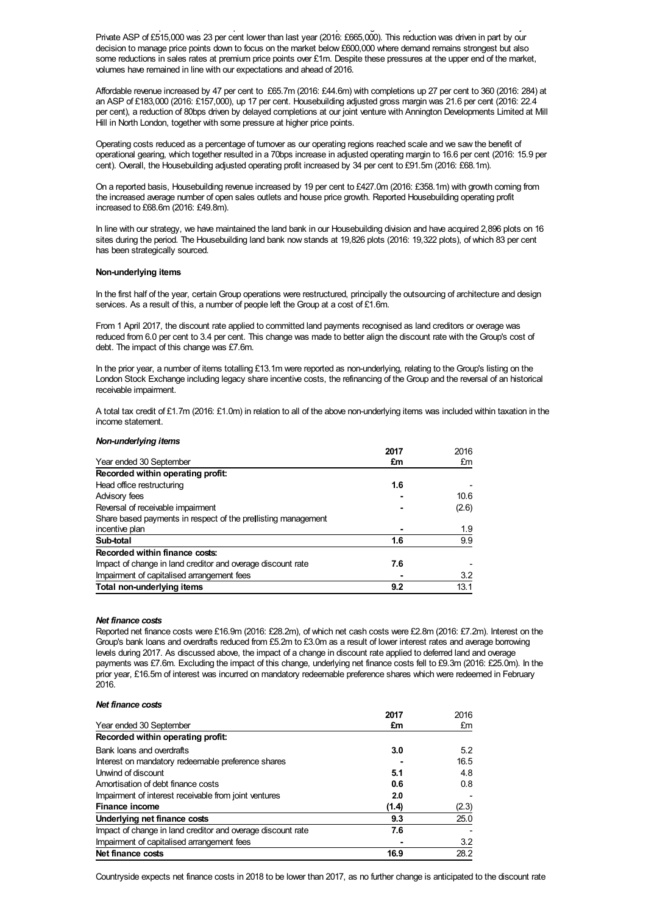18 active sites in production, we anticipate a material increase in open selling outlets by the end of the 2018 financial year. Private ASP of £515,000 was 23 per cent lower than last year (2016: £665,000). This reduction was driven in part by our decision to manage price points down to focus on the market below £600,000 where demand remains strongest but also some reductions in sales rates at premium price points over £1m. Despite these pressures at the upper end of the market, volumes have remained in line with our expectations and ahead of 2016.

Affordable revenue increased by 47 per cent to £65.7m (2016: £44.6m) with completions up 27 per cent to 360 (2016: 284) at an ASP of £183,000 (2016: £157,000), up 17 per cent. Housebuilding adjusted gross margin was 21.6 per cent (2016: 22.4 per cent), a reduction of 80bps driven by delayed completions at our joint venture with Annington Developments Limited at Mill Hill in North London, together with some pressure at higher price points.

Operating costs reduced as a percentage of turnover as our operating regions reached scale and we saw the benefit of operational gearing, which together resulted in a 70bps increase in adjusted operating margin to 16.6 per cent (2016: 15.9 per cent). Overall, the Housebuilding adjusted operating profit increased by 34 per cent to £91.5m (2016: £68.1m).

On a reported basis, Housebuilding revenue increased by 19 per cent to £427.0m (2016: £358.1m) with growth coming from the increased average number of open sales outlets and house price growth. Reported Housebuilding operating profit increased to £68.6m (2016: £49.8m).

In line with our strategy, we have maintained the land bank in our Housebuilding division and have acquired 2,896 plots on 16 sites during the period. The Housebuilding land bank now stands at 19,826 plots (2016: 19,322 plots), of which 83 per cent has been strategically sourced.

## **Non-underlying items**

*Non-underlying items*

In the first half of the year, certain Group operations were restructured, principally the outsourcing of architecture and design services. As a result of this, a number of people left the Group at a cost of £1.6m.

From 1 April 2017, the discount rate applied to committed land payments recognised as land creditors or overage was reduced from 6.0 per cent to 3.4 per cent. This change was made to better align the discount rate with the Group's cost of debt. The impact of this change was £7.6m.

In the prior year, a number of items totalling £13.1m were reported as non-underlying, relating to the Group's listing on the London Stock Exchange including legacy share incentive costs, the refinancing of the Group and the reversal of an historical receivable impairment.

A total tax credit of £1.7m (2016: £1.0m) in relation to all of the above non-underlying items was included within taxation in the income statement.

|                                                               | 2017 | 2016  |
|---------------------------------------------------------------|------|-------|
| Year ended 30 September                                       | £m   | £m    |
| Recorded within operating profit:                             |      |       |
| Head office restructuring                                     | 1.6  |       |
| Advisory fees                                                 |      | 10.6  |
| Reversal of receivable impairment                             |      | (2.6) |
| Share based payments in respect of the prellisting management |      |       |
| incentive plan                                                |      | 1.9   |
| Sub-total                                                     | 1.6  | 9.9   |
| Recorded within finance costs:                                |      |       |
| Impact of change in land creditor and overage discount rate   | 7.6  |       |
| Impairment of capitalised arrangement fees                    |      | 3.2   |
| Total non-underlying items                                    | 9.2  | 13.1  |

## *Net finance costs*

Reported net finance costs were £16.9m (2016: £28.2m), of which net cash costs were £2.8m (2016: £7.2m). Interest on the Group's bank loans and overdrafts reduced from £5.2m to £3.0m as a result of lower interest rates and average borrowing levels during 2017. As discussed above, the impact of a change in discount rate applied to deferred land and overage payments was £7.6m. Excluding the impact of this change, underlying net finance costs fell to £9.3m (2016: £25.0m). In the prior year, £16.5m of interest was incurred on mandatory redeemable preference shares which were redeemed in February  $2016$ 

| Net finance costs                                           |       |       |
|-------------------------------------------------------------|-------|-------|
|                                                             | 2017  | 2016  |
| Year ended 30 September                                     | £m    | £m    |
| Recorded within operating profit:                           |       |       |
| Bank loans and overdrafts                                   | 3.0   | 5.2   |
| Interest on mandatory redeemable preference shares          |       | 16.5  |
| Unwind of discount                                          | 5.1   | 4.8   |
| Amortisation of debt finance costs                          | 0.6   | 0.8   |
| Impairment of interest receivable from joint ventures       | 2.0   |       |
| Finance income                                              | (1.4) | (2.3) |
| Underlying net finance costs                                | 9.3   | 25.0  |
| Impact of change in land creditor and overage discount rate | 7.6   |       |
| Impairment of capitalised arrangement fees                  |       | 3.2   |
| Net finance costs                                           | 16.9  | 28.2  |

Countryside expects net finance costs in 2018 to be lower than 2017, as no further change is anticipated to the discount rate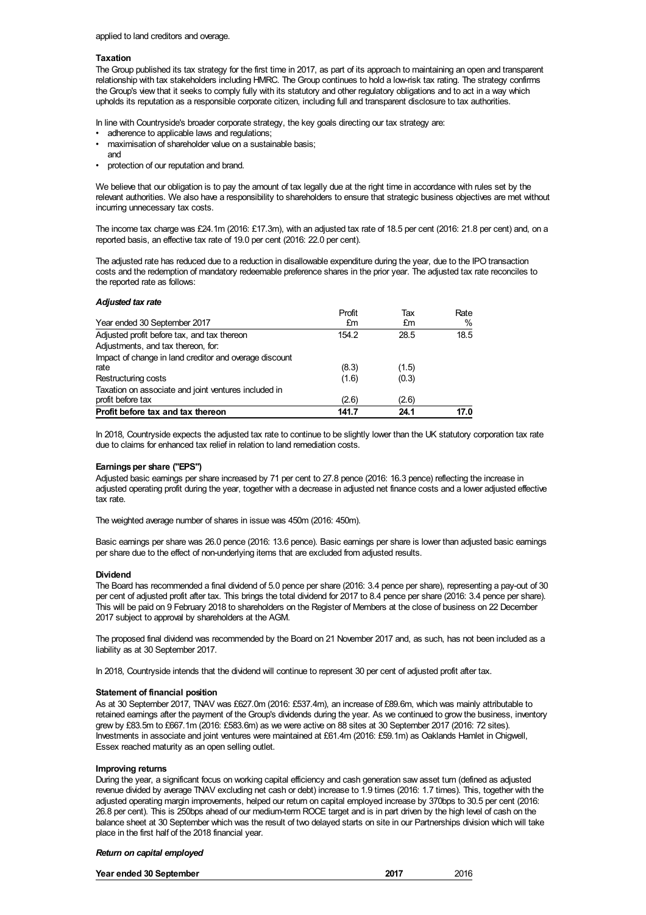## **Taxation**

The Group published its tax strategy for the first time in 2017, as part of its approach to maintaining an open and transparent relationship with tax stakeholders including HMRC. The Group continues to hold a low-risk tax rating. The strategy confirms the Group's view that it seeks to comply fully with its statutory and other regulatory obligations and to act in a way which upholds its reputation as a responsible corporate citizen, including full and transparent disclosure to tax authorities.

In line with Countryside's broader corporate strategy, the key goals directing our tax strategy are:

- adherence to applicable laws and regulations;
- maximisation of shareholder value on a sustainable basis;
- and
- protection of our reputation and brand.

We believe that our obligation is to pay the amount of tax legally due at the right time in accordance with rules set by the relevant authorities. We also have a responsibility to shareholders to ensure that strategic business objectives are met without incurring unnecessary tax costs.

The income tax charge was £24.1m (2016: £17.3m), with an adjusted tax rate of 18.5 per cent (2016: 21.8 per cent) and, on a reported basis, an effective tax rate of 19.0 per cent (2016: 22.0 per cent).

The adjusted rate has reduced due to a reduction in disallowable expenditure during the year, due to the IPO transaction costs and the redemption of mandatory redeemable preference shares in the prior year. The adjusted tax rate reconciles to the reported rate as follows:

## *Adjusted tax rate*

|                                                        | Profit | Tax   | Rate |
|--------------------------------------------------------|--------|-------|------|
| Year ended 30 September 2017                           | £m     | £m    | $\%$ |
| Adjusted profit before tax, and tax thereon            | 154.2  | 28.5  | 18.5 |
| Adjustments, and tax thereon, for:                     |        |       |      |
| Impact of change in land creditor and overage discount |        |       |      |
| rate                                                   | (8.3)  | (1.5) |      |
| Restructuring costs                                    | (1.6)  | (0.3) |      |
| Taxation on associate and joint ventures included in   |        |       |      |
| profit before tax                                      | (2.6)  | (2.6) |      |
| Profit before tax and tax thereon                      | 141.7  | 24.1  | 17.0 |

In 2018, Countryside expects the adjusted tax rate to continue to be slightly lower than the UK statutory corporation tax rate due to claims for enhanced tax relief in relation to land remediation costs.

## **Earnings per share ("EPS")**

Adjusted basic earnings per share increased by 71 per cent to 27.8 pence (2016: 16.3 pence) reflecting the increase in adjusted operating profit during the year, together with a decrease in adjusted net finance costs and a lower adjusted effective tax rate.

The weighted average number of shares in issue was 450m (2016: 450m).

Basic earnings per share was 26.0 pence (2016: 13.6 pence). Basic earnings per share is lower than adjusted basic earnings per share due to the effect of non-underlying items that are excluded from adjusted results.

## **Dividend**

The Board has recommended a final dividend of 5.0 pence per share (2016: 3.4 pence per share), representing a pay-out of 30 per cent of adjusted profit after tax. This brings the total dividend for 2017 to 8.4 pence per share (2016: 3.4 pence per share). This will be paid on 9 February 2018 to shareholders on the Register of Members at the close of business on 22 December 2017 subject to approval by shareholders at the AGM.

The proposed final dividend was recommended by the Board on 21 November 2017 and, as such, has not been included as a liability as at 30 September 2017.

In 2018, Countryside intends that the dividend will continue to represent 30 per cent of adjusted profit after tax.

## **Statement of financial position**

As at 30 September 2017, TNAV was £627.0m (2016: £537.4m), an increase of £89.6m, which was mainly attributable to retained earnings after the payment of the Group's dividends during the year. As we continued to grow the business, inventory grew by £83.5m to £667.1m (2016: £583.6m) as we were active on 88 sites at 30 September 2017 (2016: 72 sites). Investments in associate and joint ventures were maintained at £61.4m (2016: £59.1m) as Oaklands Hamlet in Chigwell, Essex reached maturity as an open selling outlet.

## **Improving returns**

During the year, a significant focus on working capital efficiency and cash generation saw asset turn (defined as adjusted revenue divided by average TNAV excluding net cash or debt) increase to 1.9 times (2016: 1.7 times). This, together with the adjusted operating margin improvements, helped our return on capital employed increase by 370bps to 30.5 per cent (2016: 26.8 per cent). This is 250bps ahead of our medium-term ROCE target and is in part driven by the high level of cash on the balance sheet at 30 September which was the result of two delayed starts on site in our Partnerships division which will take place in the first half of the 2018 financial year.

## *Return on capital employed*

| Year ended 30 September | 2017 | 2016 |
|-------------------------|------|------|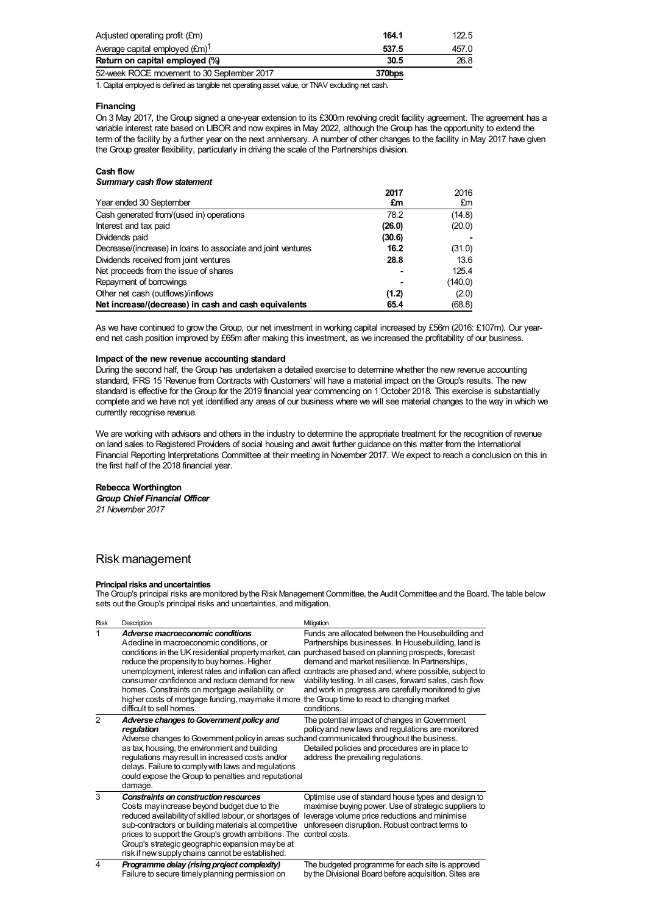| Adjusted operating profit (£m)             | 164 1  | 122.5 |
|--------------------------------------------|--------|-------|
| Average capital employed $(\text{Em})^1$   | 537.5  | 457.0 |
| Return on capital employed (%)             | 30.5   | 26.8  |
| 52-week ROCE movement to 30 September 2017 | 370bps |       |

1. Capital employed is defined as tangible net operating asset value, or TNAV excluding net cash.

## **Financing**

On 3 May 2017, the Group signed a one-year extension to its £300m revolving credit facility agreement. The agreement has a variable interest rate based on LIBOR and now expires in May 2022, although the Group has the opportunity to extend the term of the facility by a further year on the next anniversary. A number of other changes to the facility in May 2017 have given the Group greater flexibility, particularly in driving the scale of the Partnerships division.

## **Cash flow**

## *Summary cash flow statement*

|                                                              | 2017   | 2016    |
|--------------------------------------------------------------|--------|---------|
| Year ended 30 September                                      | £m     | £m      |
| Cash generated from/(used in) operations                     | 78.2   | (14.8)  |
| Interest and tax paid                                        | (26.0) | (20.0)  |
| Dividends paid                                               | (30.6) |         |
| Decrease/(increase) in loans to associate and joint ventures | 16.2   | (31.0)  |
| Dividends received from joint ventures                       | 28.8   | 13.6    |
| Net proceeds from the issue of shares                        |        | 125.4   |
| Repayment of borrowings                                      |        | (140.0) |
| Other net cash (outflows)/inflows                            | (1.2)  | (2.0)   |
| Net increase/(decrease) in cash and cash equivalents         | 65.4   | (68.8)  |

As we have continued to grow the Group, our net investment in working capital increased by £56m (2016: £107m). Our yearend net cash position improved by £65m after making this investment, as we increased the profitability of our business.

## **Impact of the new revenue accounting standard**

During the second half, the Group has undertaken a detailed exercise to determine whether the new revenue accounting standard, IFRS 15 'Revenue from Contracts with Customers' will have a material impact on the Group's results. The new standard is effective for the Group for the 2019 financial year commencing on 1 October 2018. This exercise is substantially complete and we have not yet identified any areas of our business where we will see material changes to the way in which we currently recognise revenue.

We are working with advisors and others in the industry to determine the appropriate treatment for the recognition of revenue on land sales to Registered Providers of social housing and await further guidance on this matter from the International Financial Reporting Interpretations Committee at their meeting in November 2017. We expect to reach a conclusion on this in the first half of the 2018 financial year.

## **Rebecca Worthington**

*Group Chief Financial Officer 21 November 2017*

# Risk management

## **Principal risks and uncertainties**

The Group's principal risks are monitored by the Risk Management Committee, the Audit Committee and the Board. The table below sets out the Group's principal risks and uncertainties, and mitigation.

| <b>Risk</b>             | Description                                                                                                                                                                                                                                                                                                                                                                           | Mtigation                                                                                                                                                                                                                                                                                                                                                                                                                                                                                                    |
|-------------------------|---------------------------------------------------------------------------------------------------------------------------------------------------------------------------------------------------------------------------------------------------------------------------------------------------------------------------------------------------------------------------------------|--------------------------------------------------------------------------------------------------------------------------------------------------------------------------------------------------------------------------------------------------------------------------------------------------------------------------------------------------------------------------------------------------------------------------------------------------------------------------------------------------------------|
| 1                       | Adverse macroeconomic conditions<br>A decline in macroeconomic conditions, or<br>conditions in the UK residential property market, can<br>reduce the propensity to buy homes. Higher<br>consumer confidence and reduce demand for new<br>homes. Constraints on mortgage availability, or<br>higher costs of mortgage funding, may make it more<br>difficult to sell homes.            | Funds are allocated between the Housebuilding and<br>Partnerships businesses. In Housebuilding, land is<br>purchased based on planning prospects, forecast<br>demand and market resilience. In Partnerships,<br>unemployment, interest rates and inflation can affect contracts are phased and, where possible, subject to<br>viability testing. In all cases, forward sales, cash flow<br>and work in progress are carefully monitored to give<br>the Group time to react to changing market<br>conditions. |
| $\mathfrak{p}$          | Adverse changes to Government policy and<br>regulation<br>Adverse changes to Government policy in areas such and communicated throughout the business.<br>as tax, housing, the environment and building<br>regulations may result in increased costs and/or<br>delays. Failure to comply with laws and regulations<br>could expose the Group to penalties and reputational<br>damage. | The potential impact of changes in Government<br>policy and new laws and regulations are monitored<br>Detailed policies and procedures are in place to<br>address the prevailing regulations.                                                                                                                                                                                                                                                                                                                |
| 3                       | <b>Constraints on construction resources</b><br>Costs may increase beyond budget due to the<br>reduced availability of skilled labour, or shortages of<br>sub-contractors or building materials at competitive<br>prices to support the Group's growth ambitions. The<br>Group's strategic geographic expansion may be at<br>risk if new supply chains cannot be established.         | Optimise use of standard house types and design to<br>maximise buying power. Use of strategic suppliers to<br>leverage volume price reductions and minimise<br>unforeseen disruption. Robust contract terms to<br>control costs.                                                                                                                                                                                                                                                                             |
| $\overline{\mathbf{4}}$ | Programme delay (rising project complexity)<br>Failure to secure timely planning permission on                                                                                                                                                                                                                                                                                        | The budgeted programme for each site is approved<br>by the Divisional Board before acquisition. Sites are                                                                                                                                                                                                                                                                                                                                                                                                    |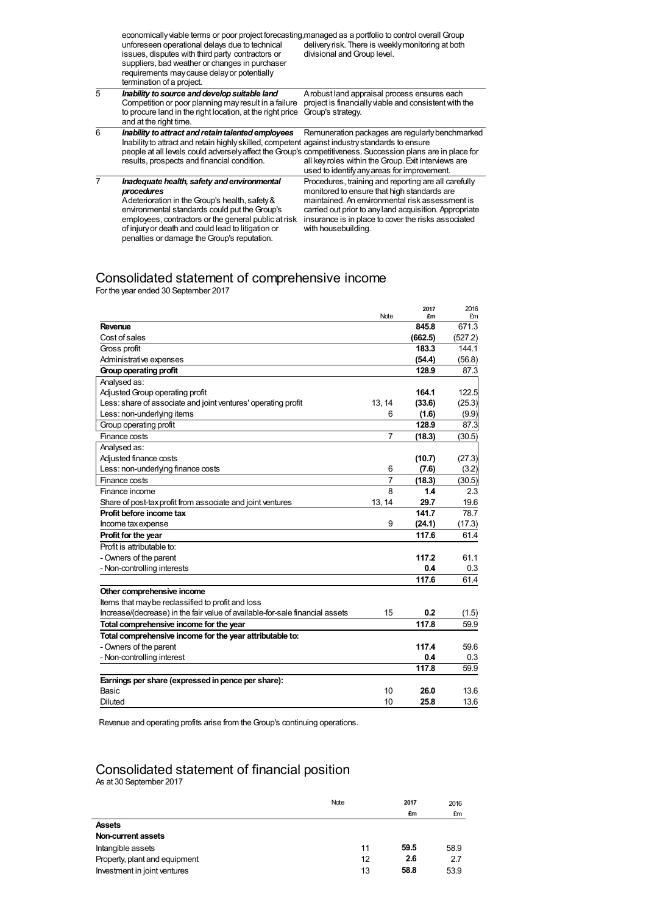|   | economically viable terms or poor project forecasting, managed as a portfolio to control overall Group<br>unforeseen operational delays due to technical<br>issues, disputes with third party contractors or<br>suppliers, bad weather or changes in purchaser<br>requirements may cause delay or potentially<br>termination of a project. | delivery risk. There is weekly monitoring at both<br>divisional and Group level.                                                                       |
|---|--------------------------------------------------------------------------------------------------------------------------------------------------------------------------------------------------------------------------------------------------------------------------------------------------------------------------------------------|--------------------------------------------------------------------------------------------------------------------------------------------------------|
| 5 | Inability to source and develop suitable land<br>Competition or poor planning may result in a failure<br>to procure land in the right location, at the right price<br>and at the right time.                                                                                                                                               | Arobust land appraisal process ensures each<br>project is financially viable and consistent with the<br>Group's strategy.                              |
| 6 | Inability to attract and retain talented employees<br>Inability to attract and retain highly skilled, competent against industry standards to ensure<br>people at all levels could adversely affect the Group's competitiveness. Succession plans are in place for<br>results, prospects and financial condition.                          | Remuneration packages are regularly benchmarked<br>all key roles within the Group. Exit interviews are<br>used to identify any areas for improvement.  |
|   | Inadequate health, safety and environmental<br>procedures<br>A deterioration in the Group's health, safety &                                                                                                                                                                                                                               | Procedures, training and reporting are all carefully<br>monitored to ensure that high standards are<br>maintained. An environmental risk assessment is |

environmental standards could put theGroup's employees, contractors or the general public at risk of injuryor death and could lead to litigation or penalties or damage the Group's reputation.

maintained. An environmental risk assessment is carried out prior to anyland acquisition. Appropriate insurance is in place to cover the risks associated with housebuilding.

# Consolidated statement of comprehensive income

For the year ended 30 September 2017

|                                                                              | Note           | 2017<br>£m | 2016<br>£m |
|------------------------------------------------------------------------------|----------------|------------|------------|
| Revenue                                                                      |                | 845.8      | 671.3      |
| Cost of sales                                                                |                | (662.5)    | (527.2)    |
| Gross profit                                                                 |                | 183.3      | 144.1      |
| Administrative expenses                                                      |                | (54.4)     | (56.8)     |
| Group operating profit                                                       |                | 128.9      | 87.3       |
| Analysed as:                                                                 |                |            |            |
| Adjusted Group operating profit                                              |                | 164.1      | 122.5      |
| Less: share of associate and joint ventures' operating profit                | 13, 14         | (33.6)     | (25.3)     |
| Less: non-underlying items                                                   | 6              | (1.6)      | (9.9)      |
| Group operating profit                                                       |                | 128.9      | 87.3       |
| Finance costs                                                                | $\overline{7}$ | (18.3)     | (30.5)     |
| Analysed as:                                                                 |                |            |            |
| Adjusted finance costs                                                       |                | (10.7)     | (27.3)     |
| Less: non-underlying finance costs                                           | 6              | (7.6)      | (3.2)      |
| Finance costs                                                                | $\overline{7}$ | (18.3)     | (30.5)     |
| Finance income                                                               | 8              | 1.4        | 2.3        |
| Share of post-tax profit from associate and joint ventures                   | 13, 14         | 29.7       | 19.6       |
| Profit before income tax                                                     |                | 141.7      | 78.7       |
| Income tax expense                                                           | 9              | (24.1)     | (17.3)     |
| Profit for the year                                                          |                | 117.6      | 61.4       |
| Profit is attributable to:                                                   |                |            |            |
| - Owners of the parent                                                       |                | 117.2      | 61.1       |
| - Non-controlling interests                                                  |                | 0.4        | 0.3        |
|                                                                              |                | 117.6      | 61.4       |
| Other comprehensive income                                                   |                |            |            |
| Items that may be reclassified to profit and loss                            |                |            |            |
| Increase/(decrease) in the fair value of available-for-sale financial assets | 15             | 0.2        | (1.5)      |
| Total comprehensive income for the year                                      |                | 117.8      | 59.9       |
| Total comprehensive income for the year attributable to:                     |                |            |            |
| - Owners of the parent                                                       |                | 117.4      | 59.6       |
| - Non-controlling interest                                                   |                | 0.4        | 0.3        |
|                                                                              |                | 117.8      | 59.9       |
| Earnings per share (expressed in pence per share):                           |                |            |            |
| Basic                                                                        | 10             | 26.0       | 13.6       |
| Diluted                                                                      | 10             | 25.8       | 13.6       |

Revenue and operating profits arise from theGroup's continuing operations.

## Consolidated statement of financial position

As at 30 September 2017

|                               | Note |    | 2017 | 2016 |
|-------------------------------|------|----|------|------|
|                               |      |    | £m   | £m   |
| <b>Assets</b>                 |      |    |      |      |
| Non-current assets            |      |    |      |      |
| Intangible assets             |      | 11 | 59.5 | 58.9 |
| Property, plant and equipment |      | 12 | 2.6  | 2.7  |
| Investment in joint ventures  |      | 13 | 58.8 | 53.9 |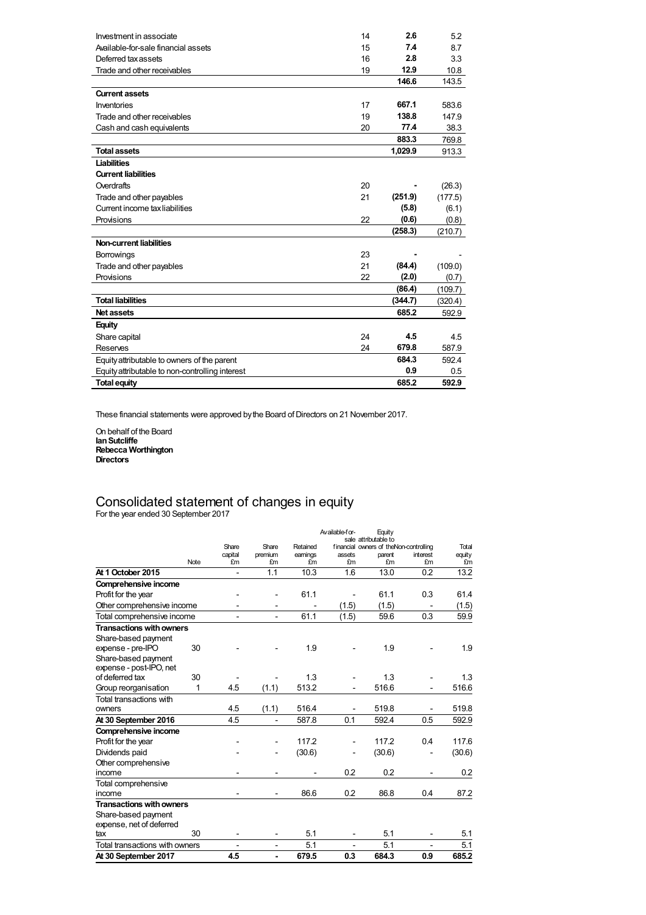| Investment in associate                         | 14 | 2.6     | 5.2     |
|-------------------------------------------------|----|---------|---------|
| Available-for-sale financial assets             | 15 | 7.4     | 8.7     |
| Deferred tax assets                             | 16 | 2.8     | 3.3     |
| Trade and other receivables                     | 19 | 12.9    | 10.8    |
|                                                 |    | 146.6   | 143.5   |
| <b>Current assets</b>                           |    |         |         |
| Inventories                                     | 17 | 667.1   | 583.6   |
| Trade and other receivables                     | 19 | 138.8   | 147.9   |
| Cash and cash equivalents                       | 20 | 77.4    | 38.3    |
|                                                 |    | 883.3   | 769.8   |
| <b>Total assets</b>                             |    | 1,029.9 | 913.3   |
| Liabilities                                     |    |         |         |
| <b>Current liabilities</b>                      |    |         |         |
| Overdrafts                                      | 20 |         | (26.3)  |
| Trade and other payables                        | 21 | (251.9) | (177.5) |
| Current income tax liabilities                  |    | (5.8)   | (6.1)   |
| Provisions                                      | 22 | (0.6)   | (0.8)   |
|                                                 |    | (258.3) | (210.7) |
| <b>Non-current liabilities</b>                  |    |         |         |
| Borrowings                                      | 23 |         |         |
| Trade and other payables                        | 21 | (84.4)  | (109.0) |
| Provisions                                      | 22 | (2.0)   | (0.7)   |
|                                                 |    | (86.4)  | (109.7) |
| <b>Total liabilities</b>                        |    | (344.7) | (320.4) |
| <b>Net assets</b>                               |    | 685.2   | 592.9   |
| <b>Equity</b>                                   |    |         |         |
| Share capital                                   | 24 | 4.5     | 4.5     |
| Reserves                                        | 24 | 679.8   | 587.9   |
| Equity attributable to owners of the parent     |    | 684.3   | 592.4   |
| Equity attributable to non-controlling interest |    | 0.9     | 0.5     |
| <b>Total equity</b>                             |    | 685.2   | 592.9   |

These financial statements were approved by the Board of Directors on 21 November 2017.

On behalf of the Board **IanSutcliffe Rebecca Worthington Directors**

## Consolidated statement of changes in equity

For the year ended 30 September 2017

|                                 |      |                |                          |          | Available-for- | Equity                                                         |          |        |
|---------------------------------|------|----------------|--------------------------|----------|----------------|----------------------------------------------------------------|----------|--------|
|                                 |      | Share          | Share                    | Retained |                | sale attributable to<br>financial owners of theNon-controlling |          | Total  |
|                                 |      | capital        | premium                  | earnings | assets         | parent                                                         | interest | equity |
|                                 | Note | £m             | £m                       | £m       | £m             | £m                                                             | £m       | £m     |
| At 1 October 2015               |      | $\overline{a}$ | 1.1                      | 10.3     | 1.6            | 13.0                                                           | 0.2      | 13.2   |
| Comprehensive income            |      |                |                          |          |                |                                                                |          |        |
| Profit for the year             |      |                |                          | 61.1     |                | 61.1                                                           | 0.3      | 61.4   |
| Other comprehensive income      |      |                |                          |          | (1.5)          | (1.5)                                                          |          | (1.5)  |
| Total comprehensive income      |      | $\overline{a}$ | $\overline{a}$           | 61.1     | (1.5)          | 59.6                                                           | 0.3      | 59.9   |
| <b>Transactions with owners</b> |      |                |                          |          |                |                                                                |          |        |
| Share-based payment             |      |                |                          |          |                |                                                                |          |        |
| expense - pre-IPO               | 30   |                |                          | 1.9      |                | 1.9                                                            |          | 1.9    |
| Share-based payment             |      |                |                          |          |                |                                                                |          |        |
| expense - post-IPO, net         |      |                |                          |          |                |                                                                |          |        |
| of deferred tax                 | 30   |                |                          | 1.3      |                | 1.3                                                            |          | 1.3    |
| Group reorganisation            | 1    | 4.5            | (1.1)                    | 513.2    |                | 516.6                                                          |          | 516.6  |
| Total transactions with         |      |                |                          |          |                |                                                                |          |        |
| owners                          |      | 4.5            | (1.1)                    | 516.4    |                | 519.8                                                          |          | 519.8  |
| At 30 September 2016            |      | 4.5            |                          | 587.8    | 0.1            | 592.4                                                          | 0.5      | 592.9  |
| Comprehensive income            |      |                |                          |          |                |                                                                |          |        |
| Profit for the year             |      |                |                          | 117.2    |                | 117.2                                                          | 0.4      | 117.6  |
| Dividends paid                  |      |                |                          | (30.6)   |                | (30.6)                                                         |          | (30.6) |
| Other comprehensive             |      |                |                          |          |                |                                                                |          |        |
| income                          |      |                |                          |          | 0.2            | 0.2                                                            |          | 0.2    |
| Total comprehensive             |      |                |                          |          |                |                                                                |          |        |
| income                          |      |                |                          | 86.6     | 0.2            | 86.8                                                           | 0.4      | 87.2   |
| <b>Transactions with owners</b> |      |                |                          |          |                |                                                                |          |        |
| Share-based payment             |      |                |                          |          |                |                                                                |          |        |
| expense, net of deferred        |      |                |                          |          |                |                                                                |          |        |
| tax                             | 30   |                | $\overline{\phantom{a}}$ | 5.1      |                | 5.1                                                            |          | 5.1    |
| Total transactions with owners  |      |                |                          | 5.1      |                | 5.1                                                            |          | 5.1    |
| At 30 September 2017            |      | 4.5            | ۰                        | 679.5    | 0.3            | 684.3                                                          | 0.9      | 685.2  |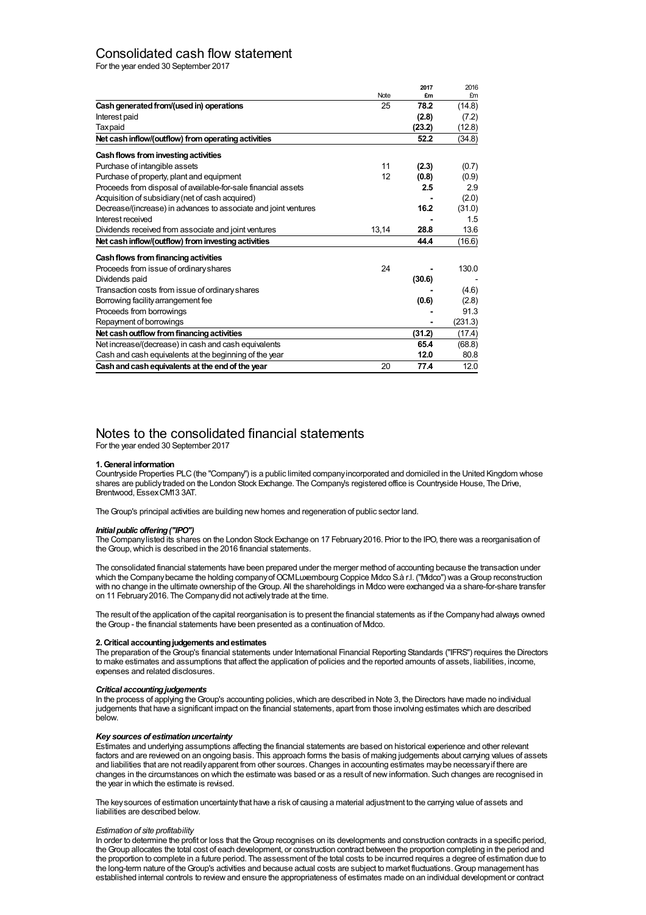## Consolidated cash flow statement

For the year ended 30 September 2017

|                                                                 |       | 2017   | 2016    |
|-----------------------------------------------------------------|-------|--------|---------|
|                                                                 | Note  | £m     | £m      |
| Cash generated from/(used in) operations                        | 25    | 78.2   | (14.8)  |
| Interest paid                                                   |       | (2.8)  | (7.2)   |
| <b>Taxpaid</b>                                                  |       | (23.2) | (12.8)  |
| Net cash inflow/(outflow) from operating activities             |       | 52.2   | (34.8)  |
| Cash flows from investing activities                            |       |        |         |
| Purchase of intangible assets                                   | 11    | (2.3)  | (0.7)   |
| Purchase of property, plant and equipment                       | 12    | (0.8)  | (0.9)   |
| Proceeds from disposal of available-for-sale financial assets   |       | 2.5    | 2.9     |
| Acquisition of subsidiary (net of cash acquired)                |       |        | (2.0)   |
| Decrease/(increase) in advances to associate and joint ventures |       | 16.2   | (31.0)  |
| Interest received                                               |       |        | 1.5     |
| Dividends received from associate and joint ventures            | 13,14 | 28.8   | 13.6    |
| Net cash inflow/(outflow) from investing activities             |       | 44.4   | (16.6)  |
| Cash flows from financing activities                            |       |        |         |
| Proceeds from issue of ordinary shares                          | 24    |        | 130.0   |
| Dividends paid                                                  |       | (30.6) |         |
| Transaction costs from issue of ordinary shares                 |       |        | (4.6)   |
| Borrowing facility arrangement fee                              |       | (0.6)  | (2.8)   |
| Proceeds from borrowings                                        |       |        | 91.3    |
| Repayment of borrowings                                         |       |        | (231.3) |
| Net cash outflow from financing activities                      |       | (31.2) | (17.4)  |
| Net increase/(decrease) in cash and cash equivalents            |       | 65.4   | (68.8)  |
| Cash and cash equivalents at the beginning of the year          |       | 12.0   | 80.8    |
| Cash and cash equivalents at the end of the year                | 20    | 77.4   | 12.0    |

## Notes to the consolidated financial statements

For the year ended 30 September 2017

## **1.General information**

Countryside Properties PLC(the "Company") is a public limited companyincorporated and domiciled in the United Kingdom whose shares are publiclytraded on the London Stock Exchange. The Company's registered office is Countryside House, The Drive, Brentwood, EssexCM13 3AT.

The Group's principal activities are building new homes and regeneration of public sector land.

## *Initial public offering("IPO")*

The Companylisted its shares on the London Stock Exchange on 17 February2016. Prior to the IPO, there was a reorganisation of the Group, which is described in the 2016 financial statements.

The consolidated financial statements have been prepared under the merger method of accounting because the transaction under which the Company became the holding company of OCMLuxembourg Coppice Mdco S.à r.l. ("Mdco") was a Group reconstruction with no change in the ultimate ownership of theGroup. All the shareholdings in Midco were exchanged via a share-for-share transfer on 11 February 2016. The Company did not actively trade at the time.

The result of the application of the capital reorganisation is to present the financial statements as if the Companyhad always owned theGroup - the financial statements have been presented as a continuation of Midco.

## **2.Critical accountingjudgements andestimates**

The preparation of theGroup's financial statements under International Financial Reporting Standards ("IFRS") requires the Directors to make estimates and assumptions that affect the application of policies and the reported amounts of assets, liabilities, income, expenses and related disclosures.

#### *Critical accounting judgements*

In the process of applying the Group's accounting policies, which are described in Note 3, the Directors have made no individual judgements that have a significant impact on the financial statements, apart from those involving estimates which are described below.

## *Key sources of estimationuncertainty*

Estimates and underlying assumptions affecting the financial statements are based on historical experience and other relevant factors and are reviewed on an ongoing basis. This approach forms the basis of making judgements about carrying values of assets and liabilities that are not readilyapparent from other sources.Changes in accounting estimates maybe necessaryif there are changes in the circumstances on which the estimate was based or as a result of newinformation. Such changes are recognised in the year in which the estimate is revised.

The keysources of estimation uncertaintythat have a risk of causing a material adjustment to the carrying value of assets and liabilities are described below.

## *Estimation of site profitability*

In order to determine the profit or loss that the Group recognises on its developments and construction contracts in a specific period, theGroup allocates the total cost of each development, or construction contract between the proportion completing in the period and the proportion to complete in a future period. The assessment of the total costs to be incurred requires a degree of estimation due to the long-term nature of the Group's activities and because actual costs are subject to market fluctuations. Group management has established internal controls to reviewand ensure the appropriateness of estimates made on an individual development or contract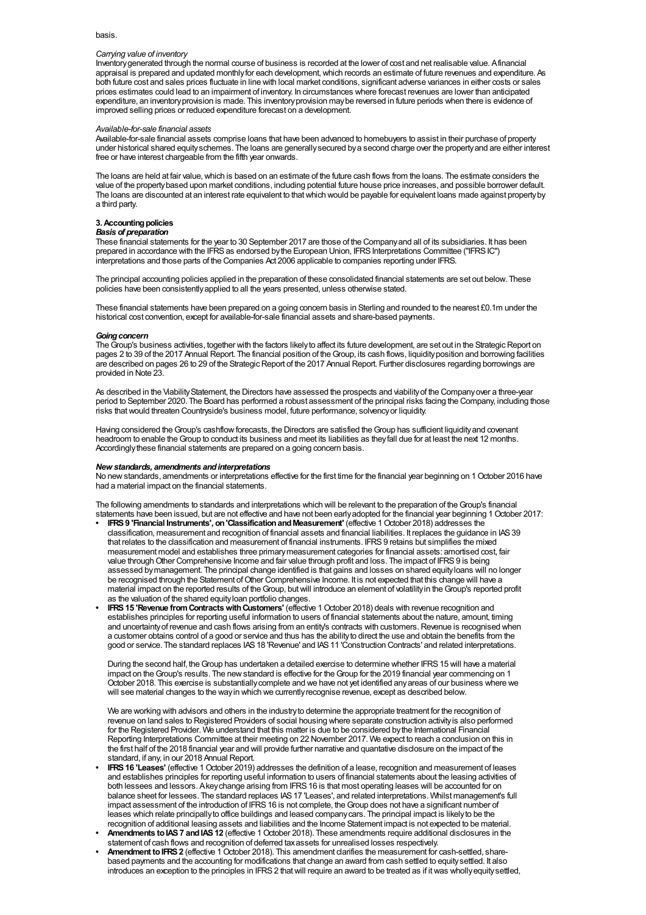## basis.

## *Carrying value of inventory*

Inventorygenerated through the normal course of business is recorded at the lower of cost and net realisable value. Afinancial appraisal is prepared and updated monthlyfor each development,which records an estimate of future revenues and expenditure. As both future cost and sales prices fluctuate in line with local market conditions, significant adverse variances in either costs or sales prices estimates could lead to an impairment of inventory. In circumstances where forecast revenues are lower than anticipated expenditure, an inventoryprovision is made. This inventoryprovision maybe reversed in future periods when there is evidence of improved selling prices or reduced expenditure forecast on a development.

#### *Available-for-sale financial assets*

Available-for-sale financial assets comprise loans that have been advanced to homebuyers to assist in their purchase of property under historical shared equityschemes. The loans are generallysecured bya second charge over the propertyand are either interest free or have interest chargeable from the fifth year onwards.

The loans are held at fair value, which is based on an estimate of the future cash flows from the loans. The estimate considers the value of the propertybased upon market conditions, including potential future house price increases, and possible borrower default. The loans are discounted at an interest rate equivalent to thatwhich would be payable for equivalent loans made against propertyby a third party.

## **3. Accounting policies**

## *Basis of preparation*

These financial statements for the year to 30 September 2017 are those of the Companyand all of its subsidiaries. It has been prepared in accordance with the IFRS as endorsed by the European Union, IFRS Interpretations Committee ("IFRSIC") interpretations and those parts of the Companies Act 2006 applicable to companies reporting under IFRS.

The principal accounting policies applied in the preparation of these consolidated financial statements are set out below. These policies have been consistentlyapplied to all the years presented, unless otherwise stated.

These financial statements have been prepared on a going concern basis in Sterling and rounded to the nearest £0.1m under the historical cost convention, except for available-for-sale financial assets and share-based payments.

#### Going concern

The Group's business activities, together with the factors likely to affect its future development, are set out in the Strategic Report on pages 2 to 39 of the 2017 Annual Report. The financial position of the Group, its cash flows, liquidity position and borrowing facilities are described on pages 26 to 29 of the Strategic Report of the 2017 Annual Report. Further disclosures regarding borrowings are provided in Note 23.

As described in the Viability Statement, the Directors have assessed the prospects and viability of the Companyover a three-year period to September 2020. The Board has performed a robust assessment of the principal risks facing the Company, including those risks thatwould threaten Countryside's business model, future performance, solvencyor liquidity.

Having considered theGroup's cashflowforecasts, the Directors are satisfied theGroup has sufficient liquidityand covenant headroom to enable the Group to conduct its business and meet its liabilities as they fall due for at least the next 12 months. Accordingly these financial statements are prepared on a going concern basis.

#### *New standards, amendments andinterpretations*

No newstandards, amendments or interpretations effective for the first time for the financial year beginning on 1October 2016 have had a material impact on the financial statements.

The following amendments to standards and interpretations which will be relevant to the preparation of theGroup's financial statements have been issued, but are not effective and have not been earlyadopted for the financial year beginning 1October 2017:

- **• IFRS9 'Financial Instruments', on'ClassificationandMeasurement'** (effective 1October 2018) addresses the classification, measurement and recognition of financial assets and financial liabilities. It replaces the guidance in IAS39 that relates to the classification and measurement of financial instruments. IFRS9 retains but simplifies the mixed measurement model and establishes three primarymeasurement categories for financial assets: amortised cost, fair value through Other Comprehensive Income and fair value through profit and loss. The impact of IFRS 9 is being assessed bymanagement. The principal change identified is that gains and losses on shared equityloans will no longer be recognised through the Statement ofOther Comprehensive Income. It is not expected that this change will have a material impact on the reported results of theGroup, butwill introduce an element of volatilityin theGroup's reported profit as the valuation of the shared equityloan portfolio changes.
- **IFRS 15 'Revenue from Contracts with Customers'** (effective 1 October 2018) deals with revenue recognition and establishes principles for reporting useful information to users of financial statements about the nature, amount, timing and uncertainty of revenue and cash flows arising from an entity's contracts with customers. Revenue is recognised when a customer obtains control of a good or service and thus has the abilityto direct the use and obtain the benefits from the good or service. The standard replaces IAS 18 'Revenue' and IAS 11 'Construction Contracts' and related interpretations.

During the second half, the Group has undertaken a detailed exercise to determine whether IFRS 15 will have a material impact on the Group's results. The new standard is effective for the Group for the 2019 financial year commencing on 1 October 2018. This exercise is substantiallycomplete and we have not yet identified anyareas of our business where we will see material changes to the way in which we currently recognise revenue, except as described below.

We are working with advisors and others in the industry to determine the appropriate treatment for the recognition of revenue on land sales to Registered Providers of social housing where separate construction activityis also performed for the Registered Provider. We understand that this matter is due to be considered bythe International Financial Reporting Interpretations Committee at their meeting on 22 November 2017. We expect to reach a conclusion on this in the first half of the 2018 financial year and will provide further narrative and quantative disclosure on the impact of the standard, if any, in our 2018 Annual Report.

- **• IFRS16 'Leases'** (effective 1October 2019) addresses the definition of a lease, recognition and measurement of leases and establishes principles for reporting useful information to users of financial statements about the leasing activities of both lessees and lessors. Akeychange arising from IFRS16 is that most operating leases will be accounted for on balance sheet for lessees. The standard replaces IAS17 'Leases', and related interpretations. Whilst management's full impact assessment of the introduction of IFRS 16 is not complete, the Group does not have a significant number of leases which relate principallyto office buildings and leased companycars. The principal impact is likelyto be the recognition of additional leasing assets and liabilities and the Income Statement impact is not expected to be material.
- **• Amendments toIAS7 andIAS12** (effective 1October 2018). These amendments require additional disclosures in the statement of cash flows and recognition of deferred taxassets for unrealised losses respectively.
- **• Amendment toIFRS2** (effective 1October 2018). This amendment clarifies the measurement for cash-settled, sharebased payments and the accounting for modifications that change an award from cash settled to equitysettled. It also introduces an exception to the principles in IFRS2 thatwill require an award to be treated as if itwas whollyequitysettled,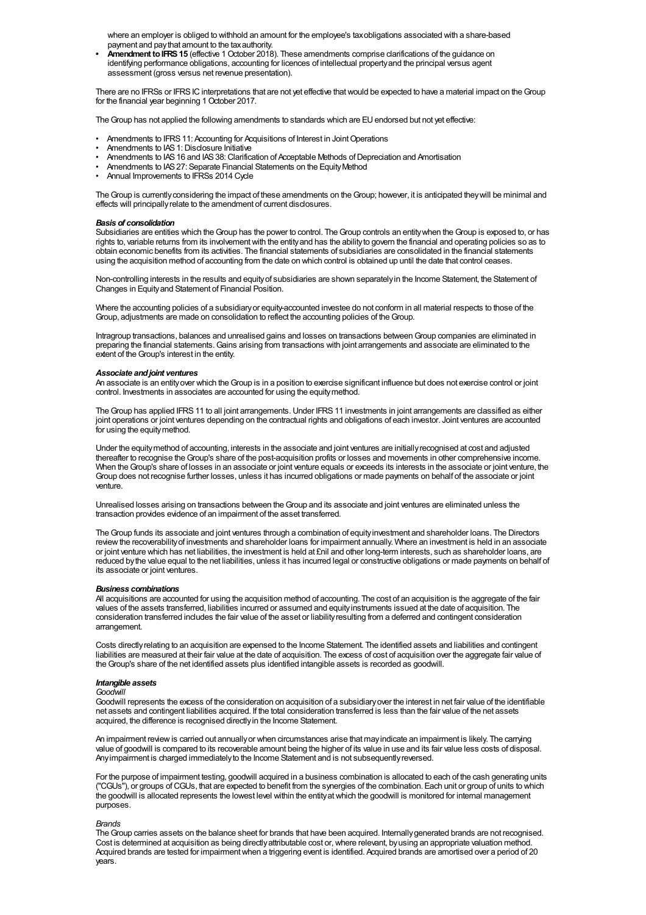where an employer is obliged to withhold an amount for the employee's taxobligations associated with a share-based payment and paythat amount to the taxauthority.

**Amendment to IFRS 15** (effective 1 October 2018). These amendments comprise clarifications of the guidance on identifying performance obligations, accounting for licences of intellectual propertyand the principal versus agent assessment (gross versus net revenue presentation).

There are no IFRSs or IFRS IC interpretations that are not yet effective that would be expected to have a material impact on the Group for the financial year beginning 1 October 2017.

The Group has not applied the following amendments to standards which are EU endorsed but not yet effective:

- Amendments to IFRS 11: Accounting for Acquisitions of Interest in Joint Operations
- Amendments to IAS 1: Disclosure Initiative
- Amendments to IAS 16 and IAS 38: Clarification of Acceptable Methods of Depreciation and Amortisation
- Amendments to IAS 27: Separate Financial Statements on the Equity Method
- Annual Improvements to IFRSs 2014 Cycle

The Group is currently considering the impact of these amendments on the Group; however, it is anticipated they will be minimal and effects will principallyrelate to the amendment of current disclosures.

### *Basis of consolidation*

Subsidiaries are entities which the Group has the power to control. The Group controls an entity when the Group is exposed to, or has rights to, variable returns from its involvementwith the entityand has the abilityto govern the financial and operating policies so as to obtain economic benefits from its activities. The financial statements of subsidiaries are consolidated in the financial statements using the acquisition method of accounting from the date on which control is obtained up until the date that control ceases.

Non-controlling interests in the results and equityof subsidiaries are shown separatelyin the Income Statement, the Statement of Changes in Equityand Statement of Financial Position.

Where the accounting policies of a subsidiaryor equity-accounted investee do not conform in all material respects to those of the Group, adjustments are made on consolidation to reflect the accounting policies of theGroup.

Intragroup transactions, balances and unrealised gains and losses on transactions betweenGroup companies are eliminated in preparing the financial statements.Gains arising from transactions with joint arrangements and associate are eliminated to the extent of the Group's interest in the entity.

#### *Associate andjoint ventures*

An associate is an entityover which theGroup is in a position to exercise significant influence but does not exercise control or joint control. Investments in associates are accounted for using the equitymethod.

The Group has applied IFRS 11 to all joint arrangements. Under IFRS 11 investments in joint arrangements are classified as either joint operations or joint ventures depending on the contractual rights and obligations of each investor. Joint ventures are accounted for using the equitymethod.

Under the equitymethod of accounting, interests in the associate and joint ventures are initiallyrecognised at cost and adjusted thereafter to recognise theGroup's share of the post-acquisition profits or losses and movements in other comprehensive income. When theGroup's share of losses in an associate or joint venture equals or exceeds its interests in the associate or joint venture, the Group does not recognise further losses, unless it has incurred obligations or made payments on behalf of the associate or joint venture.

Unrealised losses arising on transactions between theGroup and its associate and joint ventures are eliminated unless the transaction provides evidence of an impairment of the asset transferred.

TheGroup funds its associate and joint ventures through a combination of equityinvestment and shareholder loans. The Directors reviewthe recoverabilityof investments and shareholder loans for impairment annually. Where an investment is held in an associate or joint venture which has net liabilities, the investment is held at £nil and other long-term interests, such as shareholder loans, are reduced bythe value equal to the net liabilities, unless it has incurred legal or constructive obligations or made payments on behalf of its associate or joint ventures.

### *Business combinations*

All acquisitions are accounted for using the acquisition method of accounting. The cost of an acquisition is the aggregate of the fair values of the assets transferred, liabilities incurred or assumed and equityinstruments issued at the date of acquisition. The consideration transferred includes the fair value of the asset or liabilityresulting from a deferred and contingent consideration arrangement.

Costs directlyrelating to an acquisition are expensed to the Income Statement. The identified assets and liabilities and contingent liabilities are measured at their fair value at the date of acquisition. The excess of cost of acquisition over the aggregate fair value of theGroup's share of the net identified assets plus identified intangible assets is recorded as goodwill.

## *Intangible assets*

#### *Goodwill*

Goodwill represents the excess of the consideration on acquisition of a subsidiary over the interest in net fair value of the identifiable net assets and contingent liabilities acquired. If the total consideration transferred is less than the fair value of the net assets acquired, the difference is recognised directlyin the Income Statement.

An impairment reviewis carried out annuallyor when circumstances arise that mayindicate an impairment is likely. The carrying value of goodwill is compared to its recoverable amount being the higher of its value in use and its fair value less costs of disposal. Anyimpairment is charged immediatelyto the Income Statement and is not subsequentlyreversed.

For the purpose of impairment testing, goodwill acquired in a business combination is allocated to each of the cash generating units ("CGUs"), or groups ofCGUs, that are expected to benefit from the synergies of the combination. Each unit or group of units to which the goodwill is allocated represents the lowest level within the entityatwhich the goodwill is monitored for internal management purposes.

#### *Brands*

The Group carries assets on the balance sheet for brands that have been acquired. Internally generated brands are not recognised. Cost is determined at acquisition as being directly attributable cost or, where relevant, by using an appropriate valuation method. Acquired brands are tested for impairment when a triggering event is identified. Acquired brands are amortised over a period of 20 years.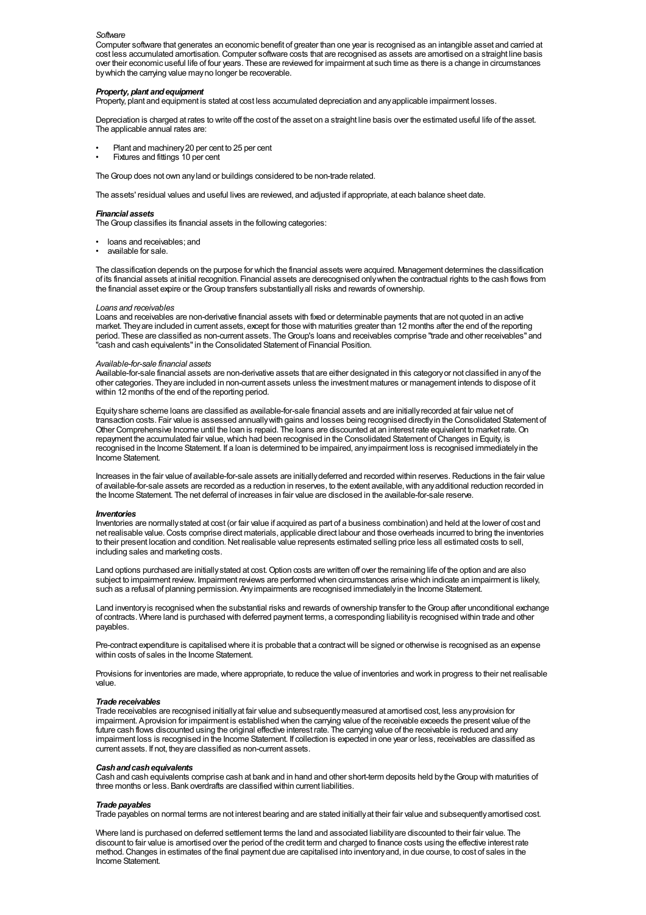#### *Software*

Computer software that generates an economic benefit of greater than one year is recognised as an intangible asset and carried at cost less accumulated amortisation.Computer software costs that are recognised as assets are amortised on a straight line basis over their economic useful life of four years. These are reviewed for impairment at such time as there is a change in circumstances bywhich the carrying value mayno longer be recoverable.

#### *Property, plant andequipment*

Property, plant and equipment is stated at cost less accumulated depreciation and anyapplicable impairment losses.

Depreciation is charged at rates to write off the cost of the asset on a straight line basis over the estimated useful life of the asset. The applicable annual rates are:

- Plant and machinery20 per cent to 25 per cent
- Fixtures and fittings 10 per cent

The Group does not own any land or buildings considered to be non-trade related.

The assets' residual values and useful lives are reviewed, and adjusted if appropriate, at each balance sheet date.

#### *Financial assets*

The Group classifies its financial assets in the following categories:

- loans and receivables; and
- available for sale.

The classification depends on the purpose for which the financial assets were acquired. Management determines the classification of its financial assets at initial recognition. Financial assets are derecognised onlywhen the contractual rights to the cash flows from the financial asset expire or theGroup transfers substantiallyall risks and rewards of ownership.

#### *Loans and receivables*

Loans and receivables are non-derivative financial assets with fixed or determinable payments that are not quoted in an active market. Theyare included in current assets, except for those with maturities greater than 12 months after the end of the reporting period. These are classified as non-current assets. The Group's loans and receivables comprise "trade and other receivables" and "cash and cash equivalents"in the Consolidated Statement of Financial Position.

#### *Available-for-sale financial assets*

Available-for-sale financial assets are non-derivative assets that are either designated in this categoryor not classified in anyof the other categories. Theyare included in non-current assets unless the investment matures or management intends to dispose of it within 12 months of the end of the reporting period.

Equityshare scheme loans are classified as available-for-sale financial assets and are initiallyrecorded at fair value net of transaction costs. Fair value is assessed annuallywith gains and losses being recognised directlyin the Consolidated Statement of Other Comprehensive Income until the loan is repaid. The loans are discounted at an interest rate equivalent to market rate.On repayment the accumulated fair value, which had been recognised in the Consolidated Statement of Changes in Equity, is recognised in the Income Statement. If a loan is determined to be impaired, anyimpairment loss is recognised immediatelyin the Income Statement.

Increases in the fair value of available-for-sale assets are initiallydeferred and recorded within reserves.Reductions in the fair value of available-for-sale assets are recorded as a reduction in reserves, to the extent available,with anyadditional reduction recorded in the Income Statement. The net deferral of increases in fair value are disclosed in the available-for-sale reserve.

#### *Inventories*

Inventories are normallystated at cost (or fair value if acquired as part of a business combination) and held at the lower of cost and net realisable value.Costs comprise direct materials, applicable direct labour and those overheads incurred to bring the inventories to their present location and condition. Net realisable value represents estimated selling price less all estimated costs to sell, including sales and marketing costs.

Land options purchased are initiallystated at cost.Option costs are written off over the remaining life of the option and are also subject to impairment review. Impairment reviews are performed when circumstances arise which indicate an impairment is likely, such as a refusal of planning permission. Anyimpairments are recognised immediatelyin the Income Statement.

Land inventoryis recognised when the substantial risks and rewards of ownership transfer to theGroup after unconditional exchange of contracts. Where land is purchased with deferred payment terms, a corresponding liabilityis recognised within trade and other payables.

Pre-contract expenditure is capitalised where it is probable that a contract will be signed or otherwise is recognised as an expense within costs of sales in the Income Statement.

Provisions for inventories are made, where appropriate, to reduce the value of inventories and work in progress to their net realisable value.

#### *Trade receivables*

Trade receivables are recognised initiallyat fair value and subsequentlymeasured at amortised cost, less anyprovision for impairment. Aprovision for impairment is established when the carrying value of the receivable exceeds the present value of the future cash flows discounted using the original effective interest rate. The carrying value of the receivable is reduced and any impairment loss is recognised in the Income Statement. If collection is expected in one year or less, receivables are classified as current assets. If not, theyare classified as non-current assets.

#### *Cashandcashequivalents*

Cash and cash equivalents comprise cash at bank and in hand and other short-term deposits held bytheGroup with maturities of three months or less. Bank overdrafts are classified within current liabilities.

#### *Trade payables*

Trade payables on normal terms are not interest bearing and are stated initiallyat their fair value and subsequentlyamortised cost.

Where land is purchased on deferred settlement terms the land and associated liabilityare discounted to their fair value. The discount to fair value is amortised over the period of the credit term and charged to finance costs using the effective interest rate method.Changes in estimates of the final payment due are capitalised into inventoryand, in due course, to cost of sales in the Income Statement.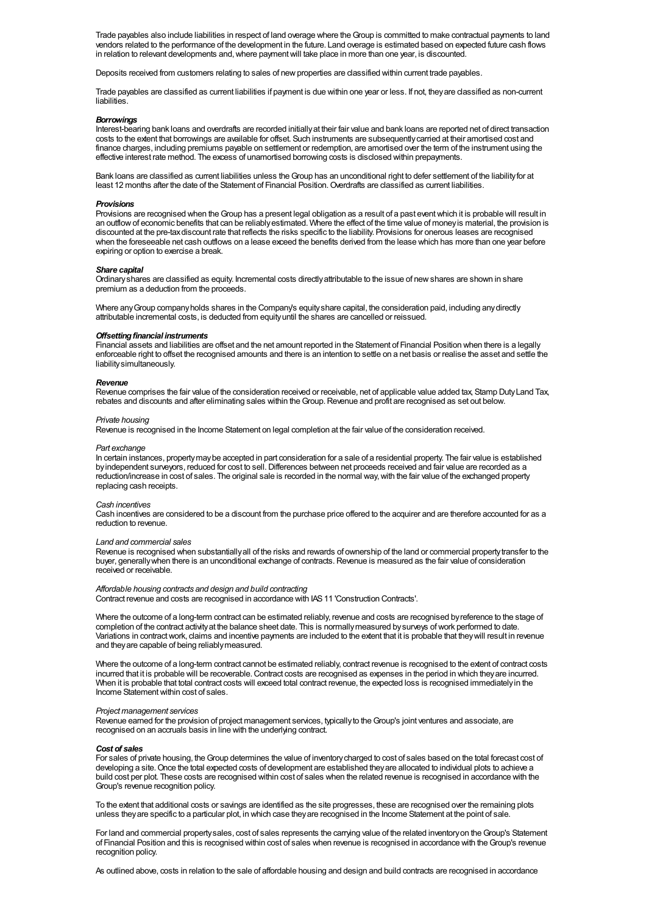Trade payables also include liabilities in respect of land overage where theGroup is committed to make contractual payments to land vendors related to the performance of the development in the future. Land overage is estimated based on expected future cash flows in relation to relevant developments and, where payment will take place in more than one year, is discounted.

Deposits received from customers relating to sales of new properties are classified within current trade payables.

Trade payables are classified as current liabilities if payment is due within one year or less. If not, theyare classified as non-current liabilities.

#### *Borrowings*

Interest-bearing bank loans and overdrafts are recorded initiallyat their fair value and bank loans are reported net of direct transaction costs to the extent that borrowings are available for offset. Such instruments are subsequentlycarried at their amortised cost and finance charges, including premiums payable on settlement or redemption, are amortised over the term of the instrument using the effective interest rate method. The excess of unamortised borrowing costs is disclosed within prepayments.

Bank loans are classified as current liabilities unless theGroup has an unconditional right to defer settlement of the liabilityfor at least 12 months after the date of the Statement of Financial Position. Overdrafts are classified as current liabilities.

#### *Provisions*

Provisions are recognised when the Group has a present legal obligation as a result of a past event which it is probable will result in an outflowof economic benefits that can be reliablyestimated. Where the effect of the time value of moneyis material, the provision is discounted at the pre-taxdiscount rate that reflects the risks specific to the liability. Provisions for onerous leases are recognised when the foreseeable net cash outflows on a lease exceed the benefits derived from the lease which has more than one year before expiring or option to exercise a break.

#### *Share capital*

Ordinaryshares are classified as equity. Incremental costs directlyattributable to the issue of newshares are shown in share premium as a deduction from the proceeds.

Where any Group company holds shares in the Company's equity share capital, the consideration paid, including any directly attributable incremental costs, is deducted from equityuntil the shares are cancelled or reissued.

#### **Offsetting financial instruments**

Financial assets and liabilities are offset and the net amount reported in the Statement of Financial Position when there is a legally enforceable right to offset the recognised amounts and there is an intention to settle on a net basis or realise the asset and settle the liabilitysimultaneously.

#### *Revenue*

Revenue comprises the fair value of the consideration received or receivable, net of applicable value added tax, Stamp DutyLand Tax, rebates and discounts and after eliminating sales within theGroup.Revenue and profit are recognised as set out below.

## *Private housing*

Revenue is recognised in the Income Statement on legal completion at the fair value of the consideration received.

#### *Part exchange*

In certain instances, propertymaybe accepted in part consideration for a sale of a residential property. The fair value is established by independent surveyors, reduced for cost to sell. Differences between net proceeds received and fair value are recorded as a reduction/increase in cost of sales. The original sale is recorded in the normal way,with the fair value of the exchanged property replacing cash receipts.

## *Cash incentives*

Cash incentives are considered to be a discount from the purchase price offered to the acquirer and are therefore accounted for as a reduction to revenue.

## *Land and commercial sales*

Revenue is recognised when substantiallyall of the risks and rewards of ownership of the land or commercial propertytransfer to the buyer, generally when there is an unconditional exchange of contracts. Revenue is measured as the fair value of consideration received or receivable.

## *Affordable housing contracts and design and build contracting*

Contract revenue and costs are recognised in accordance with IAS11 'Construction Contracts'.

Where the outcome of a long-term contract can be estimated reliably, revenue and costs are recognised by reference to the stage of completion of the contract activityat the balance sheet date. This is normallymeasured bysurveys ofwork performed to date. Variations in contractwork, claims and incentive payments are included to the extent that it is probable that theywill result in revenue and theyare capable of being reliablymeasured.

Where the outcome of a long-term contract cannot be estimated reliably, contract revenue is recognised to the extent of contract costs incurred that it is probable will be recoverable. Contract costs are recognised as expenses in the period in which they are incurred. When it is probable that total contract costs will exceed total contract revenue, the expected loss is recognised immediatelyin the Income Statementwithin cost of sales.

## *Project management services*

Revenue earned for the provision of project management services, typicallyto theGroup's joint ventures and associate, are recognised on an accruals basis in line with the underlying contract.

#### *Cost of sales*

For sales of private housing, theGroup determines the value of inventorycharged to cost of sales based on the total forecast cost of developing a site.Once the total expected costs of development are established theyare allocated to individual plots to achieve a build cost per plot. These costs are recognised within cost of sales when the related revenue is recognised in accordance with the Group's revenue recognition policy.

To the extent that additional costs or savings are identified as the site progresses, these are recognised over the remaining plots unless theyare specific to a particular plot, in which case theyare recognised in the Income Statement at the point of sale.

For land and commercial property sales, cost of sales represents the carrying value of the related inventory on the Group's Statement of Financial Position and this is recognised within cost of sales when revenue is recognised in accordance with theGroup's revenue recognition policy.

As outlined above, costs in relation to the sale of affordable housing and design and build contracts are recognised in accordance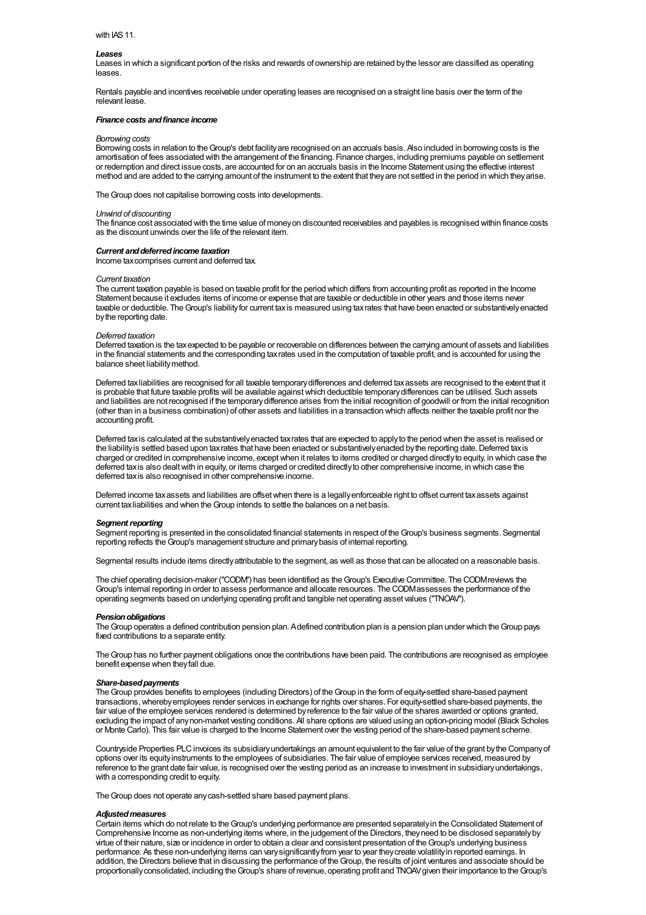#### with IAS11.

#### *Leases*

Leases in which a significant portion of the risks and rewards of ownership are retained bythe lessor are classified as operating leases.

Rentals payable and incentives receivable under operating leases are recognised on a straight line basis over the term of the relevant lease.

#### *Finance costs andfinance income*

## *Borrowing costs*

Borrowing costs in relation to theGroup's debt facilityare recognised on an accruals basis. Also included in borrowing costs is the amortisation of fees associated with the arrangement of the financing. Finance charges, including premiums payable on settlement or redemption and direct issue costs, are accounted for on an accruals basis in the Income Statement using the effective interest method and are added to the carrying amount of the instrument to the extent that theyare not settled in the period in which theyarise.

The Group does not capitalise borrowing costs into developments.

## *Unwind of discounting*

The finance cost associated with the time value of moneyon discounted receivables and payables is recognised within finance costs as the discount unwinds over the life of the relevant item.

#### *Current anddeferredincome taxation*

Income taxcomprises current and deferred tax.

#### *Current taxation*

The current taxation payable is based on taxable profit for the period which differs from accounting profit as reported in the Income Statement because it excludes items of income or expense that are taxable or deductible in other years and those items never taxable or deductible. TheGroup's liabilityfor current taxis measured using taxrates that have been enacted or substantivelyenacted bythe reporting date.

#### *Deferred taxation*

Deferred taxation is the tax expected to be payable or recoverable on differences between the carrying amount of assets and liabilities in the financial statements and the corresponding taxrates used in the computation of taxable profit, and is accounted for using the balance sheet liabilitymethod.

Deferred taxliabilities are recognised for all taxable temporarydifferences and deferred taxassets are recognised to the extent that it is probable that future taxable profits will be available againstwhich deductible temporarydifferences can be utilised. Such assets and liabilities are not recognised if the temporarydifference arises from the initial recognition of goodwill or from the initial recognition (other than in a business combination) of other assets and liabilities in a transaction which affects neither the taxable profit nor the accounting profit.

Deferred taxis calculated at the substantivelyenacted taxrates that are expected to applyto the period when the asset is realised or the liability is settled based upon taxrates that have been enacted or substantively enacted by the reporting date. Deferred taxis charged or credited in comprehensive income, exceptwhen it relates to items credited or charged directlyto equity, in which case the deferred taxis also dealtwith in equity, or items charged or credited directlyto other comprehensive income, in which case the deferred tax is also recognised in other comprehensive income.

Deferred income taxassets and liabilities are offsetwhen there is a legallyenforceable right to offset current taxassets against current tax liabilities and when the Group intends to settle the balances on a net basis.

#### **Segment reporting**

Segment reporting is presented in the consolidated financial statements in respect of theGroup's business segments. Segmental reporting reflects theGroup's management structure and primarybasis of internal reporting.

Segmental results include items directlyattributable to the segment, as well as those that can be allocated on a reasonable basis.

The chief operating decision-maker ("CODM") has been identified as theGroup's Executive Committee. The CODMreviews the Group's internal reporting in order to assess performance and allocate resources. The CODMassesses the performance of the operating segments based on underlying operating profit and tangible net operating asset values ("TNOAV").

#### **Pension obligations**

The Group operates a defined contribution pension plan. Adefined contribution plan is a pension plan under which the Group pays fixed contributions to a separate entity.

The Group has no further payment obligations once the contributions have been paid. The contributions are recognised as employee benefit expense when theyfall due.

## *Share-basedpayments*

The Group provides benefits to employees (including Directors) of the Group in the form of equity-settled share-based payment transactions,wherebyemployees render services in exchange for rights over shares. For equity-settled share-based payments, the fair value of the employee services rendered is determined by reference to the fair value of the shares awarded or options granted. excluding the impact of anynon-market vesting conditions. All share options are valued using an option-pricing model (Black Scholes or Monte Carlo). This fair value is charged to the Income Statement over the vesting period of the share-based payment scheme.

Countryside Properties PLCinvoices its subsidiaryundertakings an amount equivalent to the fair value of the grant bythe Companyof options over its equityinstruments to the employees of subsidiaries. The fair value of employee services received, measured by reference to the grant date fair value, is recognised over the vesting period as an increase to investment in subsidiaryundertakings, with a corresponding credit to equity.

The Group does not operate any cash-settled share based payment plans.

#### *Adjustedmeasures*

Certain items which do not relate to theGroup's underlying performance are presented separatelyin the Consolidated Statement of Comprehensive Income as non-underlying items where, in the judgement of the Directors, theyneed to be disclosed separatelyby virtue of their nature, size or incidence in order to obtain a clear and consistent presentation of theGroup's underlying business performance. As these non-underlying items can varysignificantlyfrom year to year theycreate volatilityin reported earnings. In addition, the Directors believe that in discussing the performance of theGroup, the results of joint ventures and associate should be proportionallyconsolidated, including theGroup's share of revenue, operating profit and TNOAVgiven their importance to theGroup's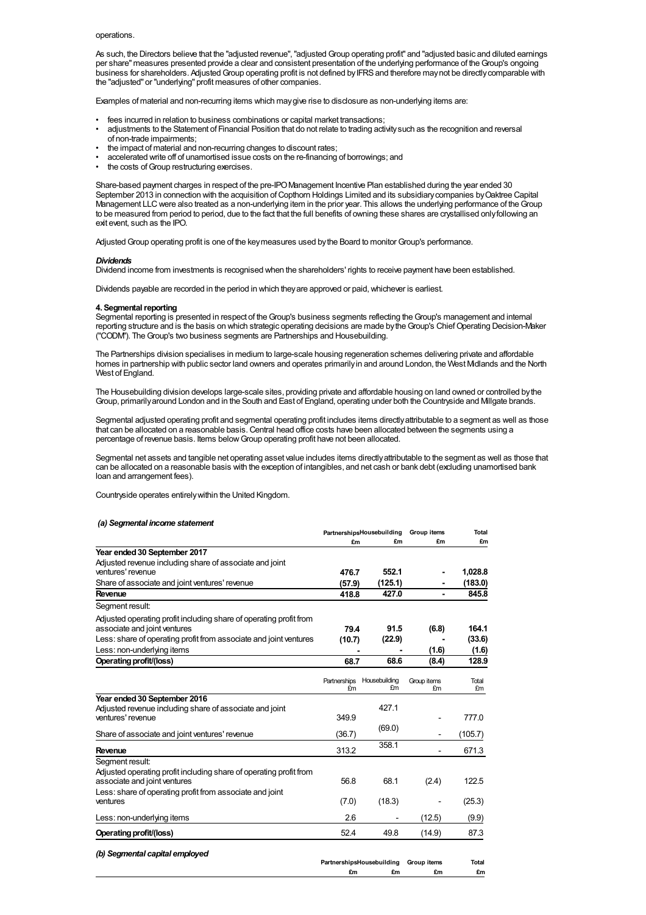#### operations.

As such, the Directors believe that the "adjusted revenue", "adjusted Group operating profit" and "adjusted basic and diluted earnings per share" measures presented provide a clear and consistent presentation of the underlying performance of theGroup's ongoing business for shareholders. AdjustedGroup operating profit is not defined byIFRSand therefore maynot be directlycomparable with the "adjusted" or "underlying" profit measures of other companies.

Examples of material and non-recurring items which maygive rise to disclosure as non-underlying items are:

- fees incurred in relation to business combinations or capital market transactions;
- adjustments to the Statement of Financial Position that do not relate to trading activitysuch as the recognition and reversal of non-trade impairments;
- the impact of material and non-recurring changes to discount rates;
- accelerated write off of unamortised issue costs on the re-financing of borrowings; and
- the costs of Group restructuring exercises.

Share-based payment charges in respect of the pre-IPOManagement Incentive Plan established during the year ended 30 September 2013 in connection with the acquisition of Copthorn Holdings Limited and its subsidiary companies by Oaktree Capital Management LLC were also treated as a non-underlying item in the prior year. This allows the underlying performance of the Group to be measured from period to period, due to the fact that the full benefits of owning these shares are crystallised onlyfollowing an exit event, such as the IPO.

AdjustedGroup operating profit is one of the keymeasures used bythe Board to monitorGroup's performance.

#### *Dividends*

Dividend income from investments is recognised when the shareholders' rights to receive payment have been established.

Dividends payable are recorded in the period in which they are approved or paid, whichever is earliest.

#### **4.** Segmental reporting

Segmental reporting is presented in respect of the Group's business segments reflecting the Group's management and internal reporting structure and is the basis on which strategic operating decisions are made bytheGroup's ChiefOperating Decision-Maker ("CODM"). The Group's two business segments are Partnerships and Housebuilding.

The Partnerships division specialises in medium to large-scale housing regeneration schemes delivering private and affordable homes in partnership with public sector land owners and operates primarilyin and around London, the West Midlands and the North West of England.

The Housebuilding division develops large-scale sites, providing private and affordable housing on land owned or controlled bythe Group, primarilyaround London and in the South and East of England, operating under both the Countryside and Millgate brands.

Segmental adjusted operating profit and segmental operating profit includes items directlyattributable to a segment as well as those that can be allocated on a reasonable basis.Central head office costs have been allocated between the segments using a percentage of revenue basis. Items belowGroup operating profit have not been allocated.

Segmental net assets and tangible net operating asset value includes items directly attributable to the segment as well as those that can be allocated on a reasonable basis with the exception of intangibles, and net cash or bank debt (excluding unamortised bank loan and arrangement fees).

Countryside operates entirelywithin the United Kingdom.

#### *(a) Segmental income statement*

|                                                                   |                                                         | Group items                                                                                              | Total       |
|-------------------------------------------------------------------|---------------------------------------------------------|----------------------------------------------------------------------------------------------------------|-------------|
| £m                                                                | £m                                                      | £m                                                                                                       | £m          |
|                                                                   |                                                         |                                                                                                          |             |
|                                                                   |                                                         |                                                                                                          |             |
| 476.7                                                             | 552.1                                                   |                                                                                                          | 1.028.8     |
| (57.9)                                                            | (125.1)                                                 |                                                                                                          | (183.0)     |
| 418.8                                                             | 427.0                                                   |                                                                                                          | 845.8       |
|                                                                   |                                                         |                                                                                                          |             |
|                                                                   |                                                         |                                                                                                          |             |
| 79.4                                                              | 91.5                                                    | (6.8)                                                                                                    | 164.1       |
|                                                                   | (22.9)                                                  |                                                                                                          | (33.6)      |
|                                                                   |                                                         | (1.6)                                                                                                    | (1.6)       |
| 68.7                                                              | 68.6                                                    | (8.4)                                                                                                    | 128.9       |
|                                                                   |                                                         |                                                                                                          |             |
|                                                                   |                                                         | Group items                                                                                              | Total<br>£m |
|                                                                   |                                                         |                                                                                                          |             |
|                                                                   | 427.1                                                   |                                                                                                          |             |
| 349.9                                                             |                                                         |                                                                                                          | 777.0       |
|                                                                   | (69.0)                                                  |                                                                                                          |             |
|                                                                   |                                                         |                                                                                                          | (105.7)     |
| 313.2                                                             |                                                         |                                                                                                          | 671.3       |
|                                                                   |                                                         |                                                                                                          |             |
|                                                                   |                                                         |                                                                                                          |             |
|                                                                   |                                                         |                                                                                                          | 122.5       |
|                                                                   |                                                         |                                                                                                          |             |
|                                                                   |                                                         |                                                                                                          | (25.3)      |
| 2.6                                                               |                                                         | (12.5)                                                                                                   | (9.9)       |
| 52.4                                                              | 49.8                                                    | (14.9)                                                                                                   | 87.3        |
|                                                                   |                                                         |                                                                                                          |             |
|                                                                   |                                                         |                                                                                                          |             |
|                                                                   |                                                         | Group items                                                                                              | Total       |
| Less: share of operating profit from associate and joint ventures | (10.7)<br>Partnerships<br>£m<br>(36.7)<br>56.8<br>(7.0) | PartnershipsHousebuilding<br>Housebuilding<br>£m<br>358.1<br>68.1<br>(18.3)<br>PartnershipsHousebuilding | £m<br>(2.4) |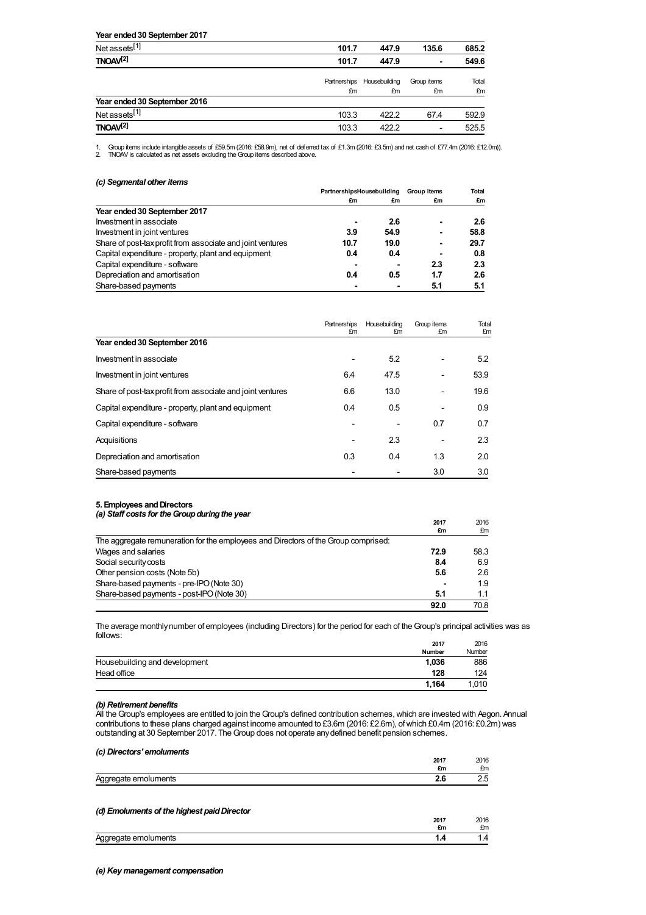#### **Year ended30 September 2017** Net assets<sup>[1]</sup> [1] **101.7 447.9 135.6 685.2 TNOAV [2] 101.7 447.9 - 549.6** Partnerships Housebuilding £m £m Group items £m Total £m **Year ended30 September 2016** Net assets<sup>[1]</sup> [1] 103.3 422.2 67.4 592.9 **TNOAV [2]** 103.3 422.2 - 525.5

1. Group items include intangible assets of £59.5m (2016: £58.9m), net of deferred tax of £1.3m (2016: £3.5m) and net cash of £77.4m (2016: £12.0m)).<br>2. TNOAV is calculated as net assets excluding the Group items descri

| (c) Segmental other items |  |
|---------------------------|--|
|---------------------------|--|

|                                                            | PartnershipsHousebuilding |      | <b>Group items</b> | Total |
|------------------------------------------------------------|---------------------------|------|--------------------|-------|
|                                                            | £m                        | £m   | £m                 | £m    |
| Year ended 30 September 2017                               |                           |      |                    |       |
| Investment in associate                                    |                           | 2.6  | ۰                  | 2.6   |
| Investment in joint ventures                               | 3.9                       | 54.9 | ۰                  | 58.8  |
| Share of post-tax profit from associate and joint ventures | 10.7                      | 19.0 | ۰                  | 29.7  |
| Capital expenditure - property, plant and equipment        | 0.4                       | 0.4  | ۰                  | 0.8   |
| Capital expenditure - software                             |                           | ۰    | 2.3                | 2.3   |
| Depreciation and amortisation                              | 0.4                       | 0.5  | 1.7                | 2.6   |
| Share-based payments                                       |                           |      | 5.1                | 5.1   |

|                                                            | Partnerships<br>£m           | Housebuilding<br>£m | Group items<br>£m        | Total<br>£m |
|------------------------------------------------------------|------------------------------|---------------------|--------------------------|-------------|
| Year ended 30 September 2016                               |                              |                     |                          |             |
| Investment in associate                                    | ۰                            | 5.2                 | $\overline{\phantom{0}}$ | 5.2         |
| Investment in joint ventures                               | 6.4                          | 47.5                | $\overline{\phantom{0}}$ | 53.9        |
| Share of post-tax profit from associate and joint ventures | 6.6                          | 13.0                | $\overline{\phantom{0}}$ | 19.6        |
| Capital expenditure - property, plant and equipment        | 0.4                          | 0.5                 |                          | 0.9         |
| Capital expenditure - software                             | $\blacksquare$               |                     | 0.7                      | 0.7         |
| Acquisitions                                               | $\qquad \qquad \blacksquare$ | 2.3                 | $\overline{\phantom{0}}$ | 2.3         |
| Depreciation and amortisation                              | 0.3                          | 0.4                 | 1.3                      | 2.0         |
| Share-based payments                                       |                              |                     | 3.0                      | 3.0         |

## **5. Employees andDirectors**

| (a) Staff costs for the Group during the year                                      |            |            |
|------------------------------------------------------------------------------------|------------|------------|
|                                                                                    | 2017<br>£m | 2016<br>£m |
| The aggregate remuneration for the employees and Directors of the Group comprised: |            |            |
| Wages and salaries                                                                 | 72.9       | 58.3       |
| Social security costs                                                              | 8.4        | 6.9        |
| Other pension costs (Note 5b)                                                      | 5.6        | 2.6        |
| Share-based payments - pre-IPO (Note 30)                                           |            | 1.9        |
| Share-based payments - post-IPO (Note 30)                                          | 5.1        | 1.1        |
|                                                                                    | 92.0       | 70.8       |

The average monthlynumber of employees (including Directors) for the period for each of theGroup's principal activities was as follows:

|                               | 2017   | 2016          |
|-------------------------------|--------|---------------|
|                               | Number | <b>Number</b> |
| Housebuilding and development | 1.036  | 886           |
| Head office                   | 128    | 124           |
|                               | 1.164  | 1.010         |

## *(b) Retirement benefits*

All the Group's employees are entitled to join the Group's defined contribution schemes, which are invested with Aegon. Annual contributions to these plans charged against income amounted to £3.6m (2016: £2.6m), ofwhich £0.4m (2016: £0.2m) was outstanding at 30 September 2017. The Group does not operate any defined benefit pension schemes.

| (c) Directors' emoluments                   |      |      |
|---------------------------------------------|------|------|
|                                             | 2017 | 2016 |
|                                             | £m   | £m   |
| Aggregate emoluments                        | 2.6  | 2.5  |
| (d) Emoluments of the highest paid Director |      |      |
|                                             | 2017 | 2016 |
|                                             | £m   | £m   |
| Aggregate emoluments                        | 1.4  | 1.4  |
|                                             |      |      |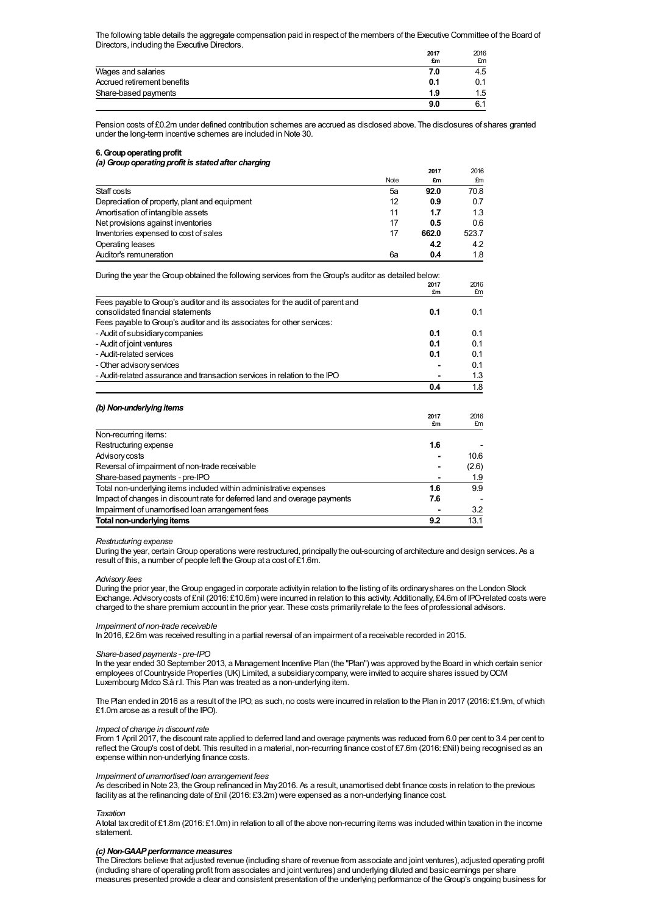The following table details the aggregate compensation paid in respect of the members of the Executive Committee of the Board of Directors, including the Executive Directors.

|                             | 2017<br>£m | 2016<br>£m |
|-----------------------------|------------|------------|
| Wages and salaries          | 7.0        | 4.5        |
| Accrued retirement benefits | 0.1        |            |
| Share-based payments        | 1.9        | 1.5        |
|                             | 9.0        | 6.1        |

Pension costs of £0.2m under defined contribution schemes are accrued as disclosed above. The disclosures of shares granted under the long-term incentive schemes are included in Note 30.

## **6. Group operating profit** *(a)Groupoperatingprofit is statedafter charging*

|                                               |      | 2017  | 2016  |
|-----------------------------------------------|------|-------|-------|
|                                               | Note | £m    | £m    |
| Staff costs                                   | 5a   | 92.0  | 70.8  |
| Depreciation of property, plant and equipment | 12   | 0.9   | 0.7   |
| Amortisation of intangible assets             | 11   | 1.7   | 1.3   |
| Net provisions against inventories            | 17   | 0.5   | 0.6   |
| Inventories expensed to cost of sales         | 17   | 662.0 | 523.7 |
| Operating leases                              |      | 4.2   | 4.2   |
| Auditor's remuneration                        | 6a   | 0.4   | 1.8   |

| During the year the Group obtained the following services from the Group's auditor as detailed below: |      |       |
|-------------------------------------------------------------------------------------------------------|------|-------|
|                                                                                                       | 2017 | 2016  |
|                                                                                                       | £m   | £m    |
| Fees payable to Group's auditor and its associates for the audit of parent and                        |      |       |
| consolidated financial statements                                                                     | 0.1  | 0.1   |
| Fees payable to Group's auditor and its associates for other services:                                |      |       |
| - Audit of subsidiary companies                                                                       | 0.1  | 0.1   |
| - Audit of joint ventures                                                                             | 0.1  | 0.1   |
| - Audit-related services                                                                              | 0.1  | 0.1   |
| - Other advisory services                                                                             |      | 0.1   |
| - Audit-related assurance and transaction services in relation to the IPO                             |      | 1.3   |
|                                                                                                       | 0.4  | 1.8   |
| (b) Non-underlying items                                                                              |      |       |
|                                                                                                       | 2017 | 2016  |
|                                                                                                       | £m   | £m    |
| Non-recurring items:                                                                                  |      |       |
| Restructuring expense                                                                                 | 1.6  |       |
| Advisory costs                                                                                        |      | 10.6  |
| Reversal of impairment of non-trade receivable                                                        |      | (2.6) |
| Share-based payments - pre-IPO                                                                        |      | 1.9   |
| Total non-underlying items included within administrative expenses                                    | 1.6  | 9.9   |

## *Restructuring expense*

During the year, certainGroup operations were restructured, principallythe out-sourcing of architecture and design services. As a result of this, a number of people left the Group at a cost of £1.6m.

#### *Advisory fees*

During the prior year, theGroup engaged in corporate activityin relation to the listing of its ordinaryshares on the London Stock Exchange. Advisorycosts of £nil (2016: £10.6m) were incurred in relation to this activity. Additionally, £4.6m of IPO-related costs were charged to the share premium account in the prior year. These costs primarilyrelate to the fees of professional advisors.

#### *Impairment of non-trade receivable*

In 2016, £2.6m was received resulting in a partial reversal of an impairment of a receivable recorded in 2015.

Impact of changes in discount rate for deferred land and overage payments **7.6** -

Impairment of unamortised loan arrangement fees **-** 3.2 **Total non-underlyingitems 9.2** 13.1

#### *Share-based payments - pre-IPO*

In the year ended 30 September 2013, a Management Incentive Plan (the "Plan") was approved bythe Board in which certain senior employees ofCountryside Properties (UK) Limited, a subsidiarycompany,were invited to acquire shares issued byOCM Luxembourg Midco S.à r.l. This Plan was treated as a non-underlying item.

The Plan ended in 2016 as a result of the IPO; as such, no costs were incurred in relation to the Plan in 2017 (2016: £1.9m, ofwhich £1.0m arose as a result of the IPO).

## *Impact of change in discount rate*

From 1 April 2017, the discount rate applied to deferred land and overage payments was reduced from 6.0 per cent to 3.4 per cent to reflect theGroup's cost of debt. This resulted in a material, non-recurring finance cost of £7.6m (2016: £Nil) being recognised as an expense within non-underlying finance costs.

## *Impairment of unamortised loan arrangement fees*

As described in Note 23, theGroup refinanced in May2016. As a result, unamortised debt finance costs in relation to the previous facilityas at the refinancing date of £nil (2016: £3.2m) were expensed as a non-underlying finance cost.

## *Taxation*

Atotal taxcredit of £1.8m (2016: £1.0m) in relation to all of the above non-recurring items was included within taxation in the income statement.

## *(c) Non-GAAPperformance measures*

The Directors believe that adjusted revenue (including share of revenue from associate and joint ventures), adjusted operating profit (including share of operating profit from associates and joint ventures) and underlying diluted and basic earnings per share measures presented provide a clear and consistent presentation of the underlying performance of theGroup's ongoing business for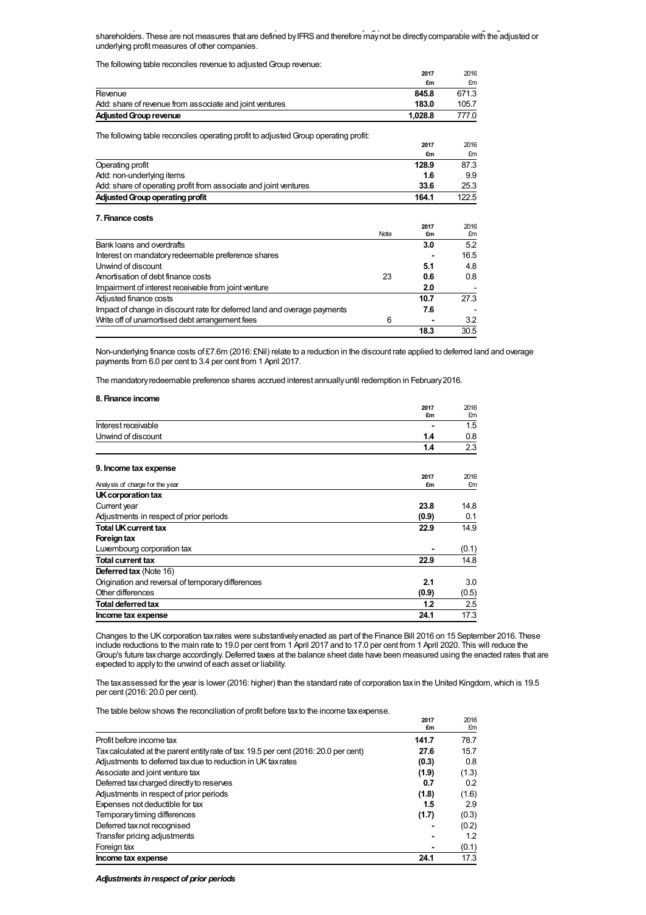measures presented provide a clear and consistent presentation of the underlying performance of theGroup's ongoing business for shareholders. These are not measures that are defined byIFRSand therefore maynot be directlycomparable with the adjusted or underlying profit measures of other companies.

The following table reconciles revenue to adjustedGroup revenue:

| The following table reconciles revenue to adjusted Group revenue.                   |      |            |            |
|-------------------------------------------------------------------------------------|------|------------|------------|
|                                                                                     |      | 2017       | 2016       |
|                                                                                     |      | £m         | £m         |
| Revenue                                                                             |      | 845.8      | 671.3      |
| Add: share of revenue from associate and joint ventures                             |      | 183.0      | 105.7      |
| <b>Adjusted Group revenue</b>                                                       |      | 1,028.8    | 777.0      |
|                                                                                     |      |            |            |
| The following table reconciles operating profit to adjusted Group operating profit: |      |            |            |
|                                                                                     |      | 2017       | 2016       |
|                                                                                     |      | £m         | £m         |
| Operating profit                                                                    |      | 128.9      | 87.3       |
| Add: non-underlying items                                                           |      | 1.6        | 9.9        |
| Add: share of operating profit from associate and joint ventures                    |      | 33.6       | 25.3       |
| <b>Adjusted Group operating profit</b>                                              |      | 164.1      | 122.5      |
|                                                                                     |      |            |            |
| 7. Finance costs                                                                    |      |            |            |
|                                                                                     | Note | 2017<br>£m | 2016<br>£m |
|                                                                                     |      |            |            |
| Bank loans and overdrafts                                                           |      | 3.0        | 5.2        |
| Interest on mandatory redeemable preference shares                                  |      |            | 16.5       |
| Unwind of discount                                                                  |      | 5.1        | 4.8        |
| Amortisation of debt finance costs                                                  | 23   | 0.6        | 0.8        |
| Impairment of interest receivable from joint venture                                |      | 2.0        |            |
| Adjusted finance costs                                                              |      | 10.7       | 27.3       |
| Impact of change in discount rate for deferred land and overage payments            |      | 7.6        |            |
| Write off of unamortised debt arrangement fees                                      | 6    |            | 3.2        |
|                                                                                     |      | 18.3       | 30.5       |

Non-underlying finance costs of £7.6m (2016: £Nil) relate to a reduction in the discount rate applied to deferred land and overage payments from 6.0 per cent to 3.4 per cent from 1 April 2017.

The mandatoryredeemable preference shares accrued interest annuallyuntil redemption in February2016.

## **8. Finance income**

|                                                   | 2017       | 2016       |
|---------------------------------------------------|------------|------------|
|                                                   | £m         | £m         |
| Interest receivable                               |            | 1.5        |
| Unwind of discount                                | 1.4        | 0.8        |
|                                                   | 1.4        | 2.3        |
| 9. Income tax expense                             |            |            |
| Analysis of charge for the year                   | 2017<br>£m | 2016<br>£m |
| UK corporation tax                                |            |            |
| Current year                                      | 23.8       | 14.8       |
| Adjustments in respect of prior periods           | (0.9)      | 0.1        |
| <b>Total UK current tax</b>                       | 22.9       | 14.9       |
| Foreign tax                                       |            |            |
| Luxembourg corporation tax                        |            | (0.1)      |
| <b>Total current tax</b>                          | 22.9       | 14.8       |
| <b>Deferred tax (Note 16)</b>                     |            |            |
| Origination and reversal of temporary differences | 2.1        | 3.0        |
| Other differences                                 | (0.9)      | (0.5)      |
| <b>Total deferred tax</b>                         | 1.2        | 2.5        |
| Income tax expense                                | 24.1       | 17.3       |

Changes to the UK corporation tax rates were substantively enacted as part of the Finance Bill 2016 on 15 September 2016. These include reductions to the main rate to 19.0 per cent from 1 April 2017 and to 17.0 per cent from 1 April 2020. This will reduce the Group's future taxcharge accordingly.Deferred taxes at the balance sheet date have been measured using the enacted rates that are expected to applyto the unwind of each asset or liability.

The taxassessed for the year is lower (2016: higher) than the standard rate of corporation taxin the United Kingdom,which is 19.5 per cent (2016: 20.0 per cent).

The table below shows the reconciliation of profit before taxto the income taxexpense.

| The lable below shows the reconciliation of profit belone tax to the income tax experise. |       |       |
|-------------------------------------------------------------------------------------------|-------|-------|
|                                                                                           | 2017  | 2016  |
|                                                                                           | £m    | £m    |
| Profit before income tax                                                                  | 141.7 | 78.7  |
| Tax calculated at the parent entity rate of tax 19.5 per cent (2016: 20.0 per cent)       | 27.6  | 15.7  |
| Adjustments to deferred tax due to reduction in UK tax rates                              | (0.3) | 0.8   |
| Associate and joint venture tax                                                           | (1.9) | (1.3) |
| Deferred tax charged directly to reserves                                                 | 0.7   | 0.2   |
| Adjustments in respect of prior periods                                                   | (1.8) | (1.6) |
| Expenses not deductible for tax                                                           | 1.5   | 2.9   |
| Temporary timing differences                                                              | (1.7) | (0.3) |
| Deferred tax not recognised                                                               |       | (0.2) |
| Transfer pricing adjustments                                                              |       | 1.2   |
| Foreign tax                                                                               |       | (0.1) |
| Income tax expense                                                                        | 24.1  | 17.3  |

*Adjustments inrespect of prior periods*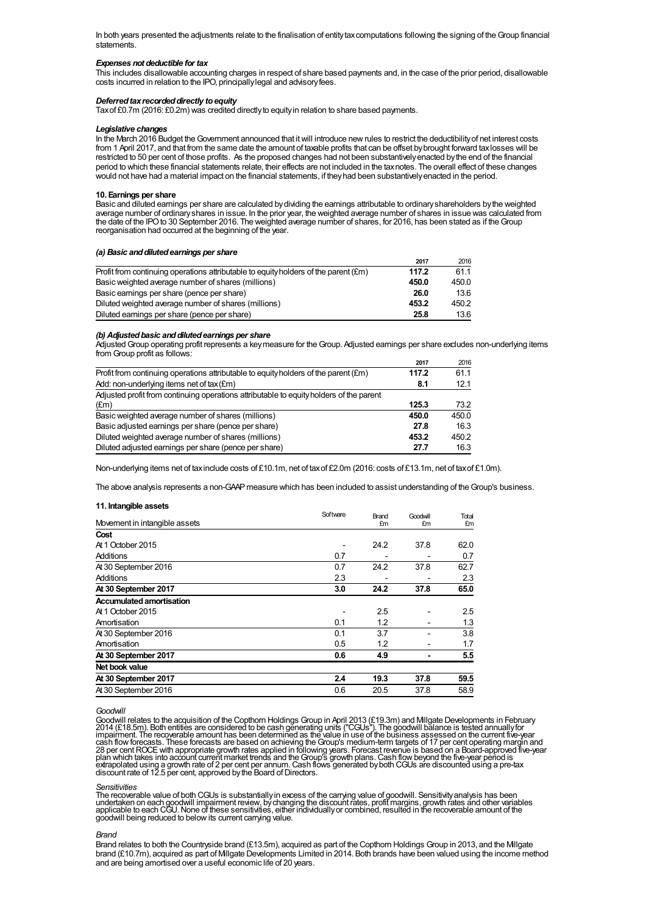In both years presented the adjustments relate to the finalisation of entity tax computations following the signing of the Group financial statements.

## *Expenses not deductible for tax*

This includes disallowable accounting charges in respect of share based payments and, in the case of the prior period, disallowable costs incurred in relation to the IPO, principallylegal and advisoryfees.

#### *Deferred tax recorded directly to equity*

Taxof £0.7m (2016: £0.2m) was credited directlyto equityin relation to share based payments.

#### *Legislative changes*

In the March 2016 Budget theGovernment announced that itwill introduce newrules to restrict the deductibilityof net interest costs from 1 April 2017, and that from the same date the amount of taxable profits that can be offset bybrought forward taxlosses will be restricted to 50 per cent of those profits. As the proposed changes had not been substantivelyenacted bythe end of the financial period to which these financial statements relate, their effects are not included in the taxnotes. The overall effect of these changes would not have had a material impact on the financial statements, if theyhad been substantivelyenacted in the period.

## **10. Earnings per share**

Basic and diluted earnings per share are calculated bydividing the earnings attributable to ordinaryshareholders bythe weighted average number of ordinaryshares in issue. In the prior year, the weighted average number of shares in issue was calculated from the date of the IPO to 30 September 2016. The weighted average number of shares, for 2016, has been stated as if the Group reorganisation had occurred at the beginning of the year.

#### $(a)$  **Basic and diluted earnings per share**

|                                                                                     | 2017  | 2016  |
|-------------------------------------------------------------------------------------|-------|-------|
| Profit from continuing operations attributable to equity holders of the parent (£m) | 117.2 | 61.1  |
| Basic weighted average number of shares (millions)                                  | 450.0 | 450.0 |
| Basic earnings per share (pence per share)                                          | 26.0  | 13.6  |
| Diluted weighted average number of shares (millions)                                | 453.2 | 450.2 |
| Diluted earnings per share (pence per share)                                        | 25.8  | 13.6  |

## *(b) Adjustedbasic anddilutedearnings per share*

AdjustedGroup operating profit represents a keymeasure for theGroup. Adjusted earnings per share excludes non-underlying items from Group profit as follows:

|                                                                                         | 2017  | 2016  |
|-----------------------------------------------------------------------------------------|-------|-------|
| Profit from continuing operations attributable to equity holders of the parent (£m)     | 117.2 | 61.1  |
| Add: non-underlying items net of tax (£m)                                               | 8.1   | 12.1  |
| Adjusted profit from continuing operations attributable to equity holders of the parent |       |       |
| $(\text{Em})$                                                                           | 125.3 | 73.2  |
| Basic weighted average number of shares (millions)                                      | 450.0 | 450.0 |
| Basic adjusted earnings per share (pence per share)                                     | 27.8  | 16.3  |
| Diluted weighted average number of shares (millions)                                    | 453.2 | 450.2 |
| Diluted adjusted earnings per share (pence per share)                                   | 27.7  | 16.3  |

Non-underlying items net of taxinclude costs of £10.1m, net of taxof £2.0m (2016: costs of £13.1m, net of taxof £1.0m).

The above analysis represents a non-GAAP measure which has been included to assist understanding of the Group's business.

## **11. Intangible assets**

|                                 | Software | Brand | Goodwill | Total |
|---------------------------------|----------|-------|----------|-------|
| Movement in intangible assets   |          | £m    | £m       | £m    |
| Cost                            |          |       |          |       |
| At 1 October 2015               |          | 24.2  | 37.8     | 62.0  |
| Additions                       | 0.7      |       |          | 0.7   |
| At 30 September 2016            | 0.7      | 24.2  | 37.8     | 62.7  |
| Additions                       | 2.3      |       |          | 2.3   |
| At 30 September 2017            | 3.0      | 24.2  | 37.8     | 65.0  |
| <b>Accumulated amortisation</b> |          |       |          |       |
| At 1 October 2015               | ٠        | 2.5   |          | 2.5   |
| Amortisation                    | 0.1      | 1.2   |          | 1.3   |
| At 30 September 2016            | 0.1      | 3.7   |          | 3.8   |
| Amortisation                    | 0.5      | 1.2   |          | 1.7   |
| At 30 September 2017            | 0.6      | 4.9   |          | 5.5   |
| Net book value                  |          |       |          |       |
| At 30 September 2017            | 2.4      | 19.3  | 37.8     | 59.5  |
| At 30 September 2016            | 0.6      | 20.5  | 37.8     | 58.9  |

## *Goodwill*

Goodwill relates to the acquisition of the Copthom Holdings Group in April 2013 (£19.3m) and Millgate Developments in February<br>2014 (£18.5m). Both entities are considered to be cash generating units ("CGUs"). The goodwill

*Sensitivities*<br>The recoverable value of both CGUs is substantially in excess of the carrying value of goodwill. Sensitivity analysis has been<br>undertaken on each goodwill impairment review, by changing the discount rates,

## *Brand*

Brand relates to both the Countryside brand (£13.5m), acquired as part of the Copthorn Holdings Group in 2013, and the Millgate brand (£10.7m), acquired as part of Millgate Developments Limited in 2014. Both brands have been valued using the income method and are being amortised over a useful economic life of 20 years.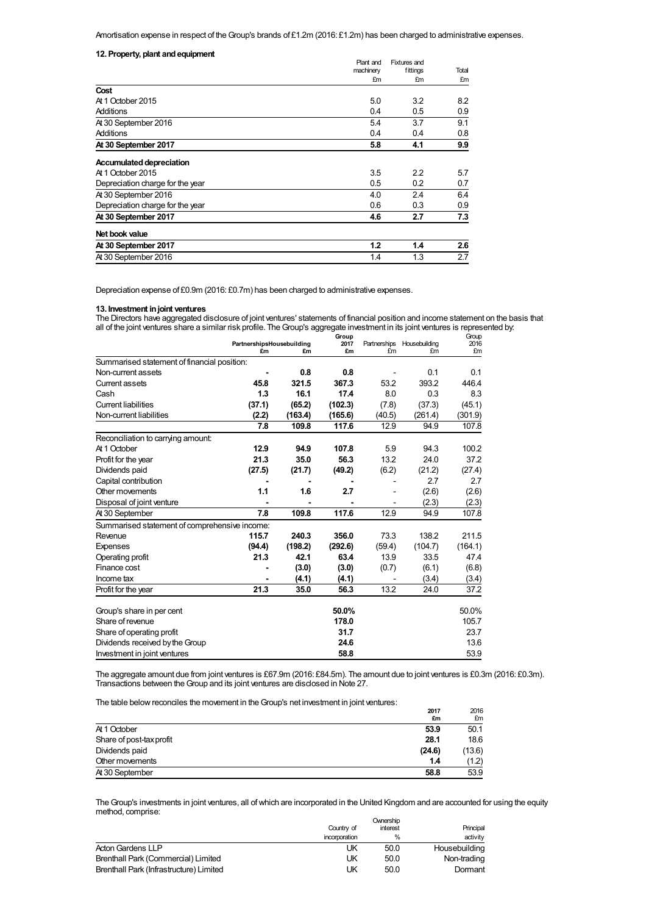Amortisation expense in respect of the Group's brands of £1.2m (2016: £1.2m) has been charged to administrative expenses.

| 12. Property, plant and equipment |           |              |       |
|-----------------------------------|-----------|--------------|-------|
|                                   | Plant and | Fixtures and |       |
|                                   | machinery | fittings     | Total |
|                                   | £m        | £m           | £m    |
| Cost                              |           |              |       |
| At 1 October 2015                 | 5.0       | 3.2          | 8.2   |
| Additions                         | 0.4       | 0.5          | 0.9   |
| At 30 September 2016              | 5.4       | 3.7          | 9.1   |
| Additions                         | 0.4       | 0.4          | 0.8   |
| At 30 September 2017              | 5.8       | 4.1          | 9.9   |
| Accumulated depreciation          |           |              |       |
| At 1 October 2015                 | 3.5       | 2.2          | 5.7   |
| Depreciation charge for the year  | 0.5       | 0.2          | 0.7   |
| At 30 September 2016              | 4.0       | 2.4          | 6.4   |
| Depreciation charge for the year  | 0.6       | 0.3          | 0.9   |
| At 30 September 2017              | 4.6       | 2.7          | 7.3   |
| Net book value                    |           |              |       |
| At 30 September 2017              | 1.2       | 1.4          | 2.6   |
| At 30 September 2016              | 1.4       | 1.3          | 2.7   |

Depreciation expense of £0.9m (2016: £0.7m) has been charged to administrative expenses.

#### **13. Investment injoint ventures**

The Directors have aggregated disclosure of joint ventures' statements of financial position and income statement on the basis that all of the joint ventures share a similar risk profile. TheGroup's aggregate investment in its joint ventures is represented by:

|                                               |                                 |         | Group      |                    |                     | Group      |
|-----------------------------------------------|---------------------------------|---------|------------|--------------------|---------------------|------------|
|                                               | PartnershipsHousebuilding<br>£m | £m      | 2017<br>£m | Partnerships<br>£m | Housebuilding<br>£m | 2016<br>£m |
| Summarised statement of financial position:   |                                 |         |            |                    |                     |            |
| Non-current assets                            |                                 | 0.8     | 0.8        |                    | 0.1                 | 0.1        |
| <b>Current assets</b>                         | 45.8                            | 321.5   | 367.3      | 53.2               | 393.2               | 446.4      |
| Cash                                          | 1.3                             | 16.1    | 17.4       | 8.0                | 0.3                 | 8.3        |
| <b>Current liabilities</b>                    | (37.1)                          | (65.2)  | (102.3)    | (7.8)              | (37.3)              | (45.1)     |
| Non-current liabilities                       | (2.2)                           | (163.4) | (165.6)    | (40.5)             | (261.4)             | (301.9)    |
|                                               | 7.8                             | 109.8   | 117.6      | 12.9               | 94.9                | 107.8      |
| Reconciliation to carrying amount:            |                                 |         |            |                    |                     |            |
| At 1 October                                  | 12.9                            | 94.9    | 107.8      | 5.9                | 94.3                | 100.2      |
| Profit for the year                           | 21.3                            | 35.0    | 56.3       | 13.2               | 24.0                | 37.2       |
| Dividends paid                                | (27.5)                          | (21.7)  | (49.2)     | (6.2)              | (21.2)              | (27.4)     |
| Capital contribution                          |                                 |         |            |                    | 2.7                 | 2.7        |
| Other movements                               | 1.1                             | 1.6     | 2.7        |                    | (2.6)               | (2.6)      |
| Disposal of joint venture                     |                                 |         |            |                    | (2.3)               | (2.3)      |
| At 30 September                               | 7.8                             | 109.8   | 117.6      | 12.9               | 94.9                | 107.8      |
| Summarised statement of comprehensive income: |                                 |         |            |                    |                     |            |
| Revenue                                       | 115.7                           | 240.3   | 356.0      | 73.3               | 138.2               | 211.5      |
| Expenses                                      | (94.4)                          | (198.2) | (292.6)    | (59.4)             | (104.7)             | (164.1)    |
| Operating profit                              | 21.3                            | 42.1    | 63.4       | 13.9               | 33.5                | 47.4       |
| Finance cost                                  |                                 | (3.0)   | (3.0)      | (0.7)              | (6.1)               | (6.8)      |
| Income tax                                    |                                 | (4.1)   | (4.1)      |                    | (3.4)               | (3.4)      |
| Profit for the year                           | 21.3                            | 35.0    | 56.3       | 13.2               | 24.0                | 37.2       |
|                                               |                                 |         |            |                    |                     |            |
| Group's share in per cent                     |                                 |         | 50.0%      |                    |                     | 50.0%      |
| Share of revenue                              |                                 |         | 178.0      |                    |                     | 105.7      |
| Share of operating profit                     |                                 |         | 31.7       |                    |                     | 23.7       |
| Dividends received by the Group               |                                 |         | 24.6       |                    |                     | 13.6       |
| Investment in joint ventures                  |                                 |         | 58.8       |                    |                     | 53.9       |

The aggregate amount due from joint ventures is £67.9m (2016: £84.5m). The amount due to joint ventures is £0.3m (2016: £0.3m). Transactions between theGroup and its joint ventures are disclosed in Note 27.

The table below reconciles the movement in the Group's net investment in joint ventures:

|                          | 2017   | 2016   |
|--------------------------|--------|--------|
|                          | £m     | £m     |
| At 1 October             | 53.9   | 50.1   |
| Share of post-tax profit | 28.1   | 18.6   |
| Dividends paid           | (24.6) | (13.6) |
| Other movements          | 1.4    | (1.2)  |
| At 30 September          | 58.8   | 53.9   |

The Group's investments in joint ventures, all of which are incorporated in the United Kingdom and are accounted for using the equity method, comprise:  $O$  in each  $\alpha$ 

|                                         | Country of    | interest      | Principal     |
|-----------------------------------------|---------------|---------------|---------------|
|                                         | incorporation | $\frac{0}{0}$ | activity      |
| <b>Acton Gardens LLP</b>                | UK            | 50.0          | Housebuilding |
| Brenthall Park (Commercial) Limited     | UK            | 50.0          | Non-trading   |
| Brenthall Park (Infrastructure) Limited | UΚ            | 50.0          | Dormant       |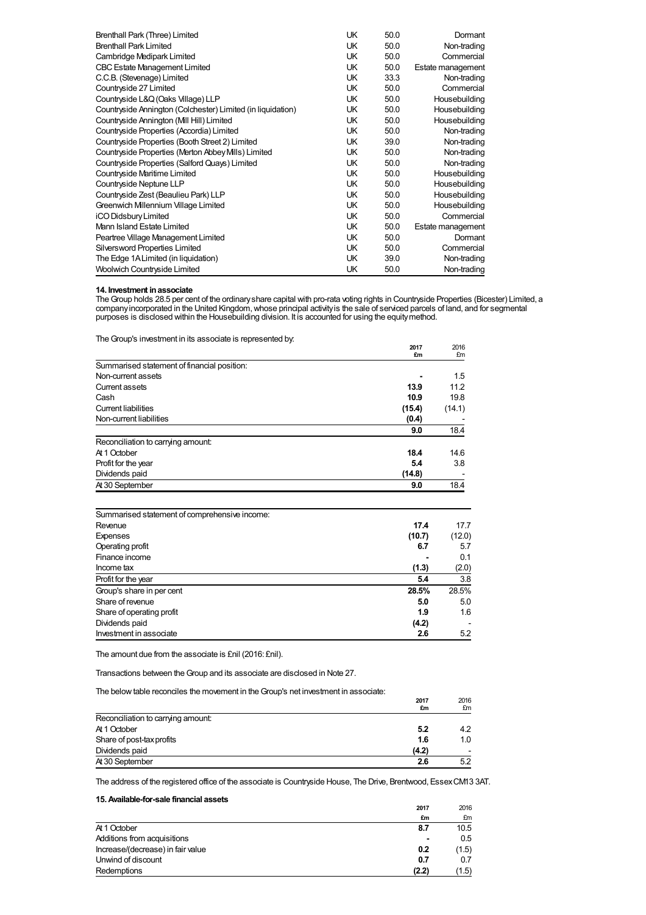| Brenthall Park (Three) Limited                              | UK  | 50.0 | Dormant           |
|-------------------------------------------------------------|-----|------|-------------------|
| <b>Brenthall Park Limited</b>                               | UK. | 50.0 | Non-trading       |
| Cambridge Medipark Limited                                  | UK  | 50.0 | Commercial        |
| <b>CBC Estate Management Limited</b>                        | UK. | 50.0 | Estate management |
| C.C.B. (Stevenage) Limited                                  | UK. | 33.3 | Non-trading       |
| Countryside 27 Limited                                      | UK  | 50.0 | Commercial        |
| Countryside L&Q (Oaks Village) LLP                          | UK. | 50.0 | Housebuilding     |
| Countryside Annington (Colchester) Limited (in liquidation) | UK  | 50.0 | Housebuilding     |
| Countryside Annington (MII Hill) Limited                    | UK  | 50.0 | Housebuilding     |
| Countryside Properties (Accordia) Limited                   | UK  | 50.0 | Non-trading       |
| Countryside Properties (Booth Street 2) Limited             | UK  | 39.0 | Non-trading       |
| Countryside Properties (Merton Abbey Mills) Limited         | UK  | 50.0 | Non-trading       |
| Countryside Properties (Salford Quays) Limited              | UK. | 50.0 | Non-trading       |
| Countryside Maritime Limited                                | UK  | 50.0 | Housebuilding     |
| Countryside Neptune LLP                                     | UK  | 50.0 | Housebuilding     |
| Countryside Zest (Beaulieu Park) LLP                        | UK  | 50.0 | Housebuilding     |
| Greenwich Millennium Village Limited                        | UK. | 50.0 | Housebuilding     |
| iCO Didsbury Limited                                        | UK. | 50.0 | Commercial        |
| Mann Island Estate Limited                                  | UK  | 50.0 | Estate management |
| Peartree Village Management Limited                         | UK. | 50.0 | Dormant           |
| Silversword Properties Limited                              | UK. | 50.0 | Commercial        |
| The Edge 1A Limited (in liquidation)                        | UK  | 39.0 | Non-trading       |
| Woolwich Countryside Limited                                | UK  | 50.0 | Non-trading       |

## **14. Investment inassociate**

The Group holds 28.5 per cent of the ordinary share capital with pro-rata voting rights in Countryside Properties (Bicester) Limited, a company incorporated in the United Kingdom, whose principal activity is the sale of serviced parcels of land, and for segmental purposes is disclosed within the Housebuilding division. It is accounted for using the equitymethod.

The Group's investment in its associate is represented by.

| £m<br>Summarised statement of financial position:<br>13.9<br>10.9<br>(15.4)<br>(0.4)<br>9.0<br>18.4<br>5.4 |                | 2017   | 2016   |
|------------------------------------------------------------------------------------------------------------|----------------|--------|--------|
|                                                                                                            |                |        | £m     |
| Non-current assets<br>Current assets<br>Cash                                                               |                |        |        |
|                                                                                                            |                |        | 1.5    |
|                                                                                                            |                |        | 11.2   |
| Current liabilities<br>Non-current liabilities                                                             |                |        | 19.8   |
|                                                                                                            |                |        | (14.1) |
| Reconciliation to carrying amount:<br>At 1 October<br>Profit for the year                                  |                |        |        |
|                                                                                                            |                |        | 18.4   |
|                                                                                                            |                |        |        |
|                                                                                                            |                |        | 14.6   |
|                                                                                                            |                |        | 3.8    |
|                                                                                                            | Dividends paid | (14.8) |        |
| At 30 September<br>9.0                                                                                     |                |        | 18.4   |

| Summarised statement of comprehensive income: |        |        |
|-----------------------------------------------|--------|--------|
| Revenue                                       | 17.4   | 17.7   |
| Expenses                                      | (10.7) | (12.0) |
| Operating profit                              | 6.7    | 5.7    |
| Finance income                                |        | 0.1    |
| Income tax                                    | (1.3)  | (2.0)  |
| Profit for the year                           | 5.4    | 3.8    |
| Group's share in per cent                     | 28.5%  | 28.5%  |
| Share of revenue                              | 5.0    | 5.0    |
| Share of operating profit                     | 1.9    | 1.6    |
| Dividends paid                                | (4.2)  |        |
| Investment in associate                       | 2.6    | 5.2    |

The amount due from the associate is £nil (2016: £nil).

Transactions between theGroup and its associate are disclosed in Note 27.

The below table reconciles the movement in the Group's net investment in associate:

| The below table reconciles the movement in the Croup's net investment in associate. | 2017<br>£m | 2016<br>£m |
|-------------------------------------------------------------------------------------|------------|------------|
| Reconciliation to carrying amount:                                                  |            |            |
| At 1 October                                                                        | 5.2        | 4.2        |
| Share of post-tax profits                                                           | 1.6        | 1.0        |
| Dividends paid                                                                      | (4.2)      |            |
| At 30 September                                                                     | 2.6        | 5.2        |

**2017 £m**

2016  $\frac{fm}{10.5}$ 

The address of the registered office of the associate is Countryside House, The Drive, Brentwood, EssexCM13 3AT.

Unwind of discount **0.7** 0.7 Redemptions **(2.2)** (1.5)

# **15.Available-for-sale financial assets** At 1October **8.7** 10.5 Additions from acquisitions **and acquisitions 1** 0.5 **homeons** (decrease) in fair value **0.2** (1.5) Increase/(decrease) in fair value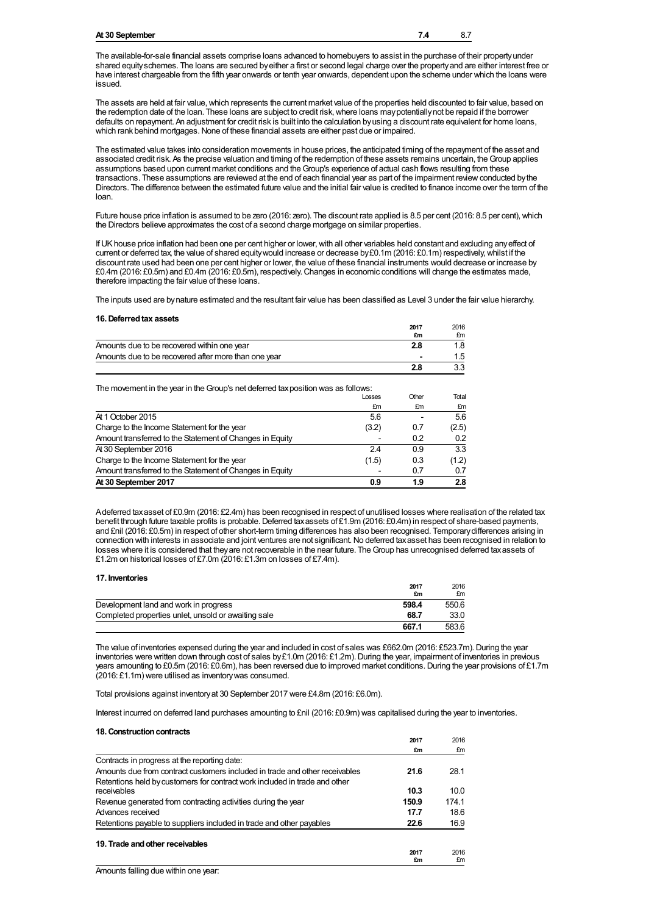## **At 30 September 7.4** 8.7

The available-for-sale financial assets comprise loans advanced to homebuyers to assist in the purchase of their propertyunder shared equityschemes. The loans are secured byeither a first or second legal charge over the propertyand are either interest free or have interest chargeable from the fifth year onwards or tenth year onwards, dependent upon the scheme under which the loans were issued.

The assets are held at fair value, which represents the current market value of the properties held discounted to fair value, based on the redemption date of the loan. These loans are subject to credit risk,where loans maypotentiallynot be repaid if the borrower defaults on repayment. An adjustment for credit risk is built into the calculation byusing a discount rate equivalent for home loans, which rank behind mortgages. None of these financial assets are either past due or impaired.

The estimated value takes into consideration movements in house prices, the anticipated timing of the repayment of the asset and associated credit risk. As the precise valuation and timing of the redemption of these assets remains uncertain, theGroup applies assumptions based upon current market conditions and the Group's experience of actual cash flows resulting from these transactions. These assumptions are reviewed at the end of each financial year as part of the impairment reviewconducted bythe Directors. The difference between the estimated future value and the initial fair value is credited to finance income over the term of the loan.

Future house price inflation is assumed to be zero (2016: zero). The discount rate applied is 8.5 per cent (2016: 8.5 per cent), which the Directors believe approximates the cost of a second charge mortgage on similar properties.

If UK house price inflation had been one per cent higher or lower, with all other variables held constant and excluding any effect of current or deferred tax, the value of shared equity would increase or decrease by £0.1m (2016: £0.1m) respectively, whilst if the discount rate used had been one per cent higher or lower, the value of these financial instruments would decrease or increase by £0.4m (2016: £0.5m) and £0.4m (2016: £0.5m), respectively.Changes in economic conditions will change the estimates made, therefore impacting the fair value of these loans.

The inputs used are bynature estimated and the resultant fair value has been classified as Level 3 under the fair value hierarchy.

#### **16.Deferredtax assets**

| 19. DOION OG MA GOOGLO                               | 2017<br>£m | 2016<br>£m |
|------------------------------------------------------|------------|------------|
| Amounts due to be recovered within one year          | 2.8        |            |
| Amounts due to be recovered after more than one year |            |            |
|                                                      | 2.8        |            |

The movement in the year in the Group's net deferred tax position was as follows:

|                                                          | Losses | Other | Total |
|----------------------------------------------------------|--------|-------|-------|
|                                                          | £m     | £m    | £m    |
| At 1 October 2015                                        | 5.6    |       | 5.6   |
| Charge to the Income Statement for the year              | (3.2)  | 0.7   | (2.5) |
| Amount transferred to the Statement of Changes in Equity |        | 0.2   | 0.2   |
| At 30 September 2016                                     | 2.4    | 0.9   | 3.3   |
| Charge to the Income Statement for the year              | (1.5)  | 0.3   | (1.2) |
| Amount transferred to the Statement of Changes in Equity |        | 0.7   | 0.7   |
| At 30 September 2017                                     | 0.9    | 1.9   | 2.8   |

Adeferred taxasset of £0.9m (2016: £2.4m) has been recognised in respect of unutilised losses where realisation of the related tax benefit through future taxable profits is probable. Deferred tax assets of £1.9m (2016: £0.4m) in respect of share-based payments, and £nil (2016: £0.5m) in respect of other short-term timing differences has also been recognised. Temporarydifferences arising in connection with interests in associate and joint ventures are not significant. No deferred taxasset has been recognised in relation to losses where it is considered that they are not recoverable in the near future. The Group has unrecognised deferred tax assets of £1.2m on historical losses of £7.0m (2016: £1.3m on losses of £7.4m).

#### **17. Inventories**

|                                                     | 2017<br>£m | 2016<br>£m |
|-----------------------------------------------------|------------|------------|
| Development land and work in progress               | 598.4      | 550.6      |
| Completed properties unlet, unsold or awaiting sale | 68.7       | 33.0       |
|                                                     | 667.1      | 583.6      |

The value of inventories expensed during the year and included in cost of sales was £662.0m (2016: £523.7m). During the year inventories were written down through cost of sales by£1.0m (2016: £1.2m). During the year, impairment of inventories in previous years amounting to £0.5m (2016: £0.6m), has been reversed due to improved market conditions. During the year provisions of £1.7m (2016: £1.1m) were utilised as inventorywas consumed.

Total provisions against inventoryat 30 September 2017 were £4.8m (2016: £6.0m).

Interest incurred on deferred land purchases amounting to £nil (2016: £0.9m) was capitalised during the year to inventories.

### 18. Construction contracts

|                                                                             | 2017       | 2016       |
|-----------------------------------------------------------------------------|------------|------------|
|                                                                             | £m         | £m         |
| Contracts in progress at the reporting date:                                |            |            |
| Amounts due from contract customers included in trade and other receivables | 21.6       | 28.1       |
| Retentions held by customers for contract work included in trade and other  |            |            |
| receivables                                                                 | 10.3       | 10.0       |
| Revenue generated from contracting activities during the year               | 150.9      | 174.1      |
| Advances received                                                           | 17.7       | 18.6       |
| Retentions payable to suppliers included in trade and other payables        | 22.6       | 16.9       |
| 19. Trade and other receivables                                             |            |            |
|                                                                             | 2017<br>£m | 2016<br>£m |
|                                                                             |            |            |

Amounts falling due within one year: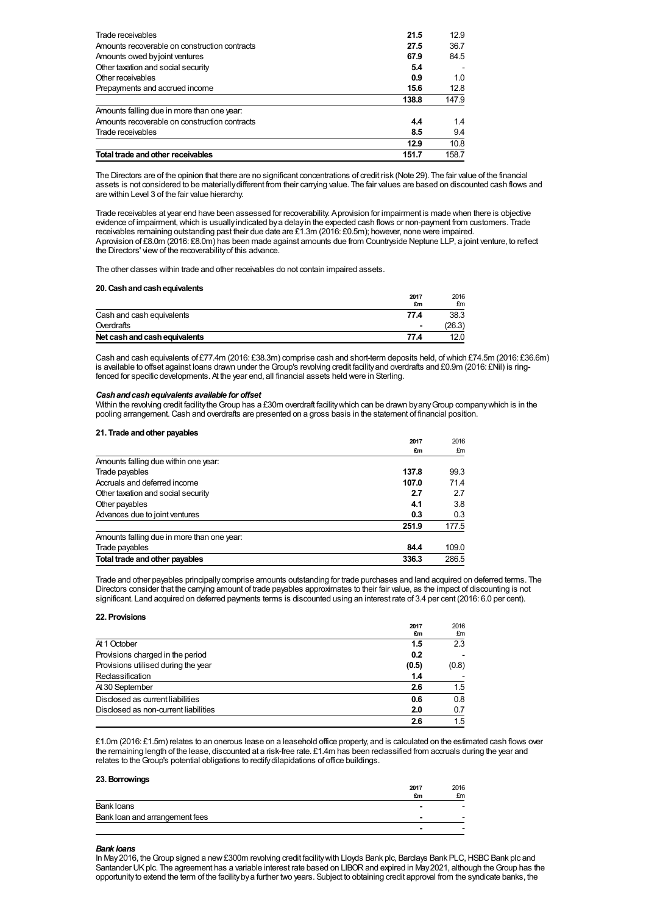| Trade receivables                             | 21.5  | 12.9  |
|-----------------------------------------------|-------|-------|
| Amounts recoverable on construction contracts | 27.5  | 36.7  |
| Amounts owed by joint ventures                | 67.9  | 84.5  |
| Other taxation and social security            | 5.4   |       |
| Other receivables                             | 0.9   | 1.0   |
| Prepayments and accrued income                | 15.6  | 12.8  |
|                                               | 138.8 | 147.9 |
| Amounts falling due in more than one year:    |       |       |
| Amounts recoverable on construction contracts | 4.4   | 1.4   |
| Trade receivables                             | 8.5   | 9.4   |
|                                               |       |       |
|                                               | 12.9  | 10.8  |

The Directors are of the opinion that there are no significant concentrations of credit risk (Note 29). The fair value of the financial assets is not considered to be materiallydifferent from their carrying value. The fair values are based on discounted cash flows and are within Level 3 of the fair value hierarchy.

Trade receivables at year end have been assessed for recoverability. Aprovision for impairment is made when there is objective evidence of impairment,which is usuallyindicated bya delayin the expected cash flows or non-payment from customers. Trade receivables remaining outstanding past their due date are £1.3m (2016: £0.5m); however, none were impaired. Aprovision of £8.0m (2016: £8.0m) has been made against amounts due from Countryside Neptune LLP, a joint venture, to reflect the Directors' viewof the recoverabilityof this advance.

The other classes within trade and other receivables do not contain impaired assets.

## **20.Cashandcashequivalents**

| $20.98011$ and $90011$ $9901$ value $100$ | 2017<br>£m     | 2016<br>£m |
|-------------------------------------------|----------------|------------|
| Cash and cash equivalents                 | 77.4           | 38.3       |
| Overdrafts                                | $\blacksquare$ | 26.3)      |
| Net cash and cash equivalents             | 77.4           | 12.0       |

Cash and cash equivalents of £77.4m (2016: £38.3m) comprise cash and short-term deposits held, ofwhich £74.5m (2016: £36.6m) is available to offset against loans drawn under theGroup's revolving credit facilityand overdrafts and £0.9m (2016: £Nil) is ringfenced for specific developments. At the year end, all financial assets held were in Sterling.

## *Cashandcashequivalents available for offset*

Within the revolving credit facility the Group has a £30m overdraft facility which can be drawn by any Group company which is in the pooling arrangement.Cash and overdrafts are presented on a gross basis in the statement of financial position.

## **21. Trade andother payables**

|                                            | 2017  | 2016  |
|--------------------------------------------|-------|-------|
|                                            | £m    | £m    |
| Amounts falling due within one year:       |       |       |
| Trade payables                             | 137.8 | 99.3  |
| Accruals and deferred income               | 107.0 | 71.4  |
| Other taxation and social security         | 2.7   | 2.7   |
| Other payables                             | 4.1   | 3.8   |
| Advances due to joint ventures             | 0.3   | 0.3   |
|                                            | 251.9 | 177.5 |
| Amounts falling due in more than one year: |       |       |
| Trade payables                             | 84.4  | 109.0 |
| Total trade and other payables             | 336.3 | 286.5 |

Trade and other payables principallycomprise amounts outstanding for trade purchases and land acquired on deferred terms. The Directors consider that the carrying amount of trade payables approximates to their fair value, as the impact of discounting is not significant. Land acquired on deferred payments terms is discounted using an interest rate of 3.4 per cent (2016: 6.0 per cent).

## **22. Provisions**

|                                      | 2017  | 2016  |
|--------------------------------------|-------|-------|
|                                      | £m    | £m    |
| At 1 October                         | 1.5   | 2.3   |
| Provisions charged in the period     | 0.2   |       |
| Provisions utilised during the year  | (0.5) | (0.8) |
| Reclassification                     | 1.4   |       |
| At 30 September                      | 2.6   | 1.5   |
| Disclosed as current liabilities     | 0.6   | 0.8   |
| Disclosed as non-current liabilities | 2.0   | 0.7   |
|                                      | 2.6   | 1.5   |

£1.0m (2016: £1.5m) relates to an onerous lease on a leasehold office property, and is calculated on the estimated cash flows over the remaining length of the lease, discounted at a risk-free rate. £1.4m has been reclassified from accruals during the year and relates to theGroup's potential obligations to rectifydilapidations of office buildings.

## **23.Borrowings**

|                                | 2017<br>£m | 2016<br>£m |
|--------------------------------|------------|------------|
| Bank loans                     | -          | -          |
| Bank loan and arrangement fees | -          |            |
|                                |            | ٠          |

## *Bank loans*

In May2016, theGroup signed a new£300m revolving credit facilitywith Lloyds Bank plc, Barclays Bank PLC,HSBCBank plc and Santander UK plc. The agreement has a variable interest rate based on LIBOR and expired in May 2021, although the Group has the opportunityto extend the term of the facilitybya further two years. Subject to obtaining credit approval from the syndicate banks, the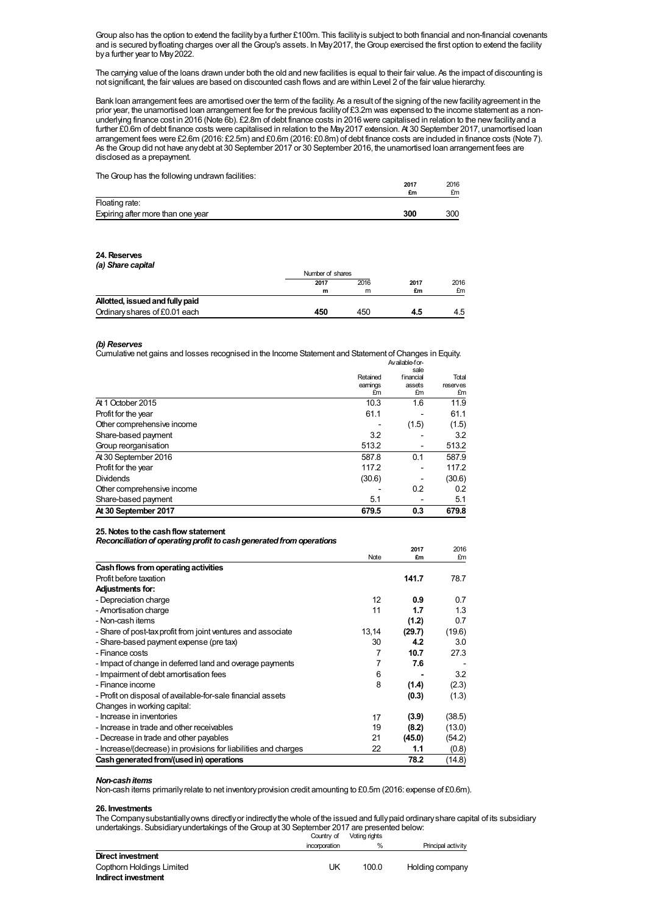Group also has the option to extend the facilitybya further £100m. This facilityis subject to both financial and non-financial covenants and is secured byfloating charges over all theGroup's assets. In May2017, theGroup exercised the first option to extend the facility bya further year to May2022.

The carrying value of the loans drawn under both the old and newfacilities is equal to their fair value. As the impact of discounting is not significant, the fair values are based on discounted cash flows and are within Level 2 of the fair value hierarchy.

Bank loan arrangement fees are amortised over the term of the facility. As a result of the signing of the newfacilityagreement in the prior year, the unamortised loan arrangement fee for the previous facilityof £3.2m was expensed to the income statement as a nonunderlying finance cost in 2016 (Note 6b). £2.8m of debt finance costs in 2016 were capitalised in relation to the newfacilityand a further £0.6m of debt finance costs were capitalised in relation to the May2017 extension. At 30 September 2017, unamortised loan arrangement fees were £2.6m (2016: £2.5m) and £0.6m (2016: £0.8m) of debt finance costs are included in finance costs (Note 7). As theGroup did not have anydebt at 30 September 2017 or 30 September 2016, the unamortised loan arrangement fees are disclosed as a prepayment.

**2017**

**2017**

2016

2016

The Group has the following undrawn facilities:

|                                   | £m  | £m  |
|-----------------------------------|-----|-----|
| Floating rate:                    |     |     |
| Expiring after more than one year | 300 | 300 |

## **24.Reserves** *(a) Share capital*

|                                 | Number of shares |      |            |            |
|---------------------------------|------------------|------|------------|------------|
|                                 | 2017             | 2016 | 2017<br>£m | 2016<br>£m |
|                                 | m                | m    |            |            |
| Allotted, issued and fully paid |                  |      |            |            |
| Ordinary shares of £0.01 each   | 450              | 450  | 4.5        | 4.5        |

#### *(b) Reserves*

Cumulative net gains and losses recognised in the Income Statement and Statement ofChanges in Equity. Available-for-

|                            |          | sale      |                   |
|----------------------------|----------|-----------|-------------------|
|                            | Retained | financial | Total<br>reserves |
|                            | earnings | assets    |                   |
|                            | £m       | £m        | £m                |
| At 1 October 2015          | 10.3     | 1.6       | 11.9              |
| Profit for the year        | 61.1     |           | 61.1              |
| Other comprehensive income |          | (1.5)     | (1.5)             |
| Share-based payment        | 3.2      |           | 3.2               |
| Group reorganisation       | 513.2    |           | 513.2             |
| At 30 September 2016       | 587.8    | 0.1       | 587.9             |
| Profit for the year        | 117.2    |           | 117.2             |
| <b>Dividends</b>           | (30.6)   |           | (30.6)            |
| Other comprehensive income |          | 0.2       | 0.2               |
| Share-based payment        | 5.1      |           | 5.1               |
| At 30 September 2017       | 679.5    | 0.3       | 679.8             |

#### **25.Notes tothe cashflow statement**

*Reconciliationof operatingprofit tocashgeneratedfromoperations*

|                                                                 | Note  | 47 I I<br>£m | 20 I V<br>£m |
|-----------------------------------------------------------------|-------|--------------|--------------|
| Cash flows from operating activities                            |       |              |              |
| Profit before taxation                                          |       | 141.7        | 78.7         |
| <b>Adjustments for:</b>                                         |       |              |              |
| - Depreciation charge                                           | 12    | 0.9          | 0.7          |
| - Amortisation charge                                           | 11    | 1.7          | 1.3          |
| - Non-cash items                                                |       | (1.2)        | 0.7          |
| - Share of post-tax profit from joint ventures and associate    | 13,14 | (29.7)       | (19.6)       |
| - Share-based payment expense (pre tax)                         | 30    | 4.2          | 3.0          |
| - Finance costs                                                 | 7     | 10.7         | 27.3         |
| - Impact of change in deferred land and overage payments        | 7     | 7.6          |              |
| - Impairment of debt amortisation fees                          | 6     |              | 3.2          |
| - Finance income                                                | 8     | (1.4)        | (2.3)        |
| - Profit on disposal of available-for-sale financial assets     |       | (0.3)        | (1.3)        |
| Changes in working capital:                                     |       |              |              |
| - Increase in inventories                                       | 17    | (3.9)        | (38.5)       |
| - Increase in trade and other receivables                       | 19    | (8.2)        | (13.0)       |
| - Decrease in trade and other payables                          | 21    | (45.0)       | (54.2)       |
| - Increase/(decrease) in provisions for liabilities and charges | 22    | 1.1          | (0.8)        |
| Cash generated from/(used in) operations                        |       | 78.2         | (14.8)       |

#### *Non-cashitems*

Non-cash items primarilyrelate to net inventoryprovision credit amounting to £0.5m (2016: expense of £0.6m).

## **26. Investments**

The Company substantiallyowns directly or indirectly the whole of the issued and fully paid ordinary share capital of its subsidiary undertakings. Subsidiaryundertakings of theGroup at 30 September 2017 are presented below:

|                           | Country of    | Voting rights |                    |
|---------------------------|---------------|---------------|--------------------|
|                           | incorporation | %             | Principal activity |
| Direct investment         |               |               |                    |
| Copthorn Holdings Limited | UK            | 100.0         | Holding company    |
| Indirect investment       |               |               |                    |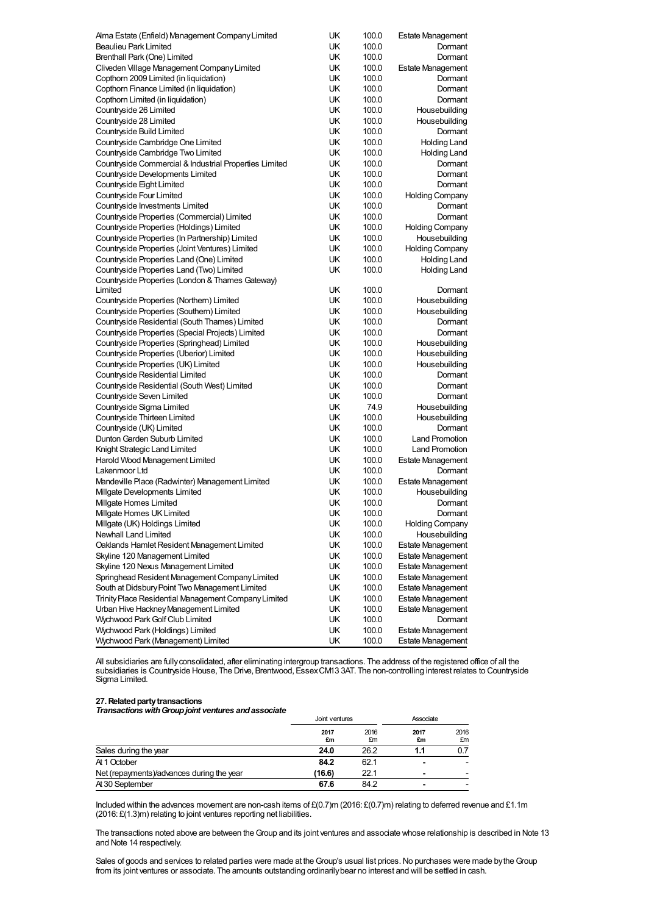| UK<br><b>Beaulieu Park Limited</b><br>100.0<br>Dormant<br>Brenthall Park (One) Limited<br>UK<br>100.0<br>Dormant<br>UK<br>Cliveden Village Management Company Limited<br>100.0<br><b>Estate Management</b><br>Copthorn 2009 Limited (in liquidation)<br>UK<br>100.0<br>Dormant<br>Copthorn Finance Limited (in liquidation)<br>UK<br>100.0<br>Dormant<br>UK<br>Copthorn Limited (in liquidation)<br>100.0<br>Dormant<br>UK<br>Countryside 26 Limited<br>100.0<br>Housebuilding<br>UK<br>Housebuilding<br>Countryside 28 Limited<br>100.0<br>UK<br>Countryside Build Limited<br>100.0<br>Dormant<br>UK<br>Countryside Cambridge One Limited<br>100.0<br><b>Holding Land</b><br>UK<br>Countryside Cambridge Two Limited<br>100.0<br><b>Holding Land</b><br>UK<br>100.0<br>Countryside Commercial & Industrial Properties Limited<br>Dormant<br>Countryside Developments Limited<br>UK<br>100.0<br>Dormant<br>UK<br>Countryside Eight Limited<br>100.0<br>Dormant<br>UK<br>Countryside Four Limited<br>100.0<br><b>Holding Company</b><br>UK<br>100.0<br>Countryside Investments Limited<br>Dormant<br>Countryside Properties (Commercial) Limited<br>UK<br>100.0<br>Dormant<br>UK<br>Countryside Properties (Holdings) Limited<br>100.0<br><b>Holding Company</b><br>Housebuilding<br>Countryside Properties (In Partnership) Limited<br>UK<br>100.0<br>UK<br>Countryside Properties (Joint Ventures) Limited<br>100.0<br><b>Holding Company</b><br>Countryside Properties Land (One) Limited<br>UK<br>100.0<br>Holding Land<br>UK<br>Countryside Properties Land (Two) Limited<br>100.0<br><b>Holding Land</b><br>Countryside Properties (London & Thames Gateway)<br>Limited<br>UK<br>100.0<br>Dormant<br>UK<br>100.0<br>Housebuilding<br>Countryside Properties (Northern) Limited<br>Countryside Properties (Southern) Limited<br>UK<br>100.0<br>Housebuilding<br>UK<br>Countryside Residential (South Thames) Limited<br>100.0<br>Dormant<br>Countryside Properties (Special Projects) Limited<br>UK<br>100.0<br>Dormant<br>UK<br>Countryside Properties (Springhead) Limited<br>100.0<br>Housebuilding<br>Countryside Properties (Uberior) Limited<br>UK<br>100.0<br>Housebuilding<br>UK<br>Countryside Properties (UK) Limited<br>100.0<br>Housebuilding<br>UK<br>Countryside Residential Limited<br>100.0<br>Dormant<br>UK<br>Countryside Residential (South West) Limited<br>100.0<br>Dormant<br>Countryside Seven Limited<br>UK<br>100.0<br>Dormant<br>UK<br>Countryside Sigma Limited<br>74.9<br>Housebuilding<br>UK<br>Countryside Thirteen Limited<br>100.0<br>Housebuilding<br>Countryside (UK) Limited<br>UK<br>100.0<br>Dormant<br>UK<br><b>Land Promotion</b><br>Dunton Garden Suburb Limited<br>100.0<br>UK<br>Knight Strategic Land Limited<br>100.0<br><b>Land Promotion</b><br>UK<br>Harold Wood Management Limited<br>100.0<br>Estate Management<br>UK<br>100.0<br>Lakenmoor Ltd<br>Dormant<br>Mandeville Place (Radwinter) Management Limited<br>UK<br>100.0<br><b>Estate Management</b><br>Milgate Developments Limited<br>UK<br>100.0<br>Housebuilding<br>UK<br>100.0<br>Millgate Homes Limited<br>Dormant<br>UK<br>100.0<br>Millgate Homes UK Limited<br>Dormant<br>Milgate (UK) Holdings Limited<br>UK<br>100.0<br><b>Holding Company</b><br>Newhall Land Limited<br>UK<br>100.0<br>Housebuilding<br>Oaklands Hamlet Resident Management Limited<br>UK<br>100.0<br><b>Estate Management</b><br>Skyline 120 Management Limited<br>UK<br>100.0<br><b>Estate Management</b><br>Skyline 120 Nexus Management Limited<br>UK<br>100.0<br><b>Estate Management</b><br>Springhead Resident Management Company Limited<br>UK<br>100.0<br><b>Estate Management</b><br>South at Didsbury Point Two Management Limited<br>UK<br>100.0<br><b>Estate Management</b><br>Trinity Place Residential Management Company Limited<br>UK<br>100.0<br><b>Estate Management</b><br>Urban Hive Hackney Management Limited<br>UK<br>100.0<br><b>Estate Management</b><br>Wychwood Park Golf Club Limited<br>UK<br>100.0<br>Dormant<br>Wychwood Park (Holdings) Limited<br>UK<br>100.0<br><b>Estate Management</b><br>UK<br>Wychwood Park (Management) Limited<br>100.0<br><b>Estate Management</b> | Alma Estate (Enfield) Management Company Limited | UK | 100.0 | <b>Estate Management</b> |
|----------------------------------------------------------------------------------------------------------------------------------------------------------------------------------------------------------------------------------------------------------------------------------------------------------------------------------------------------------------------------------------------------------------------------------------------------------------------------------------------------------------------------------------------------------------------------------------------------------------------------------------------------------------------------------------------------------------------------------------------------------------------------------------------------------------------------------------------------------------------------------------------------------------------------------------------------------------------------------------------------------------------------------------------------------------------------------------------------------------------------------------------------------------------------------------------------------------------------------------------------------------------------------------------------------------------------------------------------------------------------------------------------------------------------------------------------------------------------------------------------------------------------------------------------------------------------------------------------------------------------------------------------------------------------------------------------------------------------------------------------------------------------------------------------------------------------------------------------------------------------------------------------------------------------------------------------------------------------------------------------------------------------------------------------------------------------------------------------------------------------------------------------------------------------------------------------------------------------------------------------------------------------------------------------------------------------------------------------------------------------------------------------------------------------------------------------------------------------------------------------------------------------------------------------------------------------------------------------------------------------------------------------------------------------------------------------------------------------------------------------------------------------------------------------------------------------------------------------------------------------------------------------------------------------------------------------------------------------------------------------------------------------------------------------------------------------------------------------------------------------------------------------------------------------------------------------------------------------------------------------------------------------------------------------------------------------------------------------------------------------------------------------------------------------------------------------------------------------------------------------------------------------------------------------------------------------------------------------------------------------------------------------------------------------------------------------------------------------------------------------------------------------------------------------------------------------------------------------------------------------------------------------------------------------------------------------------------------------------------------------------------------------------------------------------------------------------------------------------------------------------------------------------------------------------------------------|--------------------------------------------------|----|-------|--------------------------|
|                                                                                                                                                                                                                                                                                                                                                                                                                                                                                                                                                                                                                                                                                                                                                                                                                                                                                                                                                                                                                                                                                                                                                                                                                                                                                                                                                                                                                                                                                                                                                                                                                                                                                                                                                                                                                                                                                                                                                                                                                                                                                                                                                                                                                                                                                                                                                                                                                                                                                                                                                                                                                                                                                                                                                                                                                                                                                                                                                                                                                                                                                                                                                                                                                                                                                                                                                                                                                                                                                                                                                                                                                                                                                                                                                                                                                                                                                                                                                                                                                                                                                                                                                                                                    |                                                  |    |       |                          |
|                                                                                                                                                                                                                                                                                                                                                                                                                                                                                                                                                                                                                                                                                                                                                                                                                                                                                                                                                                                                                                                                                                                                                                                                                                                                                                                                                                                                                                                                                                                                                                                                                                                                                                                                                                                                                                                                                                                                                                                                                                                                                                                                                                                                                                                                                                                                                                                                                                                                                                                                                                                                                                                                                                                                                                                                                                                                                                                                                                                                                                                                                                                                                                                                                                                                                                                                                                                                                                                                                                                                                                                                                                                                                                                                                                                                                                                                                                                                                                                                                                                                                                                                                                                                    |                                                  |    |       |                          |
|                                                                                                                                                                                                                                                                                                                                                                                                                                                                                                                                                                                                                                                                                                                                                                                                                                                                                                                                                                                                                                                                                                                                                                                                                                                                                                                                                                                                                                                                                                                                                                                                                                                                                                                                                                                                                                                                                                                                                                                                                                                                                                                                                                                                                                                                                                                                                                                                                                                                                                                                                                                                                                                                                                                                                                                                                                                                                                                                                                                                                                                                                                                                                                                                                                                                                                                                                                                                                                                                                                                                                                                                                                                                                                                                                                                                                                                                                                                                                                                                                                                                                                                                                                                                    |                                                  |    |       |                          |
|                                                                                                                                                                                                                                                                                                                                                                                                                                                                                                                                                                                                                                                                                                                                                                                                                                                                                                                                                                                                                                                                                                                                                                                                                                                                                                                                                                                                                                                                                                                                                                                                                                                                                                                                                                                                                                                                                                                                                                                                                                                                                                                                                                                                                                                                                                                                                                                                                                                                                                                                                                                                                                                                                                                                                                                                                                                                                                                                                                                                                                                                                                                                                                                                                                                                                                                                                                                                                                                                                                                                                                                                                                                                                                                                                                                                                                                                                                                                                                                                                                                                                                                                                                                                    |                                                  |    |       |                          |
|                                                                                                                                                                                                                                                                                                                                                                                                                                                                                                                                                                                                                                                                                                                                                                                                                                                                                                                                                                                                                                                                                                                                                                                                                                                                                                                                                                                                                                                                                                                                                                                                                                                                                                                                                                                                                                                                                                                                                                                                                                                                                                                                                                                                                                                                                                                                                                                                                                                                                                                                                                                                                                                                                                                                                                                                                                                                                                                                                                                                                                                                                                                                                                                                                                                                                                                                                                                                                                                                                                                                                                                                                                                                                                                                                                                                                                                                                                                                                                                                                                                                                                                                                                                                    |                                                  |    |       |                          |
|                                                                                                                                                                                                                                                                                                                                                                                                                                                                                                                                                                                                                                                                                                                                                                                                                                                                                                                                                                                                                                                                                                                                                                                                                                                                                                                                                                                                                                                                                                                                                                                                                                                                                                                                                                                                                                                                                                                                                                                                                                                                                                                                                                                                                                                                                                                                                                                                                                                                                                                                                                                                                                                                                                                                                                                                                                                                                                                                                                                                                                                                                                                                                                                                                                                                                                                                                                                                                                                                                                                                                                                                                                                                                                                                                                                                                                                                                                                                                                                                                                                                                                                                                                                                    |                                                  |    |       |                          |
|                                                                                                                                                                                                                                                                                                                                                                                                                                                                                                                                                                                                                                                                                                                                                                                                                                                                                                                                                                                                                                                                                                                                                                                                                                                                                                                                                                                                                                                                                                                                                                                                                                                                                                                                                                                                                                                                                                                                                                                                                                                                                                                                                                                                                                                                                                                                                                                                                                                                                                                                                                                                                                                                                                                                                                                                                                                                                                                                                                                                                                                                                                                                                                                                                                                                                                                                                                                                                                                                                                                                                                                                                                                                                                                                                                                                                                                                                                                                                                                                                                                                                                                                                                                                    |                                                  |    |       |                          |
|                                                                                                                                                                                                                                                                                                                                                                                                                                                                                                                                                                                                                                                                                                                                                                                                                                                                                                                                                                                                                                                                                                                                                                                                                                                                                                                                                                                                                                                                                                                                                                                                                                                                                                                                                                                                                                                                                                                                                                                                                                                                                                                                                                                                                                                                                                                                                                                                                                                                                                                                                                                                                                                                                                                                                                                                                                                                                                                                                                                                                                                                                                                                                                                                                                                                                                                                                                                                                                                                                                                                                                                                                                                                                                                                                                                                                                                                                                                                                                                                                                                                                                                                                                                                    |                                                  |    |       |                          |
|                                                                                                                                                                                                                                                                                                                                                                                                                                                                                                                                                                                                                                                                                                                                                                                                                                                                                                                                                                                                                                                                                                                                                                                                                                                                                                                                                                                                                                                                                                                                                                                                                                                                                                                                                                                                                                                                                                                                                                                                                                                                                                                                                                                                                                                                                                                                                                                                                                                                                                                                                                                                                                                                                                                                                                                                                                                                                                                                                                                                                                                                                                                                                                                                                                                                                                                                                                                                                                                                                                                                                                                                                                                                                                                                                                                                                                                                                                                                                                                                                                                                                                                                                                                                    |                                                  |    |       |                          |
|                                                                                                                                                                                                                                                                                                                                                                                                                                                                                                                                                                                                                                                                                                                                                                                                                                                                                                                                                                                                                                                                                                                                                                                                                                                                                                                                                                                                                                                                                                                                                                                                                                                                                                                                                                                                                                                                                                                                                                                                                                                                                                                                                                                                                                                                                                                                                                                                                                                                                                                                                                                                                                                                                                                                                                                                                                                                                                                                                                                                                                                                                                                                                                                                                                                                                                                                                                                                                                                                                                                                                                                                                                                                                                                                                                                                                                                                                                                                                                                                                                                                                                                                                                                                    |                                                  |    |       |                          |
|                                                                                                                                                                                                                                                                                                                                                                                                                                                                                                                                                                                                                                                                                                                                                                                                                                                                                                                                                                                                                                                                                                                                                                                                                                                                                                                                                                                                                                                                                                                                                                                                                                                                                                                                                                                                                                                                                                                                                                                                                                                                                                                                                                                                                                                                                                                                                                                                                                                                                                                                                                                                                                                                                                                                                                                                                                                                                                                                                                                                                                                                                                                                                                                                                                                                                                                                                                                                                                                                                                                                                                                                                                                                                                                                                                                                                                                                                                                                                                                                                                                                                                                                                                                                    |                                                  |    |       |                          |
|                                                                                                                                                                                                                                                                                                                                                                                                                                                                                                                                                                                                                                                                                                                                                                                                                                                                                                                                                                                                                                                                                                                                                                                                                                                                                                                                                                                                                                                                                                                                                                                                                                                                                                                                                                                                                                                                                                                                                                                                                                                                                                                                                                                                                                                                                                                                                                                                                                                                                                                                                                                                                                                                                                                                                                                                                                                                                                                                                                                                                                                                                                                                                                                                                                                                                                                                                                                                                                                                                                                                                                                                                                                                                                                                                                                                                                                                                                                                                                                                                                                                                                                                                                                                    |                                                  |    |       |                          |
|                                                                                                                                                                                                                                                                                                                                                                                                                                                                                                                                                                                                                                                                                                                                                                                                                                                                                                                                                                                                                                                                                                                                                                                                                                                                                                                                                                                                                                                                                                                                                                                                                                                                                                                                                                                                                                                                                                                                                                                                                                                                                                                                                                                                                                                                                                                                                                                                                                                                                                                                                                                                                                                                                                                                                                                                                                                                                                                                                                                                                                                                                                                                                                                                                                                                                                                                                                                                                                                                                                                                                                                                                                                                                                                                                                                                                                                                                                                                                                                                                                                                                                                                                                                                    |                                                  |    |       |                          |
|                                                                                                                                                                                                                                                                                                                                                                                                                                                                                                                                                                                                                                                                                                                                                                                                                                                                                                                                                                                                                                                                                                                                                                                                                                                                                                                                                                                                                                                                                                                                                                                                                                                                                                                                                                                                                                                                                                                                                                                                                                                                                                                                                                                                                                                                                                                                                                                                                                                                                                                                                                                                                                                                                                                                                                                                                                                                                                                                                                                                                                                                                                                                                                                                                                                                                                                                                                                                                                                                                                                                                                                                                                                                                                                                                                                                                                                                                                                                                                                                                                                                                                                                                                                                    |                                                  |    |       |                          |
|                                                                                                                                                                                                                                                                                                                                                                                                                                                                                                                                                                                                                                                                                                                                                                                                                                                                                                                                                                                                                                                                                                                                                                                                                                                                                                                                                                                                                                                                                                                                                                                                                                                                                                                                                                                                                                                                                                                                                                                                                                                                                                                                                                                                                                                                                                                                                                                                                                                                                                                                                                                                                                                                                                                                                                                                                                                                                                                                                                                                                                                                                                                                                                                                                                                                                                                                                                                                                                                                                                                                                                                                                                                                                                                                                                                                                                                                                                                                                                                                                                                                                                                                                                                                    |                                                  |    |       |                          |
|                                                                                                                                                                                                                                                                                                                                                                                                                                                                                                                                                                                                                                                                                                                                                                                                                                                                                                                                                                                                                                                                                                                                                                                                                                                                                                                                                                                                                                                                                                                                                                                                                                                                                                                                                                                                                                                                                                                                                                                                                                                                                                                                                                                                                                                                                                                                                                                                                                                                                                                                                                                                                                                                                                                                                                                                                                                                                                                                                                                                                                                                                                                                                                                                                                                                                                                                                                                                                                                                                                                                                                                                                                                                                                                                                                                                                                                                                                                                                                                                                                                                                                                                                                                                    |                                                  |    |       |                          |
|                                                                                                                                                                                                                                                                                                                                                                                                                                                                                                                                                                                                                                                                                                                                                                                                                                                                                                                                                                                                                                                                                                                                                                                                                                                                                                                                                                                                                                                                                                                                                                                                                                                                                                                                                                                                                                                                                                                                                                                                                                                                                                                                                                                                                                                                                                                                                                                                                                                                                                                                                                                                                                                                                                                                                                                                                                                                                                                                                                                                                                                                                                                                                                                                                                                                                                                                                                                                                                                                                                                                                                                                                                                                                                                                                                                                                                                                                                                                                                                                                                                                                                                                                                                                    |                                                  |    |       |                          |
|                                                                                                                                                                                                                                                                                                                                                                                                                                                                                                                                                                                                                                                                                                                                                                                                                                                                                                                                                                                                                                                                                                                                                                                                                                                                                                                                                                                                                                                                                                                                                                                                                                                                                                                                                                                                                                                                                                                                                                                                                                                                                                                                                                                                                                                                                                                                                                                                                                                                                                                                                                                                                                                                                                                                                                                                                                                                                                                                                                                                                                                                                                                                                                                                                                                                                                                                                                                                                                                                                                                                                                                                                                                                                                                                                                                                                                                                                                                                                                                                                                                                                                                                                                                                    |                                                  |    |       |                          |
|                                                                                                                                                                                                                                                                                                                                                                                                                                                                                                                                                                                                                                                                                                                                                                                                                                                                                                                                                                                                                                                                                                                                                                                                                                                                                                                                                                                                                                                                                                                                                                                                                                                                                                                                                                                                                                                                                                                                                                                                                                                                                                                                                                                                                                                                                                                                                                                                                                                                                                                                                                                                                                                                                                                                                                                                                                                                                                                                                                                                                                                                                                                                                                                                                                                                                                                                                                                                                                                                                                                                                                                                                                                                                                                                                                                                                                                                                                                                                                                                                                                                                                                                                                                                    |                                                  |    |       |                          |
|                                                                                                                                                                                                                                                                                                                                                                                                                                                                                                                                                                                                                                                                                                                                                                                                                                                                                                                                                                                                                                                                                                                                                                                                                                                                                                                                                                                                                                                                                                                                                                                                                                                                                                                                                                                                                                                                                                                                                                                                                                                                                                                                                                                                                                                                                                                                                                                                                                                                                                                                                                                                                                                                                                                                                                                                                                                                                                                                                                                                                                                                                                                                                                                                                                                                                                                                                                                                                                                                                                                                                                                                                                                                                                                                                                                                                                                                                                                                                                                                                                                                                                                                                                                                    |                                                  |    |       |                          |
|                                                                                                                                                                                                                                                                                                                                                                                                                                                                                                                                                                                                                                                                                                                                                                                                                                                                                                                                                                                                                                                                                                                                                                                                                                                                                                                                                                                                                                                                                                                                                                                                                                                                                                                                                                                                                                                                                                                                                                                                                                                                                                                                                                                                                                                                                                                                                                                                                                                                                                                                                                                                                                                                                                                                                                                                                                                                                                                                                                                                                                                                                                                                                                                                                                                                                                                                                                                                                                                                                                                                                                                                                                                                                                                                                                                                                                                                                                                                                                                                                                                                                                                                                                                                    |                                                  |    |       |                          |
|                                                                                                                                                                                                                                                                                                                                                                                                                                                                                                                                                                                                                                                                                                                                                                                                                                                                                                                                                                                                                                                                                                                                                                                                                                                                                                                                                                                                                                                                                                                                                                                                                                                                                                                                                                                                                                                                                                                                                                                                                                                                                                                                                                                                                                                                                                                                                                                                                                                                                                                                                                                                                                                                                                                                                                                                                                                                                                                                                                                                                                                                                                                                                                                                                                                                                                                                                                                                                                                                                                                                                                                                                                                                                                                                                                                                                                                                                                                                                                                                                                                                                                                                                                                                    |                                                  |    |       |                          |
|                                                                                                                                                                                                                                                                                                                                                                                                                                                                                                                                                                                                                                                                                                                                                                                                                                                                                                                                                                                                                                                                                                                                                                                                                                                                                                                                                                                                                                                                                                                                                                                                                                                                                                                                                                                                                                                                                                                                                                                                                                                                                                                                                                                                                                                                                                                                                                                                                                                                                                                                                                                                                                                                                                                                                                                                                                                                                                                                                                                                                                                                                                                                                                                                                                                                                                                                                                                                                                                                                                                                                                                                                                                                                                                                                                                                                                                                                                                                                                                                                                                                                                                                                                                                    |                                                  |    |       |                          |
|                                                                                                                                                                                                                                                                                                                                                                                                                                                                                                                                                                                                                                                                                                                                                                                                                                                                                                                                                                                                                                                                                                                                                                                                                                                                                                                                                                                                                                                                                                                                                                                                                                                                                                                                                                                                                                                                                                                                                                                                                                                                                                                                                                                                                                                                                                                                                                                                                                                                                                                                                                                                                                                                                                                                                                                                                                                                                                                                                                                                                                                                                                                                                                                                                                                                                                                                                                                                                                                                                                                                                                                                                                                                                                                                                                                                                                                                                                                                                                                                                                                                                                                                                                                                    |                                                  |    |       |                          |
|                                                                                                                                                                                                                                                                                                                                                                                                                                                                                                                                                                                                                                                                                                                                                                                                                                                                                                                                                                                                                                                                                                                                                                                                                                                                                                                                                                                                                                                                                                                                                                                                                                                                                                                                                                                                                                                                                                                                                                                                                                                                                                                                                                                                                                                                                                                                                                                                                                                                                                                                                                                                                                                                                                                                                                                                                                                                                                                                                                                                                                                                                                                                                                                                                                                                                                                                                                                                                                                                                                                                                                                                                                                                                                                                                                                                                                                                                                                                                                                                                                                                                                                                                                                                    |                                                  |    |       |                          |
|                                                                                                                                                                                                                                                                                                                                                                                                                                                                                                                                                                                                                                                                                                                                                                                                                                                                                                                                                                                                                                                                                                                                                                                                                                                                                                                                                                                                                                                                                                                                                                                                                                                                                                                                                                                                                                                                                                                                                                                                                                                                                                                                                                                                                                                                                                                                                                                                                                                                                                                                                                                                                                                                                                                                                                                                                                                                                                                                                                                                                                                                                                                                                                                                                                                                                                                                                                                                                                                                                                                                                                                                                                                                                                                                                                                                                                                                                                                                                                                                                                                                                                                                                                                                    |                                                  |    |       |                          |
|                                                                                                                                                                                                                                                                                                                                                                                                                                                                                                                                                                                                                                                                                                                                                                                                                                                                                                                                                                                                                                                                                                                                                                                                                                                                                                                                                                                                                                                                                                                                                                                                                                                                                                                                                                                                                                                                                                                                                                                                                                                                                                                                                                                                                                                                                                                                                                                                                                                                                                                                                                                                                                                                                                                                                                                                                                                                                                                                                                                                                                                                                                                                                                                                                                                                                                                                                                                                                                                                                                                                                                                                                                                                                                                                                                                                                                                                                                                                                                                                                                                                                                                                                                                                    |                                                  |    |       |                          |
|                                                                                                                                                                                                                                                                                                                                                                                                                                                                                                                                                                                                                                                                                                                                                                                                                                                                                                                                                                                                                                                                                                                                                                                                                                                                                                                                                                                                                                                                                                                                                                                                                                                                                                                                                                                                                                                                                                                                                                                                                                                                                                                                                                                                                                                                                                                                                                                                                                                                                                                                                                                                                                                                                                                                                                                                                                                                                                                                                                                                                                                                                                                                                                                                                                                                                                                                                                                                                                                                                                                                                                                                                                                                                                                                                                                                                                                                                                                                                                                                                                                                                                                                                                                                    |                                                  |    |       |                          |
|                                                                                                                                                                                                                                                                                                                                                                                                                                                                                                                                                                                                                                                                                                                                                                                                                                                                                                                                                                                                                                                                                                                                                                                                                                                                                                                                                                                                                                                                                                                                                                                                                                                                                                                                                                                                                                                                                                                                                                                                                                                                                                                                                                                                                                                                                                                                                                                                                                                                                                                                                                                                                                                                                                                                                                                                                                                                                                                                                                                                                                                                                                                                                                                                                                                                                                                                                                                                                                                                                                                                                                                                                                                                                                                                                                                                                                                                                                                                                                                                                                                                                                                                                                                                    |                                                  |    |       |                          |
|                                                                                                                                                                                                                                                                                                                                                                                                                                                                                                                                                                                                                                                                                                                                                                                                                                                                                                                                                                                                                                                                                                                                                                                                                                                                                                                                                                                                                                                                                                                                                                                                                                                                                                                                                                                                                                                                                                                                                                                                                                                                                                                                                                                                                                                                                                                                                                                                                                                                                                                                                                                                                                                                                                                                                                                                                                                                                                                                                                                                                                                                                                                                                                                                                                                                                                                                                                                                                                                                                                                                                                                                                                                                                                                                                                                                                                                                                                                                                                                                                                                                                                                                                                                                    |                                                  |    |       |                          |
|                                                                                                                                                                                                                                                                                                                                                                                                                                                                                                                                                                                                                                                                                                                                                                                                                                                                                                                                                                                                                                                                                                                                                                                                                                                                                                                                                                                                                                                                                                                                                                                                                                                                                                                                                                                                                                                                                                                                                                                                                                                                                                                                                                                                                                                                                                                                                                                                                                                                                                                                                                                                                                                                                                                                                                                                                                                                                                                                                                                                                                                                                                                                                                                                                                                                                                                                                                                                                                                                                                                                                                                                                                                                                                                                                                                                                                                                                                                                                                                                                                                                                                                                                                                                    |                                                  |    |       |                          |
|                                                                                                                                                                                                                                                                                                                                                                                                                                                                                                                                                                                                                                                                                                                                                                                                                                                                                                                                                                                                                                                                                                                                                                                                                                                                                                                                                                                                                                                                                                                                                                                                                                                                                                                                                                                                                                                                                                                                                                                                                                                                                                                                                                                                                                                                                                                                                                                                                                                                                                                                                                                                                                                                                                                                                                                                                                                                                                                                                                                                                                                                                                                                                                                                                                                                                                                                                                                                                                                                                                                                                                                                                                                                                                                                                                                                                                                                                                                                                                                                                                                                                                                                                                                                    |                                                  |    |       |                          |
|                                                                                                                                                                                                                                                                                                                                                                                                                                                                                                                                                                                                                                                                                                                                                                                                                                                                                                                                                                                                                                                                                                                                                                                                                                                                                                                                                                                                                                                                                                                                                                                                                                                                                                                                                                                                                                                                                                                                                                                                                                                                                                                                                                                                                                                                                                                                                                                                                                                                                                                                                                                                                                                                                                                                                                                                                                                                                                                                                                                                                                                                                                                                                                                                                                                                                                                                                                                                                                                                                                                                                                                                                                                                                                                                                                                                                                                                                                                                                                                                                                                                                                                                                                                                    |                                                  |    |       |                          |
|                                                                                                                                                                                                                                                                                                                                                                                                                                                                                                                                                                                                                                                                                                                                                                                                                                                                                                                                                                                                                                                                                                                                                                                                                                                                                                                                                                                                                                                                                                                                                                                                                                                                                                                                                                                                                                                                                                                                                                                                                                                                                                                                                                                                                                                                                                                                                                                                                                                                                                                                                                                                                                                                                                                                                                                                                                                                                                                                                                                                                                                                                                                                                                                                                                                                                                                                                                                                                                                                                                                                                                                                                                                                                                                                                                                                                                                                                                                                                                                                                                                                                                                                                                                                    |                                                  |    |       |                          |
|                                                                                                                                                                                                                                                                                                                                                                                                                                                                                                                                                                                                                                                                                                                                                                                                                                                                                                                                                                                                                                                                                                                                                                                                                                                                                                                                                                                                                                                                                                                                                                                                                                                                                                                                                                                                                                                                                                                                                                                                                                                                                                                                                                                                                                                                                                                                                                                                                                                                                                                                                                                                                                                                                                                                                                                                                                                                                                                                                                                                                                                                                                                                                                                                                                                                                                                                                                                                                                                                                                                                                                                                                                                                                                                                                                                                                                                                                                                                                                                                                                                                                                                                                                                                    |                                                  |    |       |                          |
|                                                                                                                                                                                                                                                                                                                                                                                                                                                                                                                                                                                                                                                                                                                                                                                                                                                                                                                                                                                                                                                                                                                                                                                                                                                                                                                                                                                                                                                                                                                                                                                                                                                                                                                                                                                                                                                                                                                                                                                                                                                                                                                                                                                                                                                                                                                                                                                                                                                                                                                                                                                                                                                                                                                                                                                                                                                                                                                                                                                                                                                                                                                                                                                                                                                                                                                                                                                                                                                                                                                                                                                                                                                                                                                                                                                                                                                                                                                                                                                                                                                                                                                                                                                                    |                                                  |    |       |                          |
|                                                                                                                                                                                                                                                                                                                                                                                                                                                                                                                                                                                                                                                                                                                                                                                                                                                                                                                                                                                                                                                                                                                                                                                                                                                                                                                                                                                                                                                                                                                                                                                                                                                                                                                                                                                                                                                                                                                                                                                                                                                                                                                                                                                                                                                                                                                                                                                                                                                                                                                                                                                                                                                                                                                                                                                                                                                                                                                                                                                                                                                                                                                                                                                                                                                                                                                                                                                                                                                                                                                                                                                                                                                                                                                                                                                                                                                                                                                                                                                                                                                                                                                                                                                                    |                                                  |    |       |                          |
|                                                                                                                                                                                                                                                                                                                                                                                                                                                                                                                                                                                                                                                                                                                                                                                                                                                                                                                                                                                                                                                                                                                                                                                                                                                                                                                                                                                                                                                                                                                                                                                                                                                                                                                                                                                                                                                                                                                                                                                                                                                                                                                                                                                                                                                                                                                                                                                                                                                                                                                                                                                                                                                                                                                                                                                                                                                                                                                                                                                                                                                                                                                                                                                                                                                                                                                                                                                                                                                                                                                                                                                                                                                                                                                                                                                                                                                                                                                                                                                                                                                                                                                                                                                                    |                                                  |    |       |                          |
|                                                                                                                                                                                                                                                                                                                                                                                                                                                                                                                                                                                                                                                                                                                                                                                                                                                                                                                                                                                                                                                                                                                                                                                                                                                                                                                                                                                                                                                                                                                                                                                                                                                                                                                                                                                                                                                                                                                                                                                                                                                                                                                                                                                                                                                                                                                                                                                                                                                                                                                                                                                                                                                                                                                                                                                                                                                                                                                                                                                                                                                                                                                                                                                                                                                                                                                                                                                                                                                                                                                                                                                                                                                                                                                                                                                                                                                                                                                                                                                                                                                                                                                                                                                                    |                                                  |    |       |                          |
|                                                                                                                                                                                                                                                                                                                                                                                                                                                                                                                                                                                                                                                                                                                                                                                                                                                                                                                                                                                                                                                                                                                                                                                                                                                                                                                                                                                                                                                                                                                                                                                                                                                                                                                                                                                                                                                                                                                                                                                                                                                                                                                                                                                                                                                                                                                                                                                                                                                                                                                                                                                                                                                                                                                                                                                                                                                                                                                                                                                                                                                                                                                                                                                                                                                                                                                                                                                                                                                                                                                                                                                                                                                                                                                                                                                                                                                                                                                                                                                                                                                                                                                                                                                                    |                                                  |    |       |                          |
|                                                                                                                                                                                                                                                                                                                                                                                                                                                                                                                                                                                                                                                                                                                                                                                                                                                                                                                                                                                                                                                                                                                                                                                                                                                                                                                                                                                                                                                                                                                                                                                                                                                                                                                                                                                                                                                                                                                                                                                                                                                                                                                                                                                                                                                                                                                                                                                                                                                                                                                                                                                                                                                                                                                                                                                                                                                                                                                                                                                                                                                                                                                                                                                                                                                                                                                                                                                                                                                                                                                                                                                                                                                                                                                                                                                                                                                                                                                                                                                                                                                                                                                                                                                                    |                                                  |    |       |                          |
|                                                                                                                                                                                                                                                                                                                                                                                                                                                                                                                                                                                                                                                                                                                                                                                                                                                                                                                                                                                                                                                                                                                                                                                                                                                                                                                                                                                                                                                                                                                                                                                                                                                                                                                                                                                                                                                                                                                                                                                                                                                                                                                                                                                                                                                                                                                                                                                                                                                                                                                                                                                                                                                                                                                                                                                                                                                                                                                                                                                                                                                                                                                                                                                                                                                                                                                                                                                                                                                                                                                                                                                                                                                                                                                                                                                                                                                                                                                                                                                                                                                                                                                                                                                                    |                                                  |    |       |                          |
|                                                                                                                                                                                                                                                                                                                                                                                                                                                                                                                                                                                                                                                                                                                                                                                                                                                                                                                                                                                                                                                                                                                                                                                                                                                                                                                                                                                                                                                                                                                                                                                                                                                                                                                                                                                                                                                                                                                                                                                                                                                                                                                                                                                                                                                                                                                                                                                                                                                                                                                                                                                                                                                                                                                                                                                                                                                                                                                                                                                                                                                                                                                                                                                                                                                                                                                                                                                                                                                                                                                                                                                                                                                                                                                                                                                                                                                                                                                                                                                                                                                                                                                                                                                                    |                                                  |    |       |                          |
|                                                                                                                                                                                                                                                                                                                                                                                                                                                                                                                                                                                                                                                                                                                                                                                                                                                                                                                                                                                                                                                                                                                                                                                                                                                                                                                                                                                                                                                                                                                                                                                                                                                                                                                                                                                                                                                                                                                                                                                                                                                                                                                                                                                                                                                                                                                                                                                                                                                                                                                                                                                                                                                                                                                                                                                                                                                                                                                                                                                                                                                                                                                                                                                                                                                                                                                                                                                                                                                                                                                                                                                                                                                                                                                                                                                                                                                                                                                                                                                                                                                                                                                                                                                                    |                                                  |    |       |                          |
|                                                                                                                                                                                                                                                                                                                                                                                                                                                                                                                                                                                                                                                                                                                                                                                                                                                                                                                                                                                                                                                                                                                                                                                                                                                                                                                                                                                                                                                                                                                                                                                                                                                                                                                                                                                                                                                                                                                                                                                                                                                                                                                                                                                                                                                                                                                                                                                                                                                                                                                                                                                                                                                                                                                                                                                                                                                                                                                                                                                                                                                                                                                                                                                                                                                                                                                                                                                                                                                                                                                                                                                                                                                                                                                                                                                                                                                                                                                                                                                                                                                                                                                                                                                                    |                                                  |    |       |                          |
|                                                                                                                                                                                                                                                                                                                                                                                                                                                                                                                                                                                                                                                                                                                                                                                                                                                                                                                                                                                                                                                                                                                                                                                                                                                                                                                                                                                                                                                                                                                                                                                                                                                                                                                                                                                                                                                                                                                                                                                                                                                                                                                                                                                                                                                                                                                                                                                                                                                                                                                                                                                                                                                                                                                                                                                                                                                                                                                                                                                                                                                                                                                                                                                                                                                                                                                                                                                                                                                                                                                                                                                                                                                                                                                                                                                                                                                                                                                                                                                                                                                                                                                                                                                                    |                                                  |    |       |                          |
|                                                                                                                                                                                                                                                                                                                                                                                                                                                                                                                                                                                                                                                                                                                                                                                                                                                                                                                                                                                                                                                                                                                                                                                                                                                                                                                                                                                                                                                                                                                                                                                                                                                                                                                                                                                                                                                                                                                                                                                                                                                                                                                                                                                                                                                                                                                                                                                                                                                                                                                                                                                                                                                                                                                                                                                                                                                                                                                                                                                                                                                                                                                                                                                                                                                                                                                                                                                                                                                                                                                                                                                                                                                                                                                                                                                                                                                                                                                                                                                                                                                                                                                                                                                                    |                                                  |    |       |                          |
|                                                                                                                                                                                                                                                                                                                                                                                                                                                                                                                                                                                                                                                                                                                                                                                                                                                                                                                                                                                                                                                                                                                                                                                                                                                                                                                                                                                                                                                                                                                                                                                                                                                                                                                                                                                                                                                                                                                                                                                                                                                                                                                                                                                                                                                                                                                                                                                                                                                                                                                                                                                                                                                                                                                                                                                                                                                                                                                                                                                                                                                                                                                                                                                                                                                                                                                                                                                                                                                                                                                                                                                                                                                                                                                                                                                                                                                                                                                                                                                                                                                                                                                                                                                                    |                                                  |    |       |                          |
|                                                                                                                                                                                                                                                                                                                                                                                                                                                                                                                                                                                                                                                                                                                                                                                                                                                                                                                                                                                                                                                                                                                                                                                                                                                                                                                                                                                                                                                                                                                                                                                                                                                                                                                                                                                                                                                                                                                                                                                                                                                                                                                                                                                                                                                                                                                                                                                                                                                                                                                                                                                                                                                                                                                                                                                                                                                                                                                                                                                                                                                                                                                                                                                                                                                                                                                                                                                                                                                                                                                                                                                                                                                                                                                                                                                                                                                                                                                                                                                                                                                                                                                                                                                                    |                                                  |    |       |                          |
|                                                                                                                                                                                                                                                                                                                                                                                                                                                                                                                                                                                                                                                                                                                                                                                                                                                                                                                                                                                                                                                                                                                                                                                                                                                                                                                                                                                                                                                                                                                                                                                                                                                                                                                                                                                                                                                                                                                                                                                                                                                                                                                                                                                                                                                                                                                                                                                                                                                                                                                                                                                                                                                                                                                                                                                                                                                                                                                                                                                                                                                                                                                                                                                                                                                                                                                                                                                                                                                                                                                                                                                                                                                                                                                                                                                                                                                                                                                                                                                                                                                                                                                                                                                                    |                                                  |    |       |                          |
|                                                                                                                                                                                                                                                                                                                                                                                                                                                                                                                                                                                                                                                                                                                                                                                                                                                                                                                                                                                                                                                                                                                                                                                                                                                                                                                                                                                                                                                                                                                                                                                                                                                                                                                                                                                                                                                                                                                                                                                                                                                                                                                                                                                                                                                                                                                                                                                                                                                                                                                                                                                                                                                                                                                                                                                                                                                                                                                                                                                                                                                                                                                                                                                                                                                                                                                                                                                                                                                                                                                                                                                                                                                                                                                                                                                                                                                                                                                                                                                                                                                                                                                                                                                                    |                                                  |    |       |                          |
|                                                                                                                                                                                                                                                                                                                                                                                                                                                                                                                                                                                                                                                                                                                                                                                                                                                                                                                                                                                                                                                                                                                                                                                                                                                                                                                                                                                                                                                                                                                                                                                                                                                                                                                                                                                                                                                                                                                                                                                                                                                                                                                                                                                                                                                                                                                                                                                                                                                                                                                                                                                                                                                                                                                                                                                                                                                                                                                                                                                                                                                                                                                                                                                                                                                                                                                                                                                                                                                                                                                                                                                                                                                                                                                                                                                                                                                                                                                                                                                                                                                                                                                                                                                                    |                                                  |    |       |                          |
|                                                                                                                                                                                                                                                                                                                                                                                                                                                                                                                                                                                                                                                                                                                                                                                                                                                                                                                                                                                                                                                                                                                                                                                                                                                                                                                                                                                                                                                                                                                                                                                                                                                                                                                                                                                                                                                                                                                                                                                                                                                                                                                                                                                                                                                                                                                                                                                                                                                                                                                                                                                                                                                                                                                                                                                                                                                                                                                                                                                                                                                                                                                                                                                                                                                                                                                                                                                                                                                                                                                                                                                                                                                                                                                                                                                                                                                                                                                                                                                                                                                                                                                                                                                                    |                                                  |    |       |                          |
|                                                                                                                                                                                                                                                                                                                                                                                                                                                                                                                                                                                                                                                                                                                                                                                                                                                                                                                                                                                                                                                                                                                                                                                                                                                                                                                                                                                                                                                                                                                                                                                                                                                                                                                                                                                                                                                                                                                                                                                                                                                                                                                                                                                                                                                                                                                                                                                                                                                                                                                                                                                                                                                                                                                                                                                                                                                                                                                                                                                                                                                                                                                                                                                                                                                                                                                                                                                                                                                                                                                                                                                                                                                                                                                                                                                                                                                                                                                                                                                                                                                                                                                                                                                                    |                                                  |    |       |                          |
|                                                                                                                                                                                                                                                                                                                                                                                                                                                                                                                                                                                                                                                                                                                                                                                                                                                                                                                                                                                                                                                                                                                                                                                                                                                                                                                                                                                                                                                                                                                                                                                                                                                                                                                                                                                                                                                                                                                                                                                                                                                                                                                                                                                                                                                                                                                                                                                                                                                                                                                                                                                                                                                                                                                                                                                                                                                                                                                                                                                                                                                                                                                                                                                                                                                                                                                                                                                                                                                                                                                                                                                                                                                                                                                                                                                                                                                                                                                                                                                                                                                                                                                                                                                                    |                                                  |    |       |                          |
|                                                                                                                                                                                                                                                                                                                                                                                                                                                                                                                                                                                                                                                                                                                                                                                                                                                                                                                                                                                                                                                                                                                                                                                                                                                                                                                                                                                                                                                                                                                                                                                                                                                                                                                                                                                                                                                                                                                                                                                                                                                                                                                                                                                                                                                                                                                                                                                                                                                                                                                                                                                                                                                                                                                                                                                                                                                                                                                                                                                                                                                                                                                                                                                                                                                                                                                                                                                                                                                                                                                                                                                                                                                                                                                                                                                                                                                                                                                                                                                                                                                                                                                                                                                                    |                                                  |    |       |                          |

All subsidiaries are fullyconsolidated, after eliminating intergroup transactions. The address of the registered office of all the subsidiaries is Countryside House, The Drive, Brentwood, EssexCM13 3AT. The non-controlling interest relates to Countryside Sigma Limited.

## **27. Related party transactions**

*TransactionswithGroupjoint ventures andassociate*

|                                           | Joint ventures |            | Associate  |            |
|-------------------------------------------|----------------|------------|------------|------------|
|                                           | 2017<br>£m     | 2016<br>£m | 2017<br>£m | 2016<br>£m |
| Sales during the year                     | 24.0           | 26.2       | 1.1        | 0.7        |
| At 1 October                              | 84.2           | 62.1       |            |            |
| Net (repayments)/advances during the year | (16.6)         | 22.1       |            |            |
| At 30 September                           | 67.6           | 84.2       |            |            |

Included within the advances movement are non-cash items of £(0.7)m (2016: £(0.7)m) relating to deferred revenue and £1.1m (2016: £(1.3)m) relating to joint ventures reporting net liabilities.

The transactions noted above are between theGroup and its joint ventures and associate whose relationship is described in Note 13 and Note 14 respectively.

Sales of goods and services to related parties were made at the Group's usual list prices. No purchases were made by the Group from its joint ventures or associate. The amounts outstanding ordinarilybear no interest and will be settled in cash.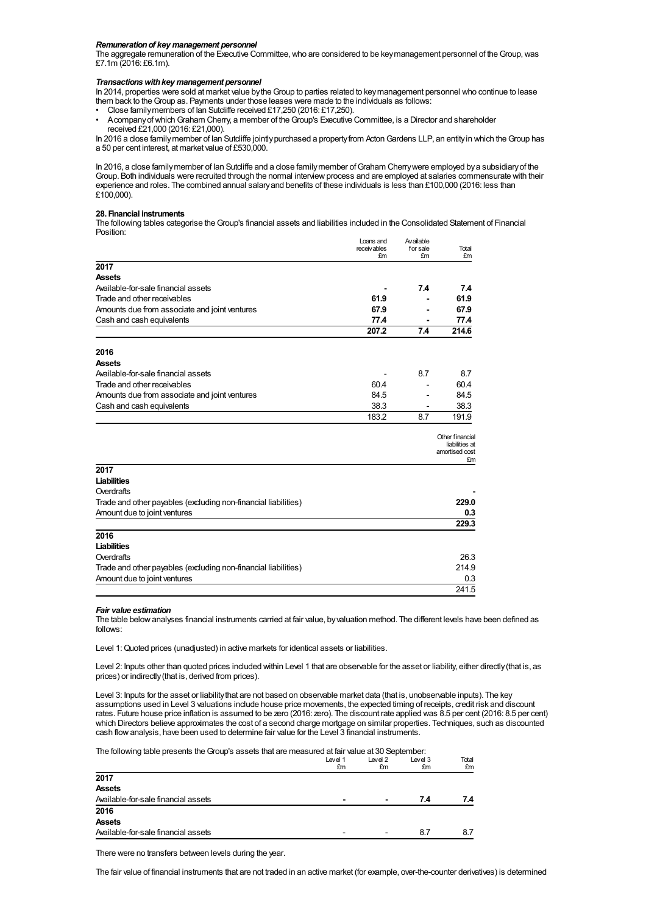## *Remunerationof key management personnel*

The aggregate remuneration of the Executive Committee, who are considered to be key management personnel of the Group, was £7.1m (2016: £6.1m).

#### *Transactionswithkey management personnel*

In 2014, properties were sold at market value bytheGroup to parties related to keymanagement personnel who continue to lease them back to the Group as. Payments under those leases were made to the individuals as follows:

- Close familymembers of Ian Sutcliffe received £17,250 (2016: £17,250).
- AcompanyofwhichGraham Cherry, a member of theGroup's Executive Committee, is a Director and shareholder received £21,000 (2016: £21,000).

In 2016 a close family member of Ian Sutcliffe jointly purchased a property from Acton Gardens LLP, an entity in which the Group has a 50 per cent interest, at market value of £530,000.

In 2016, a close family member of Ian Sutcliffe and a close family member of Graham Cherry were employed by a subsidiary of the Group. Both individuals were recruited through the normal interviewprocess and are employed at salaries commensurate with their experience and roles. The combined annual salaryand benefits of these individuals is less than £100,000 (2016: less than £100,000).

#### **28. Financial instruments**

The following tables categorise theGroup's financial assets and liabilities included in the Consolidated Statement of Financial Position:

|                                                                | Loans and         | Available      |                                                           |
|----------------------------------------------------------------|-------------------|----------------|-----------------------------------------------------------|
|                                                                | receivables<br>£m | for sale<br>£m | Total<br>£m                                               |
| 2017                                                           |                   |                |                                                           |
| <b>Assets</b>                                                  |                   |                |                                                           |
| Available-for-sale financial assets                            |                   | 7.4            | 7.4                                                       |
| Trade and other receivables                                    | 61.9              |                | 61.9                                                      |
| Amounts due from associate and joint ventures                  | 67.9              |                | 67.9                                                      |
| Cash and cash equivalents                                      | 77.4              |                | 77.4                                                      |
|                                                                | 207.2             | 7.4            | 214.6                                                     |
|                                                                |                   |                |                                                           |
| 2016                                                           |                   |                |                                                           |
| Assets                                                         |                   |                |                                                           |
| Available-for-sale financial assets                            |                   | 8.7            | 8.7                                                       |
| Trade and other receivables                                    | 60.4              |                | 60.4                                                      |
| Amounts due from associate and joint ventures                  | 84.5              |                | 84.5                                                      |
| Cash and cash equivalents                                      | 38.3              |                | 38.3                                                      |
|                                                                | 183.2             | 8.7            | 191.9                                                     |
|                                                                |                   |                | Other financial<br>liabilities at<br>amortised cost<br>£m |
| 2017                                                           |                   |                |                                                           |
| <b>Liabilities</b>                                             |                   |                |                                                           |
| Overdrafts                                                     |                   |                |                                                           |
| Trade and other payables (excluding non-financial liabilities) |                   |                | 229.0                                                     |
| Amount due to joint ventures                                   |                   |                | 0.3                                                       |
|                                                                |                   |                | 229.3                                                     |
| 2016                                                           |                   |                |                                                           |
| Liabilities                                                    |                   |                |                                                           |
| Overdrafts                                                     |                   |                | 26.3                                                      |
| Trade and other payables (excluding non-financial liabilities) |                   |                | 214.9                                                     |
| Amount due to joint ventures                                   |                   |                | 0.3                                                       |
|                                                                |                   |                | 241.5                                                     |

#### *Fair value estimation*

The table belowanalyses financial instruments carried at fair value, byvaluation method. The different levels have been defined as follows:

Level 1: Quoted prices (unadjusted) in active markets for identical assets or liabilities.

Level 2: Inputs other than quoted prices included within Level 1 that are observable for the asset or liability, either directly(that is, as prices) or indirectly(that is, derived from prices).

Level 3: Inputs for the asset or liabilitythat are not based on observable market data (that is, unobservable inputs). The key assumptions used in Level 3 valuations include house price movements, the expected timing of receipts, credit risk and discount rates. Future house price inflation is assumed to be zero (2016: zero). The discount rate applied was 8.5 per cent (2016: 8.5 per cent) which Directors believe approximates the cost of a second charge mortgage on similar properties. Techniques, such as discounted cash flowanalysis, have been used to determine fair value for the Level 3 financial instruments.

The following table presents theGroup's assets that are measured at fair value at 30 September:

|                                     | Level 1                  | Level 2                  | Level 3 | Total<br>£m |
|-------------------------------------|--------------------------|--------------------------|---------|-------------|
|                                     | £m                       | £m                       | £m      |             |
| 2017                                |                          |                          |         |             |
| <b>Assets</b>                       |                          |                          |         |             |
| Available-for-sale financial assets | $\blacksquare$           |                          | 7.4     | 7.4         |
| 2016                                |                          |                          |         |             |
| <b>Assets</b>                       |                          |                          |         |             |
| Available-for-sale financial assets | $\overline{\phantom{0}}$ | $\overline{\phantom{0}}$ | 8.7     |             |

There were no transfers between levels during the year.

The fair value of financial instruments that are not traded in an active market (for example, over-the-counter derivatives) is determined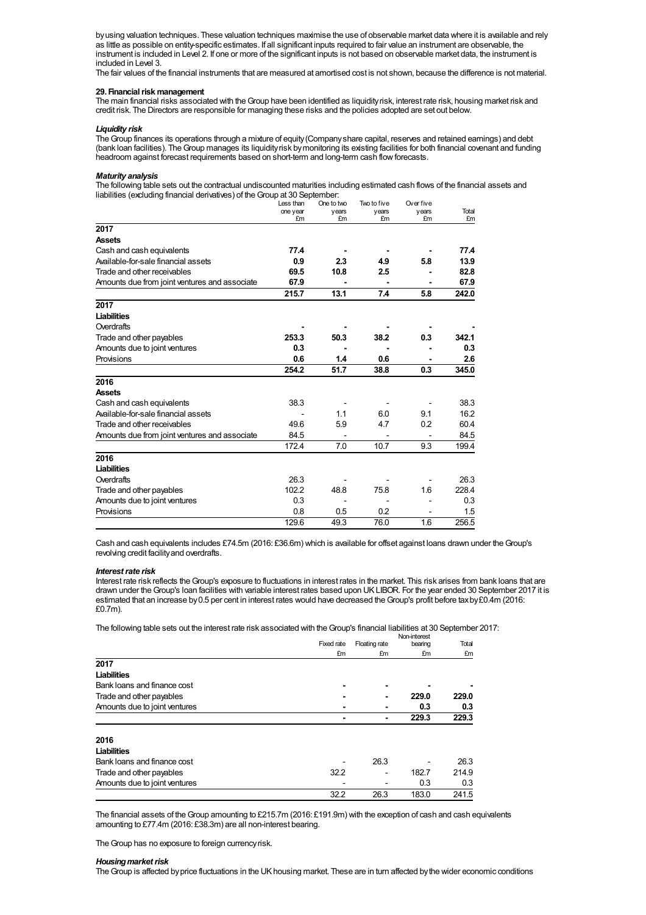byusing valuation techniques. These valuation techniques maximise the use of observable market data where it is available and rely as little as possible on entity-specific estimates. If all significant inputs required to fair value an instrument are observable, the instrument is included in Level 2. If one or more of the significant inputs is not based on observable market data, the instrument is included in Level 3.

The fair values of the financial instruments that are measured at amortised cost is not shown, because the difference is not material.

## **29.** Financial risk management

The main financial risks associated with the Group have been identified as liquidity risk, interest rate risk, housing market risk and credit risk. The Directors are responsible for managing these risks and the policies adopted are set out below.

### *Liquidity risk*

TheGroup finances its operations through a mixture of equity(Companyshare capital, reserves and retained earnings) and debt (bank loan facilities). The Group manages its liquidityrisk by monitoring its existing facilities for both financial covenant and funding headroom against forecast requirements based on short-term and long-term cash flow forecasts.

## *Maturity analysis*

The following table sets out the contractual undiscounted maturities including estimated cash flows of the financial assets and liabilities (excluding financial derivatives) of the Group at 30 September

|                                               | Less than | One to two | Two to five | Over five |       |
|-----------------------------------------------|-----------|------------|-------------|-----------|-------|
|                                               | one year  | years      | years       | years     | Total |
|                                               | £m        | £m         | £m          | £m        | £m    |
| 2017                                          |           |            |             |           |       |
| <b>Assets</b>                                 |           |            |             |           |       |
| Cash and cash equivalents                     | 77.4      |            |             |           | 77.4  |
| Available-for-sale financial assets           | 0.9       | 2.3        | 4.9         | 5.8       | 13.9  |
| Trade and other receivables                   | 69.5      | 10.8       | 2.5         |           | 82.8  |
| Amounts due from joint ventures and associate | 67.9      |            |             |           | 67.9  |
|                                               | 215.7     | 13.1       | 7.4         | 5.8       | 242.0 |
| 2017                                          |           |            |             |           |       |
| Liabilities                                   |           |            |             |           |       |
| Overdrafts                                    |           |            |             |           |       |
| Trade and other payables                      | 253.3     | 50.3       | 38.2        | 0.3       | 342.1 |
| Amounts due to joint ventures                 | 0.3       |            |             |           | 0.3   |
| Provisions                                    | 0.6       | 1.4        | 0.6         |           | 2.6   |
|                                               | 254.2     | 51.7       | 38.8        | 0.3       | 345.0 |
| 2016                                          |           |            |             |           |       |
| <b>Assets</b>                                 |           |            |             |           |       |
| Cash and cash equivalents                     | 38.3      |            |             |           | 38.3  |
| Available-for-sale financial assets           |           | 1.1        | 6.0         | 9.1       | 16.2  |
| Trade and other receivables                   | 49.6      | 5.9        | 4.7         | 0.2       | 60.4  |
| Amounts due from joint ventures and associate | 84.5      |            |             |           | 84.5  |
|                                               | 172.4     | 7.0        | 10.7        | 9.3       | 199.4 |
| 2016                                          |           |            |             |           |       |
| <b>Liabilities</b>                            |           |            |             |           |       |
| Overdrafts                                    | 26.3      |            |             |           | 26.3  |
| Trade and other payables                      | 102.2     | 48.8       | 75.8        | 1.6       | 228.4 |
| Amounts due to joint ventures                 | 0.3       |            |             |           | 0.3   |
| Provisions                                    | 0.8       | 0.5        | 0.2         |           | 1.5   |
|                                               | 129.6     | 49.3       | 76.0        | 1.6       | 256.5 |

Cash and cash equivalents includes £74.5m (2016: £36.6m) which is available for offset against loans drawn under theGroup's revolving credit facilityand overdrafts.

#### *Interestrate risk*

Interest rate risk reflects theGroup's exposure to fluctuations in interest rates in the market. This risk arises from bank loans that are drawn under theGroup's loan facilities with variable interest rates based upon UKLIBOR. For the year ended 30 September 2017 it is estimated that an increase by 0.5 per cent in interest rates would have decreased the Group's profit before tax by £0.4m (2016: £0.7m).

The following table sets out the interest rate risk associated with the Group's financial liabilities at 30 September 2017:

|                               |            |               | Non-interest |       |
|-------------------------------|------------|---------------|--------------|-------|
|                               | Fixed rate | Floating rate | bearing      | Total |
|                               | £m         | £m            | £m           | £m    |
| 2017                          |            |               |              |       |
| <b>Liabilities</b>            |            |               |              |       |
| Bank loans and finance cost   |            | ۰             |              |       |
| Trade and other payables      |            |               | 229.0        | 229.0 |
| Amounts due to joint ventures |            |               | 0.3          | 0.3   |
|                               |            |               | 229.3        | 229.3 |
| 2016                          |            |               |              |       |
| Liabilities                   |            |               |              |       |
| Bank loans and finance cost   |            | 26.3          |              | 26.3  |
| Trade and other payables      | 32.2       |               | 182.7        | 214.9 |
| Amounts due to joint ventures |            |               | 0.3          | 0.3   |
|                               | 32.2       | 26.3          | 183.0        | 241.5 |

The financial assets of theGroup amounting to £215.7m (2016: £191.9m) with the exception of cash and cash equivalents amounting to £77.4m (2016: £38.3m) are all non-interest bearing.

The Group has no exposure to foreign currency risk.

## **Housing market risk**

The Group is affected by price fluctuations in the UK housing market. These are in turn affected by the wider economic conditions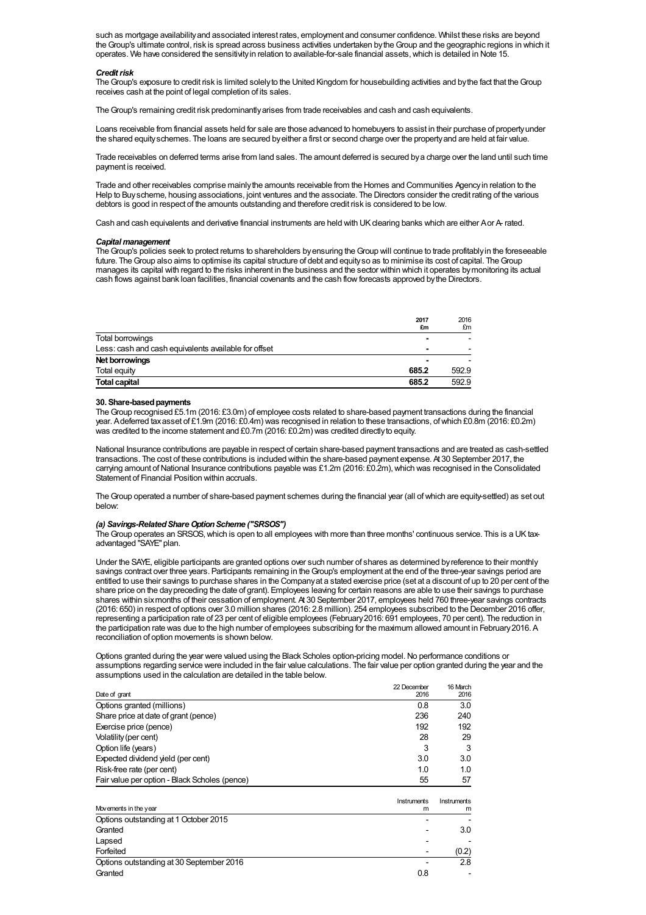such as mortgage availabilityand associated interest rates, employment and consumer confidence. Whilst these risks are beyond theGroup's ultimate control, risk is spread across business activities undertaken bytheGroup and the geographic regions in which it operates. We have considered the sensitivityin relation to available-for-sale financial assets,which is detailed in Note 15.

#### **Credit risk**

The Group's exposure to credit risk is limited solely to the United Kingdom for housebuilding activities and by the fact that the Group receives cash at the point of legal completion of its sales.

The Group's remaining credit risk predominantly arises from trade receivables and cash and cash equivalents.

Loans receivable from financial assets held for sale are those advanced to homebuyers to assist in their purchase of propertyunder the shared equityschemes. The loans are secured byeither a first or second charge over the propertyand are held at fair value.

Trade receivables on deferred terms arise from land sales. The amount deferred is secured bya charge over the land until such time payment is received.

Trade and other receivables comprise mainlythe amounts receivable from the Homes and Communities Agencyin relation to the Help to Buyscheme, housing associations, joint ventures and the associate. The Directors consider the credit rating of the various debtors is good in respect of the amounts outstanding and therefore credit risk is considered to be low.

Cash and cash equivalents and derivative financial instruments are held with UK clearing banks which are either Aor A- rated.

## *Capitalmanagement*

The Group's policies seek to protect returns to shareholders by ensuring the Group will continue to trade profitably in the foreseeable future. The Group also aims to optimise its capital structure of debt and equity so as to minimise its cost of capital. The Group manages its capital with regard to the risks inherent in the business and the sector within which it operates bymonitoring its actual cash flows against bank loan facilities, financial covenants and the cash flowforecasts approved bythe Directors.

|                                                      | 2017<br>£m | 2016<br>£m |
|------------------------------------------------------|------------|------------|
| Total borrowings                                     |            |            |
| Less: cash and cash equivalents available for offset |            | -          |
| Net borrowings                                       |            |            |
| Total equity                                         | 685.2      | 592.9      |
| <b>Total capital</b>                                 | 685.2      | 592.9      |

#### **30. Share-basedpayments**

TheGroup recognised £5.1m (2016: £3.0m) of employee costs related to share-based payment transactions during the financial year. Adeferred taxasset of £1.9m (2016: £0.4m) was recognised in relation to these transactions, ofwhich £0.8m (2016: £0.2m) was credited to the income statement and £0.7m (2016: £0.2m) was credited directlyto equity.

National Insurance contributions are payable in respect of certain share-based payment transactions and are treated as cash-settled transactions. The cost of these contributions is included within the share-based payment expense. At 30 September 2017, the carrying amount of National Insurance contributions payable was £1.2m (2016: £0.2m), which was recognised in the Consolidated Statement of Financial Position within accruals.

TheGroup operated a number of share-based payment schemes during the financial year (all ofwhich are equity-settled) as set out below:

#### *(a) Savings-RelatedShareOptionScheme ("SRSOS")*

TheGroup operates an SRSOS,which is open to all employees with more than three months' continuous service. This is a UKtaxadvantaged "SAYE" plan.

Under the SAYE, eligible participants are granted options over such number of shares as determined byreference to their monthly savings contract over three years. Participants remaining in the Group's employment at the end of the three-year savings period are entitled to use their savings to purchase shares in the Companyat a stated exercise price (set at a discount of up to 20 per cent of the share price on the daypreceding the date of grant). Employees leaving for certain reasons are able to use their savings to purchase shares within sixmonths of their cessation of employment. At 30 September 2017, employees held 760 three-year savings contracts (2016: 650) in respect of options over 3.0 million shares (2016: 2.8 million). 254 employees subscribed to the December 2016 offer, representing a participation rate of 23 per cent of eligible employees (February2016: 691 employees, 70 per cent). The reduction in the participation rate was due to the high number of employees subscribing for the maximum allowed amount in February2016. A reconciliation of option movements is shown below.

Options granted during the year were valued using the Black Scholes option-pricing model. No performance conditions or assumptions regarding service were included in the fair value calculations. The fair value per option granted during the year and the assumptions used in the calculation are detailed in the table below.

|                                               | 22 December | 16 March    |
|-----------------------------------------------|-------------|-------------|
| Date of grant                                 | 2016        | 2016        |
| Options granted (millions)                    | 0.8         | 3.0         |
| Share price at date of grant (pence)          | 236         | 240         |
| Exercise price (pence)                        | 192         | 192         |
| Volatility (per cent)                         | 28          | 29          |
| Option life (years)                           | 3           | 3           |
| Expected dividend yield (per cent)            | 3.0         | 3.0         |
| Risk-free rate (per cent)                     | 1.0         | 1.0         |
| Fair value per option - Black Scholes (pence) | 55          | 57          |
|                                               | Instruments | Instruments |
| Movements in the year                         | m           | m           |
| Options outstanding at 1 October 2015         |             |             |
| Granted                                       |             | 3.0         |
| Lapsed                                        |             |             |

Forfeited - (0.2) Options outstanding at 30 September 2016 **Contract 2016 Contract 2016 Contract 2016 Contract 2016 Contract 2016** Granted 2008 **Contract Contract Contract Contract Contract Contract Contract Contract Contract Contract Contract Contract Contract Contract Contract Contract Contract Contract Contract Contract Contract Contract Contract C**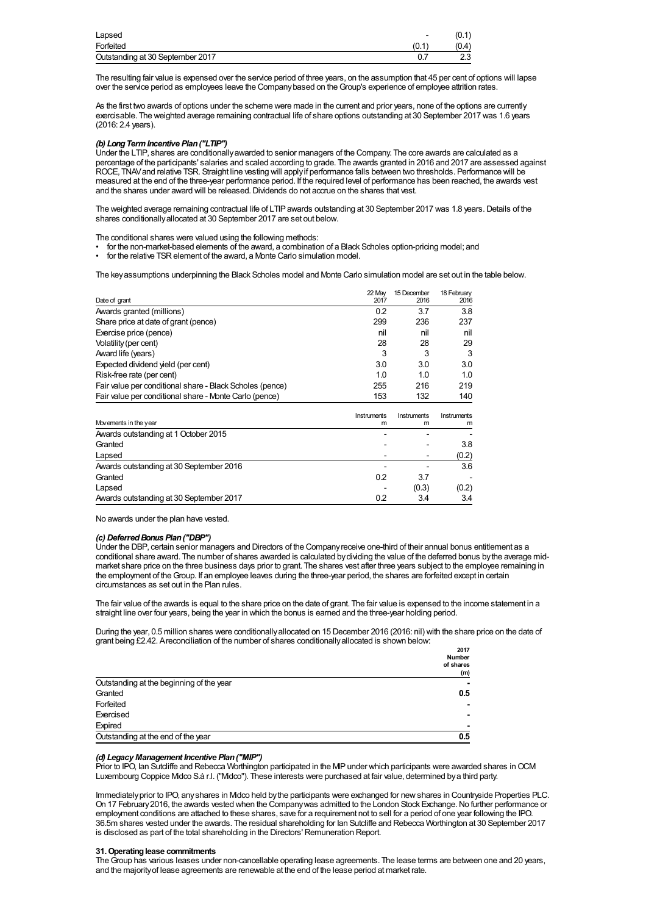| Lapsed                           | $\overline{\phantom{0}}$ | (0.1) |
|----------------------------------|--------------------------|-------|
| Forfeited                        | (0.1                     | (0.4) |
| Outstanding at 30 September 2017 |                          | ں.ے   |

The resulting fair value is expensed over the service period of three years, on the assumption that 45 per cent of options will lapse over the service period as employees leave the Companybased on theGroup's experience of employee attrition rates.

As the first two awards of options under the scheme were made in the current and prior years, none of the options are currently exercisable. The weighted average remaining contractual life of share options outstanding at 30 September 2017 was 1.6 years (2016: 2.4 years).

## *(b) LongTermIncentive Plan("LTIP")*

Under the LTIP, shares are conditionallyawarded to senior managers of the Company. The core awards are calculated as a percentage of the participants' salaries and scaled according to grade. The awards granted in 2016 and 2017 are assessed against ROCE, TNAVand relative TSR. Straight line vesting will applyif performance falls between two thresholds. Performance will be measured at the end of the three-year performance period. If the required level of performance has been reached, the awards vest and the shares under award will be released. Dividends do not accrue on the shares that vest.

The weighted average remaining contractual life of LTIP awards outstanding at 30 September 2017 was 1.8 years. Details of the shares conditionallyallocated at 30 September 2017 are set out below.

The conditional shares were valued using the following methods:

- for the non-market-based elements of the award, a combination of a Black Scholes option-pricing model; and
- for the relative TSR element of the award, a Monte Carlo simulation model.

The keyassumptions underpinning the Black Scholes model and Monte Carlo simulation model are set out in the table below.

|                                                          | 22 May      | 15 December | 18 February |
|----------------------------------------------------------|-------------|-------------|-------------|
| Date of grant                                            | 2017        | 2016        | 2016        |
| Awards granted (millions)                                | 0.2         | 3.7         | 3.8         |
| Share price at date of grant (pence)                     | 299         | 236         | 237         |
| Exercise price (pence)                                   | nil         | nil         | nil         |
| Volatility (per cent)                                    | 28          | 28          | 29          |
| Award life (years)                                       | 3           | 3           | 3           |
| Expected dividend yield (per cent)                       | 3.0         | 3.0         | 3.0         |
| Risk-free rate (per cent)                                | 1.0         | 1.0         | 1.0         |
| Fair value per conditional share - Black Scholes (pence) | 255         | 216         | 219         |
| Fair value per conditional share - Monte Carlo (pence)   | 153         | 132         | 140         |
|                                                          | Instruments | Instruments | Instruments |
| Movements in the year                                    | m           | m           | m           |
| Awards outstanding at 1 October 2015                     |             |             |             |
| Granted                                                  |             |             | 3.8         |
| Lapsed                                                   |             |             | (0.2)       |
| Awards outstanding at 30 September 2016                  |             |             | 3.6         |
| Granted                                                  | 0.2         | 3.7         |             |
| Lapsed                                                   |             | (0.3)       | (0.2)       |

Awards outstanding at 30 September 2017 10.2 3.4 3.4 3.4 3.4

No awards under the plan have vested.

## *(c) DeferredBonus Plan("DBP")*

Under the DBP, certain senior managers and Directors of the Companyreceive one-third of their annual bonus entitlement as a conditional share award. The number of shares awarded is calculated bydividing the value of the deferred bonus bythe average midmarket share price on the three business days prior to grant. The shares vest after three years subject to the employee remaining in the employment of theGroup. If an employee leaves during the three-year period, the shares are forfeited except in certain circumstances as set out in the Plan rules.

The fair value of the awards is equal to the share price on the date of grant. The fair value is expensed to the income statement in a straight line over four years, being the year in which the bonus is earned and the three-year holding period.

During the year, 0.5 million shares were conditionallyallocated on 15 December 2016 (2016: nil) with the share price on the date of grant being £2.42. Areconciliation of the number of shares conditionallyallocated is shown below:

|                                          | 2017          |
|------------------------------------------|---------------|
|                                          | <b>Number</b> |
|                                          | of shares     |
|                                          | (m)           |
| Outstanding at the beginning of the year |               |
| Granted                                  | 0.5           |
| Forfeited                                |               |
| Exercised                                |               |
| Expired                                  |               |
| Outstanding at the end of the year       | 0.5           |

## *(d) Legacy Management Incentive Plan("MIP")*

Prior to IPO, Ian Sutcliffe and Rebecca Worthington participated in the MP under which participants were awarded shares in OCM Luxembourg Coppice Midco S.à r.l. ("Midco"). These interests were purchased at fair value, determined bya third party.

Immediatelyprior to IPO, anyshares in Midco held bythe participants were exchanged for newshares in Countryside Properties PLC. On 17 February2016, the awards vested when the Companywas admitted to the London Stock Exchange.No further performance or employment conditions are attached to these shares, save for a requirement not to sell for a period of one year following the IPO. 36.5m shares vested under the awards. The residual shareholding for Ian Sutcliffe and Rebecca Worthington at 30 September 2017 is disclosed as part of the total shareholding in the Directors' Remuneration Report.

## **31.Operatinglease commitments**

The Group has various leases under non-cancellable operating lease agreements. The lease terms are between one and 20 years, and the majorityof lease agreements are renewable at the end of the lease period at market rate.